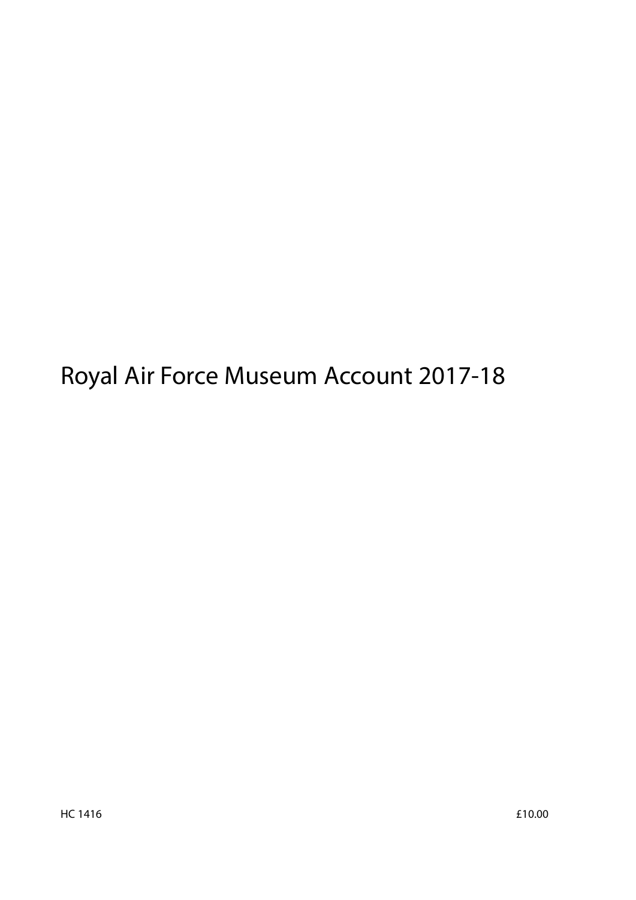Royal Air Force Museum Account 2017-18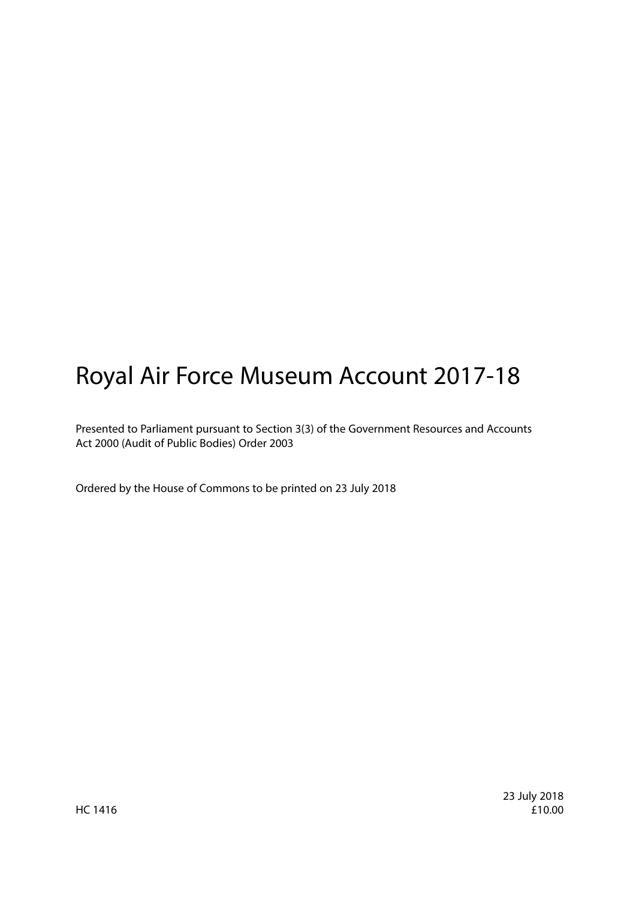# Royal Air Force Museum Account 2017-18

Presented to Parliament pursuant to Section 3(3) of the Government Resources and Accounts Act 2000 (Audit of Public Bodies) Order 2003

Ordered by the House of Commons to be printed on 23 July 2018

23 July 2018 HC 1416 £10.00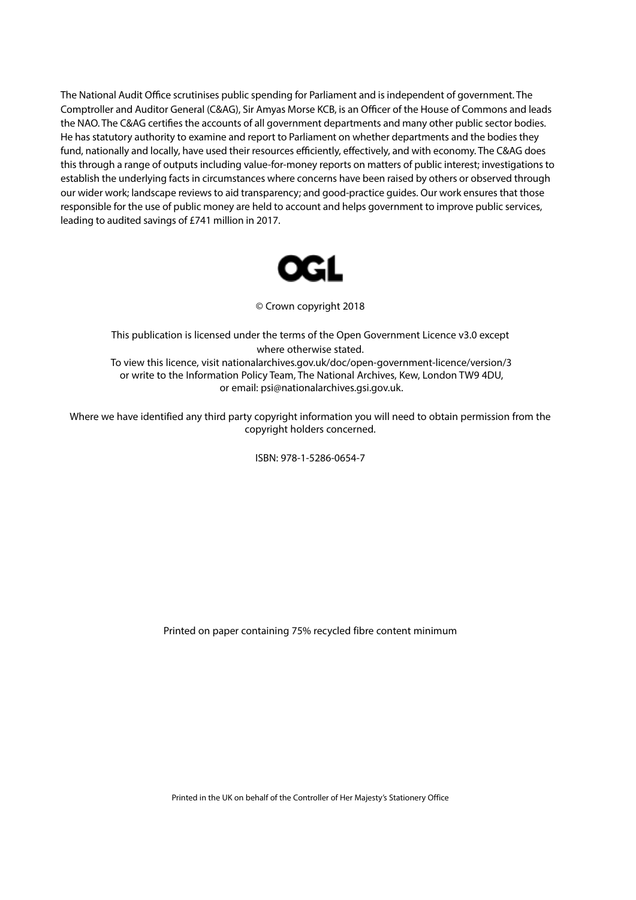The National Audit Office scrutinises public spending for Parliament and is independent of government. The Comptroller and Auditor General (C&AG), Sir Amyas Morse KCB, is an Officer of the House of Commons and leads the NAO. The C&AG certifies the accounts of all government departments and many other public sector bodies. He has statutory authority to examine and report to Parliament on whether departments and the bodies they fund, nationally and locally, have used their resources efficiently, effectively, and with economy. The C&AG does this through a range of outputs including value-for-money reports on matters of public interest; investigations to establish the underlying facts in circumstances where concerns have been raised by others or observed through our wider work; landscape reviews to aid transparency; and good-practice guides. Our work ensures that those responsible for the use of public money are held to account and helps government to improve public services, leading to audited savings of £741 million in 2017.



© Crown copyright 2018

This publication is licensed under the terms of the Open Government Licence v3.0 except where otherwise stated. To view this licence, visit nationalarchives.gov.uk/doc/open-government-licence/version/3 or write to the Information Policy Team, The National Archives, Kew, London TW9 4DU, or email: psi@nationalarchives.gsi.gov.uk.

Where we have identified any third party copyright information you will need to obtain permission from the copyright holders concerned.

ISBN: 978-1-5286-0654-7

Printed on paper containing 75% recycled fibre content minimum

Printed in the UK on behalf of the Controller of Her Majesty's Stationery Office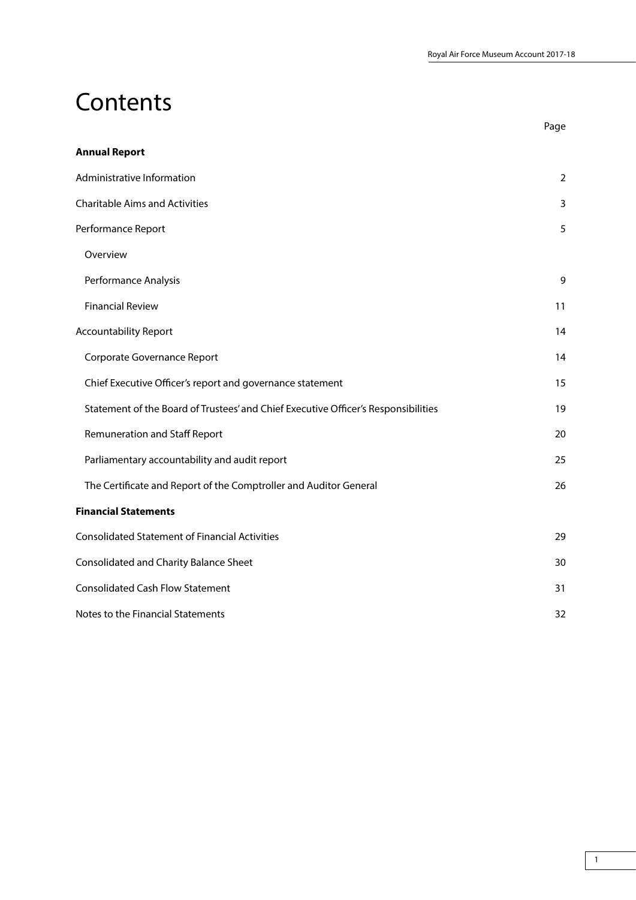# **Contents**

|                                                                                    | Page           |
|------------------------------------------------------------------------------------|----------------|
| <b>Annual Report</b>                                                               |                |
| Administrative Information                                                         | $\overline{2}$ |
| <b>Charitable Aims and Activities</b>                                              | 3              |
| Performance Report                                                                 | 5              |
| Overview                                                                           |                |
| Performance Analysis                                                               | 9              |
| <b>Financial Review</b>                                                            | 11             |
| <b>Accountability Report</b>                                                       | 14             |
| Corporate Governance Report                                                        | 14             |
| Chief Executive Officer's report and governance statement                          | 15             |
| Statement of the Board of Trustees' and Chief Executive Officer's Responsibilities | 19             |
| Remuneration and Staff Report                                                      | 20             |
| Parliamentary accountability and audit report                                      | 25             |
| The Certificate and Report of the Comptroller and Auditor General                  | 26             |
| <b>Financial Statements</b>                                                        |                |
| <b>Consolidated Statement of Financial Activities</b>                              | 29             |
| Consolidated and Charity Balance Sheet                                             | 30             |
| <b>Consolidated Cash Flow Statement</b>                                            | 31             |
| Notes to the Financial Statements                                                  | 32             |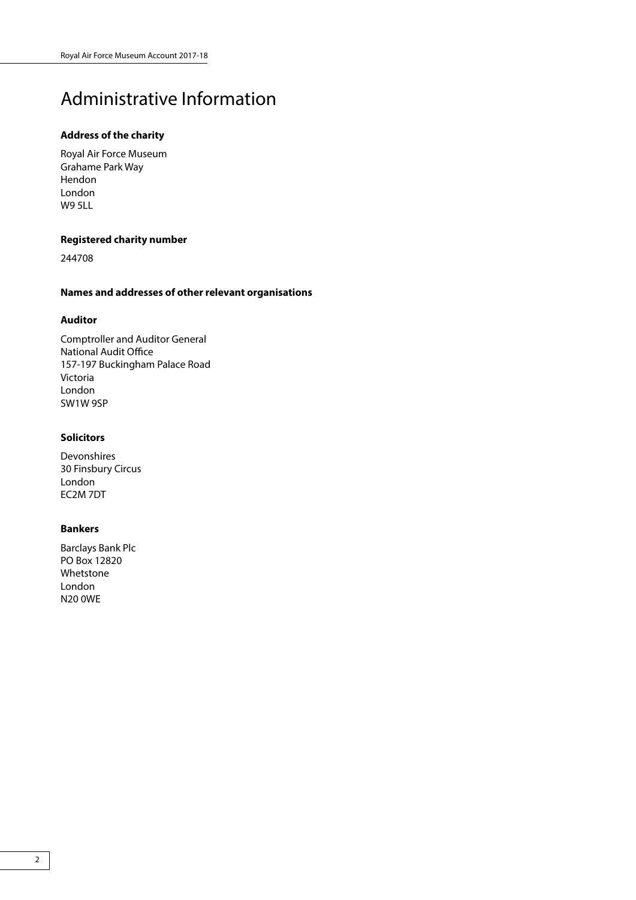## Administrative Information

### **Address of the charity**

Royal Air Force Museum Grahame Park Way Hendon London W9 5LL

#### **Registered charity number**

244708

## **Names and addresses of other relevant organisations**

#### **Auditor**

Comptroller and Auditor General National Audit Office 157-197 Buckingham Palace Road Victoria London SW1W 9SP

#### **Solicitors**

Devonshires 30 Finsbury Circus London EC2M 7DT

## **Bankers**

Barclays Bank Plc PO Box 12820 Whetstone London N20 0WE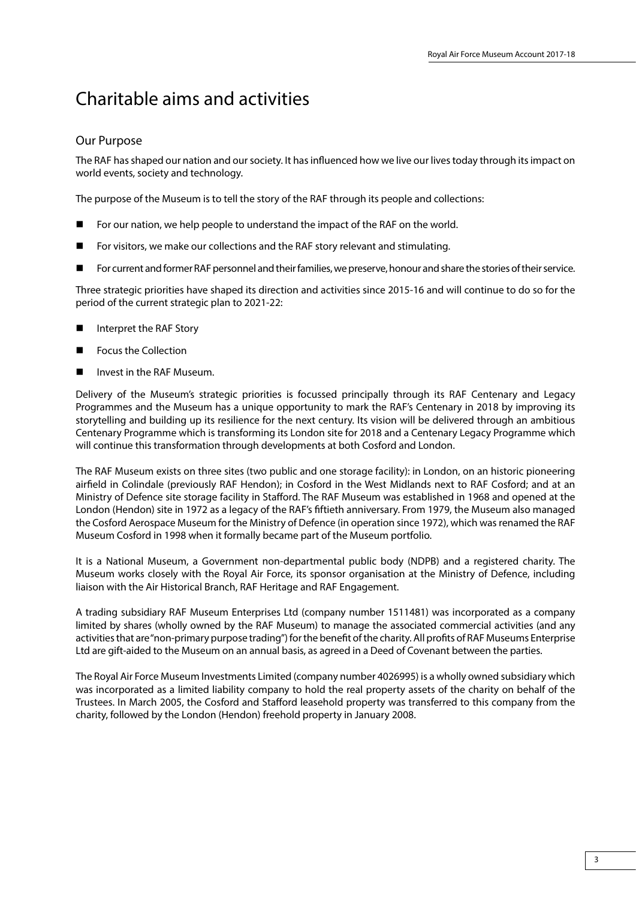## Charitable aims and activities

## Our Purpose

The RAF has shaped our nation and our society. It has influenced how we live our lives today through its impact on world events, society and technology.

The purpose of the Museum is to tell the story of the RAF through its people and collections:

- For our nation, we help people to understand the impact of the RAF on the world.
- For visitors, we make our collections and the RAF story relevant and stimulating.
- For current and former RAF personnel and their families, we preserve, honour and share the stories of their service.

Three strategic priorities have shaped its direction and activities since 2015-16 and will continue to do so for the period of the current strategic plan to 2021-22:

- n Interpret the RAF Story
- Focus the Collection
- n Invest in the RAF Museum.

Delivery of the Museum's strategic priorities is focussed principally through its RAF Centenary and Legacy Programmes and the Museum has a unique opportunity to mark the RAF's Centenary in 2018 by improving its storytelling and building up its resilience for the next century. Its vision will be delivered through an ambitious Centenary Programme which is transforming its London site for 2018 and a Centenary Legacy Programme which will continue this transformation through developments at both Cosford and London.

The RAF Museum exists on three sites (two public and one storage facility): in London, on an historic pioneering airfield in Colindale (previously RAF Hendon); in Cosford in the West Midlands next to RAF Cosford; and at an Ministry of Defence site storage facility in Stafford. The RAF Museum was established in 1968 and opened at the London (Hendon) site in 1972 as a legacy of the RAF's fiftieth anniversary. From 1979, the Museum also managed the Cosford Aerospace Museum for the Ministry of Defence (in operation since 1972), which was renamed the RAF Museum Cosford in 1998 when it formally became part of the Museum portfolio.

It is a National Museum, a Government non-departmental public body (NDPB) and a registered charity. The Museum works closely with the Royal Air Force, its sponsor organisation at the Ministry of Defence, including liaison with the Air Historical Branch, RAF Heritage and RAF Engagement.

A trading subsidiary RAF Museum Enterprises Ltd (company number 1511481) was incorporated as a company limited by shares (wholly owned by the RAF Museum) to manage the associated commercial activities (and any activities that are "non-primary purpose trading") for the benefit of the charity. All profits of RAF Museums Enterprise Ltd are gift-aided to the Museum on an annual basis, as agreed in a Deed of Covenant between the parties.

The Royal Air Force Museum Investments Limited (company number 4026995) is a wholly owned subsidiary which was incorporated as a limited liability company to hold the real property assets of the charity on behalf of the Trustees. In March 2005, the Cosford and Stafford leasehold property was transferred to this company from the charity, followed by the London (Hendon) freehold property in January 2008.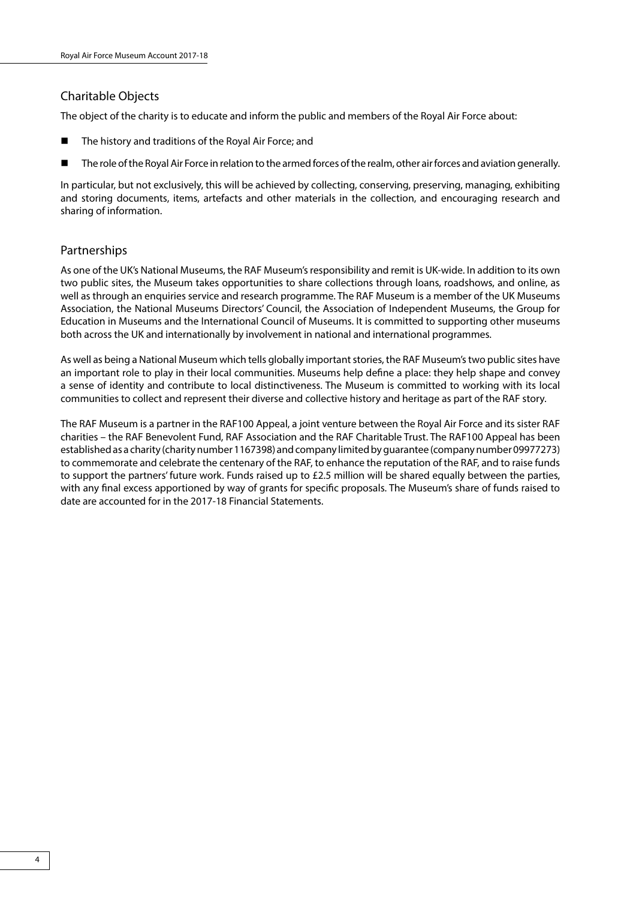### Charitable Objects

The object of the charity is to educate and inform the public and members of the Royal Air Force about:

- The history and traditions of the Royal Air Force; and
- $\blacksquare$  The role of the Royal Air Force in relation to the armed forces of the realm, other air forces and aviation generally.

In particular, but not exclusively, this will be achieved by collecting, conserving, preserving, managing, exhibiting and storing documents, items, artefacts and other materials in the collection, and encouraging research and sharing of information.

#### Partnerships

As one of the UK's National Museums, the RAF Museum's responsibility and remit is UK-wide. In addition to its own two public sites, the Museum takes opportunities to share collections through loans, roadshows, and online, as well as through an enquiries service and research programme. The RAF Museum is a member of the UK Museums Association, the National Museums Directors' Council, the Association of Independent Museums, the Group for Education in Museums and the International Council of Museums. It is committed to supporting other museums both across the UK and internationally by involvement in national and international programmes.

As well as being a National Museum which tells globally important stories, the RAF Museum's two public sites have an important role to play in their local communities. Museums help define a place: they help shape and convey a sense of identity and contribute to local distinctiveness. The Museum is committed to working with its local communities to collect and represent their diverse and collective history and heritage as part of the RAF story.

The RAF Museum is a partner in the RAF100 Appeal, a joint venture between the Royal Air Force and its sister RAF charities – the RAF Benevolent Fund, RAF Association and the RAF Charitable Trust. The RAF100 Appeal has been established as a charity (charity number 1167398) and company limited by guarantee (company number 09977273) to commemorate and celebrate the centenary of the RAF, to enhance the reputation of the RAF, and to raise funds to support the partners' future work. Funds raised up to £2.5 million will be shared equally between the parties, with any final excess apportioned by way of grants for specific proposals. The Museum's share of funds raised to date are accounted for in the 2017-18 Financial Statements.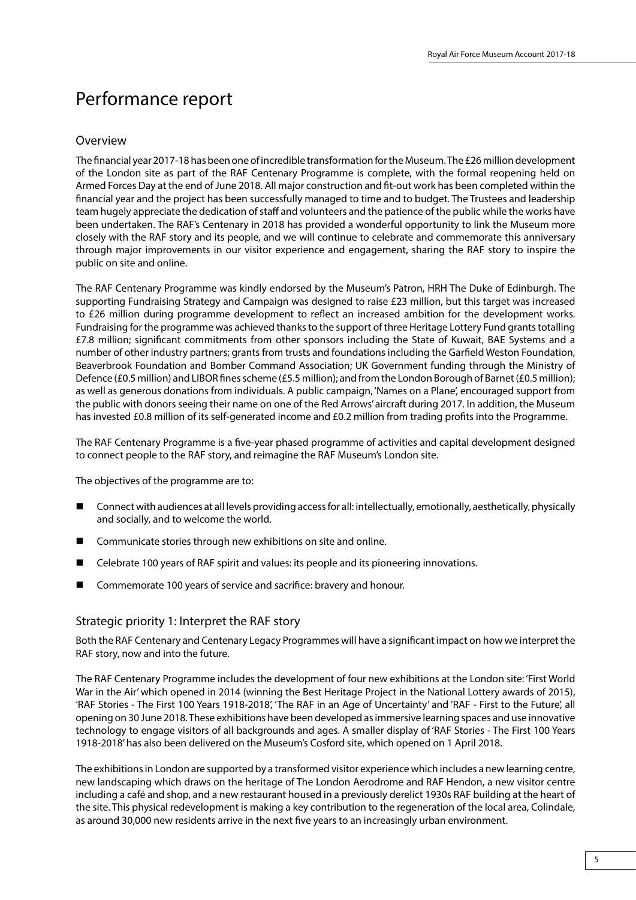## Performance report

## Overview

The financial year 2017-18 has been one of incredible transformation for the Museum. The £26 million development of the London site as part of the RAF Centenary Programme is complete, with the formal reopening held on Armed Forces Day at the end of June 2018. All major construction and fit-out work has been completed within the financial year and the project has been successfully managed to time and to budget. The Trustees and leadership team hugely appreciate the dedication of staff and volunteers and the patience of the public while the works have been undertaken. The RAF's Centenary in 2018 has provided a wonderful opportunity to link the Museum more closely with the RAF story and its people, and we will continue to celebrate and commemorate this anniversary through major improvements in our visitor experience and engagement, sharing the RAF story to inspire the public on site and online.

The RAF Centenary Programme was kindly endorsed by the Museum's Patron, HRH The Duke of Edinburgh. The supporting Fundraising Strategy and Campaign was designed to raise £23 million, but this target was increased to £26 million during programme development to reflect an increased ambition for the development works. Fundraising for the programme was achieved thanks to the support of three Heritage Lottery Fund grants totalling £7.8 million; significant commitments from other sponsors including the State of Kuwait, BAE Systems and a number of other industry partners; grants from trusts and foundations including the Garfield Weston Foundation, Beaverbrook Foundation and Bomber Command Association; UK Government funding through the Ministry of Defence (£0.5 million) and LIBOR fines scheme (£5.5 million); and from the London Borough of Barnet (£0.5 million); as well as generous donations from individuals. A public campaign, 'Names on a Plane', encouraged support from the public with donors seeing their name on one of the Red Arrows' aircraft during 2017. In addition, the Museum has invested £0.8 million of its self-generated income and £0.2 million from trading profits into the Programme.

The RAF Centenary Programme is a five-year phased programme of activities and capital development designed to connect people to the RAF story, and reimagine the RAF Museum's London site.

The objectives of the programme are to:

- n Connect with audiences at all levels providing access for all: intellectually, emotionally, aesthetically, physically and socially, and to welcome the world.
- Communicate stories through new exhibitions on site and online.
- Celebrate 100 years of RAF spirit and values: its people and its pioneering innovations.
- Commemorate 100 years of service and sacrifice: bravery and honour.

#### Strategic priority 1: Interpret the RAF story

Both the RAF Centenary and Centenary Legacy Programmes will have a significant impact on how we interpret the RAF story, now and into the future.

The RAF Centenary Programme includes the development of four new exhibitions at the London site: 'First World War in the Air' which opened in 2014 (winning the Best Heritage Project in the National Lottery awards of 2015), 'RAF Stories - The First 100 Years 1918-2018', 'The RAF in an Age of Uncertainty' and 'RAF - First to the Future', all opening on 30 June 2018. These exhibitions have been developed as immersive learning spaces and use innovative technology to engage visitors of all backgrounds and ages. A smaller display of 'RAF Stories - The First 100 Years 1918-2018' has also been delivered on the Museum's Cosford site, which opened on 1 April 2018.

The exhibitions in London are supported by a transformed visitor experience which includes a new learning centre, new landscaping which draws on the heritage of The London Aerodrome and RAF Hendon, a new visitor centre including a café and shop, and a new restaurant housed in a previously derelict 1930s RAF building at the heart of the site. This physical redevelopment is making a key contribution to the regeneration of the local area, Colindale, as around 30,000 new residents arrive in the next five years to an increasingly urban environment.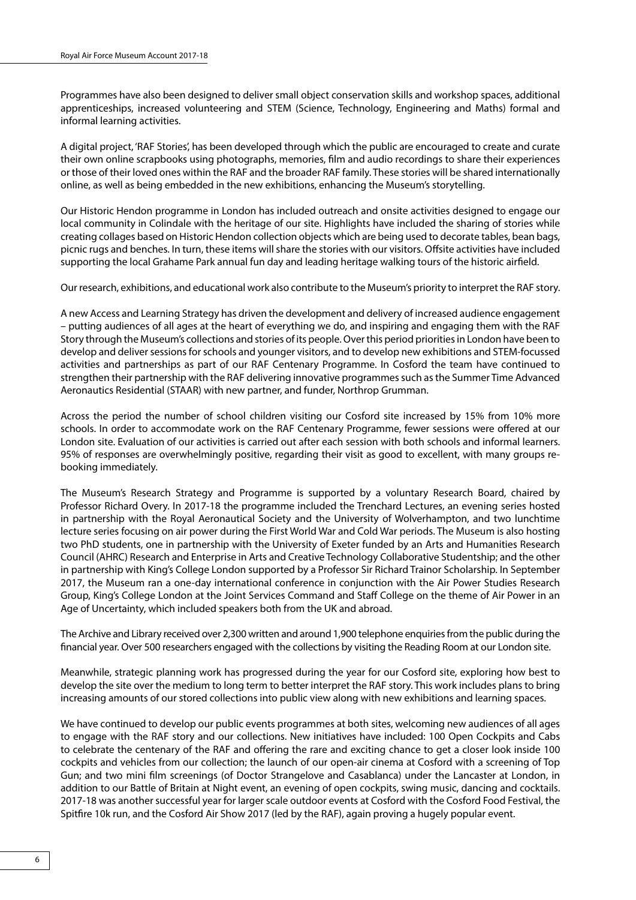Programmes have also been designed to deliver small object conservation skills and workshop spaces, additional apprenticeships, increased volunteering and STEM (Science, Technology, Engineering and Maths) formal and informal learning activities.

A digital project, 'RAF Stories', has been developed through which the public are encouraged to create and curate their own online scrapbooks using photographs, memories, film and audio recordings to share their experiences or those of their loved ones within the RAF and the broader RAF family. These stories will be shared internationally online, as well as being embedded in the new exhibitions, enhancing the Museum's storytelling.

Our Historic Hendon programme in London has included outreach and onsite activities designed to engage our local community in Colindale with the heritage of our site. Highlights have included the sharing of stories while creating collages based on Historic Hendon collection objects which are being used to decorate tables, bean bags, picnic rugs and benches. In turn, these items will share the stories with our visitors. Offsite activities have included supporting the local Grahame Park annual fun day and leading heritage walking tours of the historic airfield.

Our research, exhibitions, and educational work also contribute to the Museum's priority to interpret the RAF story.

A new Access and Learning Strategy has driven the development and delivery of increased audience engagement – putting audiences of all ages at the heart of everything we do, and inspiring and engaging them with the RAF Story through the Museum's collections and stories of its people. Over this period priorities in London have been to develop and deliver sessions for schools and younger visitors, and to develop new exhibitions and STEM-focussed activities and partnerships as part of our RAF Centenary Programme. In Cosford the team have continued to strengthen their partnership with the RAF delivering innovative programmes such as the Summer Time Advanced Aeronautics Residential (STAAR) with new partner, and funder, Northrop Grumman.

Across the period the number of school children visiting our Cosford site increased by 15% from 10% more schools. In order to accommodate work on the RAF Centenary Programme, fewer sessions were offered at our London site. Evaluation of our activities is carried out after each session with both schools and informal learners. 95% of responses are overwhelmingly positive, regarding their visit as good to excellent, with many groups rebooking immediately.

The Museum's Research Strategy and Programme is supported by a voluntary Research Board, chaired by Professor Richard Overy. In 2017-18 the programme included the Trenchard Lectures, an evening series hosted in partnership with the Royal Aeronautical Society and the University of Wolverhampton, and two lunchtime lecture series focusing on air power during the First World War and Cold War periods. The Museum is also hosting two PhD students, one in partnership with the University of Exeter funded by an Arts and Humanities Research Council (AHRC) Research and Enterprise in Arts and Creative Technology Collaborative Studentship; and the other in partnership with King's College London supported by a Professor Sir Richard Trainor Scholarship. In September 2017, the Museum ran a one-day international conference in conjunction with the Air Power Studies Research Group, King's College London at the Joint Services Command and Staff College on the theme of Air Power in an Age of Uncertainty, which included speakers both from the UK and abroad.

The Archive and Library received over 2,300 written and around 1,900 telephone enquiries from the public during the financial year. Over 500 researchers engaged with the collections by visiting the Reading Room at our London site.

Meanwhile, strategic planning work has progressed during the year for our Cosford site, exploring how best to develop the site over the medium to long term to better interpret the RAF story. This work includes plans to bring increasing amounts of our stored collections into public view along with new exhibitions and learning spaces.

We have continued to develop our public events programmes at both sites, welcoming new audiences of all ages to engage with the RAF story and our collections. New initiatives have included: 100 Open Cockpits and Cabs to celebrate the centenary of the RAF and offering the rare and exciting chance to get a closer look inside 100 cockpits and vehicles from our collection; the launch of our open-air cinema at Cosford with a screening of Top Gun; and two mini film screenings (of Doctor Strangelove and Casablanca) under the Lancaster at London, in addition to our Battle of Britain at Night event, an evening of open cockpits, swing music, dancing and cocktails. 2017-18 was another successful year for larger scale outdoor events at Cosford with the Cosford Food Festival, the Spitfire 10k run, and the Cosford Air Show 2017 (led by the RAF), again proving a hugely popular event.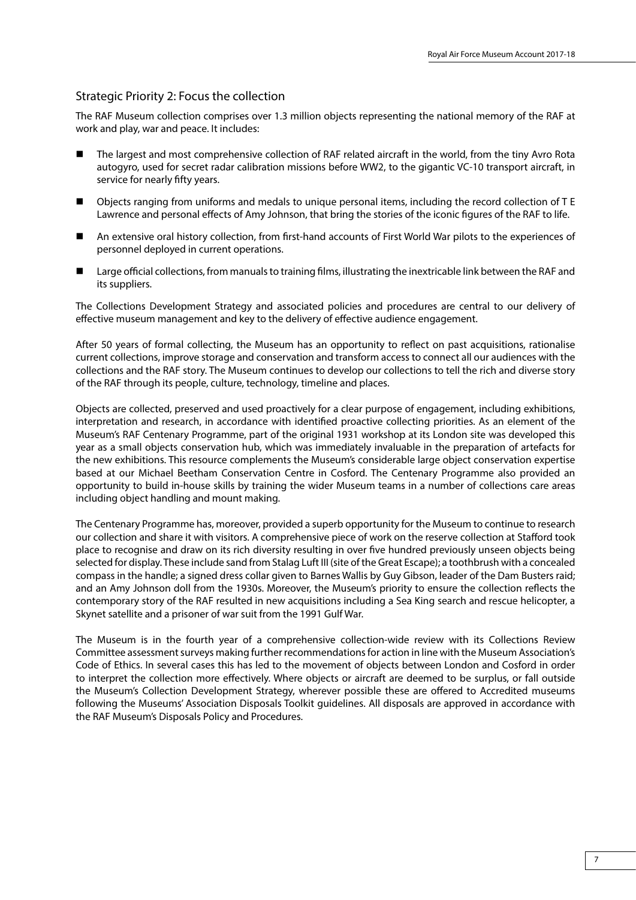## Strategic Priority 2: Focus the collection

The RAF Museum collection comprises over 1.3 million objects representing the national memory of the RAF at work and play, war and peace. It includes:

- n The largest and most comprehensive collection of RAF related aircraft in the world, from the tiny Avro Rota autogyro, used for secret radar calibration missions before WW2, to the gigantic VC-10 transport aircraft, in service for nearly fifty years.
- n Objects ranging from uniforms and medals to unique personal items, including the record collection of T E Lawrence and personal effects of Amy Johnson, that bring the stories of the iconic figures of the RAF to life.
- n An extensive oral history collection, from first-hand accounts of First World War pilots to the experiences of personnel deployed in current operations.
- Large official collections, from manuals to training films, illustrating the inextricable link between the RAF and its suppliers.

The Collections Development Strategy and associated policies and procedures are central to our delivery of effective museum management and key to the delivery of effective audience engagement.

After 50 years of formal collecting, the Museum has an opportunity to reflect on past acquisitions, rationalise current collections, improve storage and conservation and transform access to connect all our audiences with the collections and the RAF story. The Museum continues to develop our collections to tell the rich and diverse story of the RAF through its people, culture, technology, timeline and places.

Objects are collected, preserved and used proactively for a clear purpose of engagement, including exhibitions, interpretation and research, in accordance with identified proactive collecting priorities. As an element of the Museum's RAF Centenary Programme, part of the original 1931 workshop at its London site was developed this year as a small objects conservation hub, which was immediately invaluable in the preparation of artefacts for the new exhibitions. This resource complements the Museum's considerable large object conservation expertise based at our Michael Beetham Conservation Centre in Cosford. The Centenary Programme also provided an opportunity to build in-house skills by training the wider Museum teams in a number of collections care areas including object handling and mount making.

The Centenary Programme has, moreover, provided a superb opportunity for the Museum to continue to research our collection and share it with visitors. A comprehensive piece of work on the reserve collection at Stafford took place to recognise and draw on its rich diversity resulting in over five hundred previously unseen objects being selected for display. These include sand from Stalag Luft III (site of the Great Escape); a toothbrush with a concealed compass in the handle; a signed dress collar given to Barnes Wallis by Guy Gibson, leader of the Dam Busters raid; and an Amy Johnson doll from the 1930s. Moreover, the Museum's priority to ensure the collection reflects the contemporary story of the RAF resulted in new acquisitions including a Sea King search and rescue helicopter, a Skynet satellite and a prisoner of war suit from the 1991 Gulf War.

The Museum is in the fourth year of a comprehensive collection-wide review with its Collections Review Committee assessment surveys making further recommendations for action in line with the Museum Association's Code of Ethics. In several cases this has led to the movement of objects between London and Cosford in order to interpret the collection more effectively. Where objects or aircraft are deemed to be surplus, or fall outside the Museum's Collection Development Strategy, wherever possible these are offered to Accredited museums following the Museums' Association Disposals Toolkit guidelines. All disposals are approved in accordance with the RAF Museum's Disposals Policy and Procedures.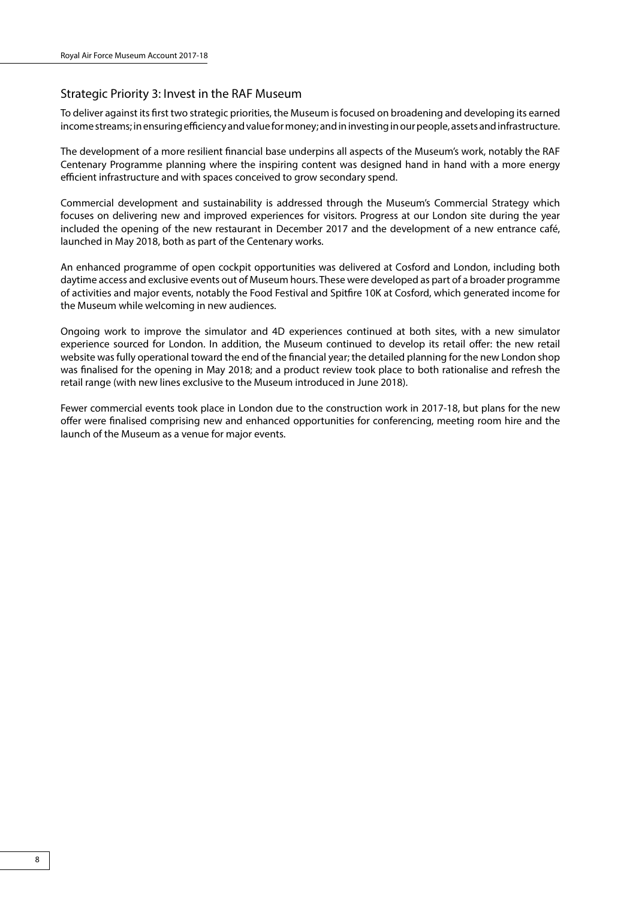#### Strategic Priority 3: Invest in the RAF Museum

To deliver against its first two strategic priorities, the Museum is focused on broadening and developing its earned income streams; in ensuring efficiency and value for money; and in investing in our people, assets and infrastructure.

The development of a more resilient financial base underpins all aspects of the Museum's work, notably the RAF Centenary Programme planning where the inspiring content was designed hand in hand with a more energy efficient infrastructure and with spaces conceived to grow secondary spend.

Commercial development and sustainability is addressed through the Museum's Commercial Strategy which focuses on delivering new and improved experiences for visitors. Progress at our London site during the year included the opening of the new restaurant in December 2017 and the development of a new entrance café, launched in May 2018, both as part of the Centenary works.

An enhanced programme of open cockpit opportunities was delivered at Cosford and London, including both daytime access and exclusive events out of Museum hours. These were developed as part of a broader programme of activities and major events, notably the Food Festival and Spitfire 10K at Cosford, which generated income for the Museum while welcoming in new audiences.

Ongoing work to improve the simulator and 4D experiences continued at both sites, with a new simulator experience sourced for London. In addition, the Museum continued to develop its retail offer: the new retail website was fully operational toward the end of the financial year; the detailed planning for the new London shop was finalised for the opening in May 2018; and a product review took place to both rationalise and refresh the retail range (with new lines exclusive to the Museum introduced in June 2018).

Fewer commercial events took place in London due to the construction work in 2017-18, but plans for the new offer were finalised comprising new and enhanced opportunities for conferencing, meeting room hire and the launch of the Museum as a venue for major events.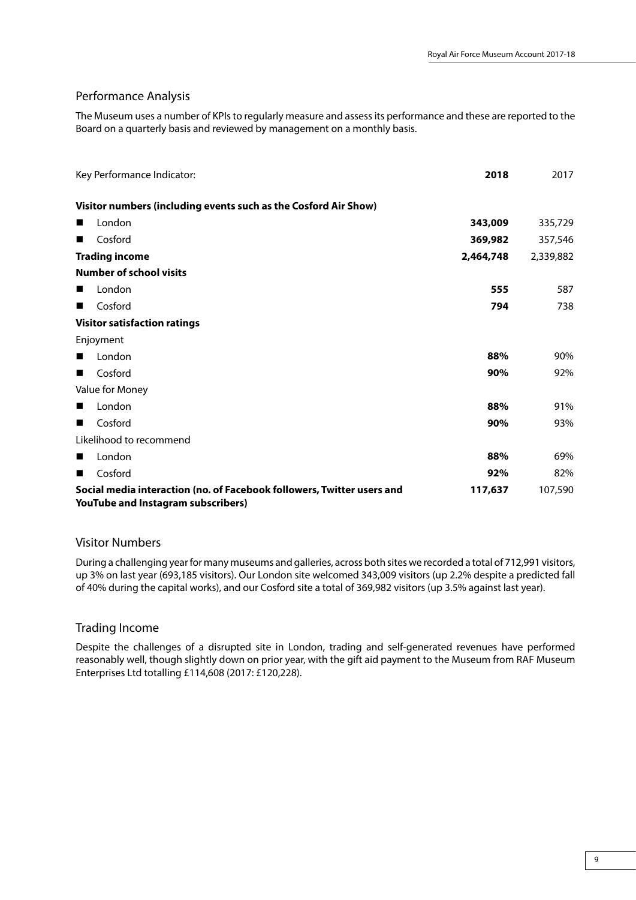## Performance Analysis

The Museum uses a number of KPIs to regularly measure and assess its performance and these are reported to the Board on a quarterly basis and reviewed by management on a monthly basis.

| Key Performance Indicator:                                                                                          | 2018      | 2017      |
|---------------------------------------------------------------------------------------------------------------------|-----------|-----------|
| Visitor numbers (including events such as the Cosford Air Show)                                                     |           |           |
| London<br>ш                                                                                                         | 343,009   | 335,729   |
| Cosford<br>$\blacksquare$                                                                                           | 369,982   | 357,546   |
| <b>Trading income</b>                                                                                               | 2,464,748 | 2,339,882 |
| <b>Number of school visits</b>                                                                                      |           |           |
| London                                                                                                              | 555       | 587       |
| Cosford<br>■                                                                                                        | 794       | 738       |
| <b>Visitor satisfaction ratings</b>                                                                                 |           |           |
| Enjoyment                                                                                                           |           |           |
| London<br>ш                                                                                                         | 88%       | 90%       |
| Cosford<br>■                                                                                                        | 90%       | 92%       |
| Value for Money                                                                                                     |           |           |
| London<br>ш                                                                                                         | 88%       | 91%       |
| Cosford<br>■                                                                                                        | 90%       | 93%       |
| Likelihood to recommend                                                                                             |           |           |
| London<br>ш                                                                                                         | 88%       | 69%       |
| Cosford<br>ш                                                                                                        | 92%       | 82%       |
| Social media interaction (no. of Facebook followers, Twitter users and<br><b>YouTube and Instagram subscribers)</b> | 117,637   | 107,590   |

## Visitor Numbers

During a challenging year for many museums and galleries, across both sites we recorded a total of 712,991 visitors, up 3% on last year (693,185 visitors). Our London site welcomed 343,009 visitors (up 2.2% despite a predicted fall of 40% during the capital works), and our Cosford site a total of 369,982 visitors (up 3.5% against last year).

## Trading Income

Despite the challenges of a disrupted site in London, trading and self-generated revenues have performed reasonably well, though slightly down on prior year, with the gift aid payment to the Museum from RAF Museum Enterprises Ltd totalling £114,608 (2017: £120,228).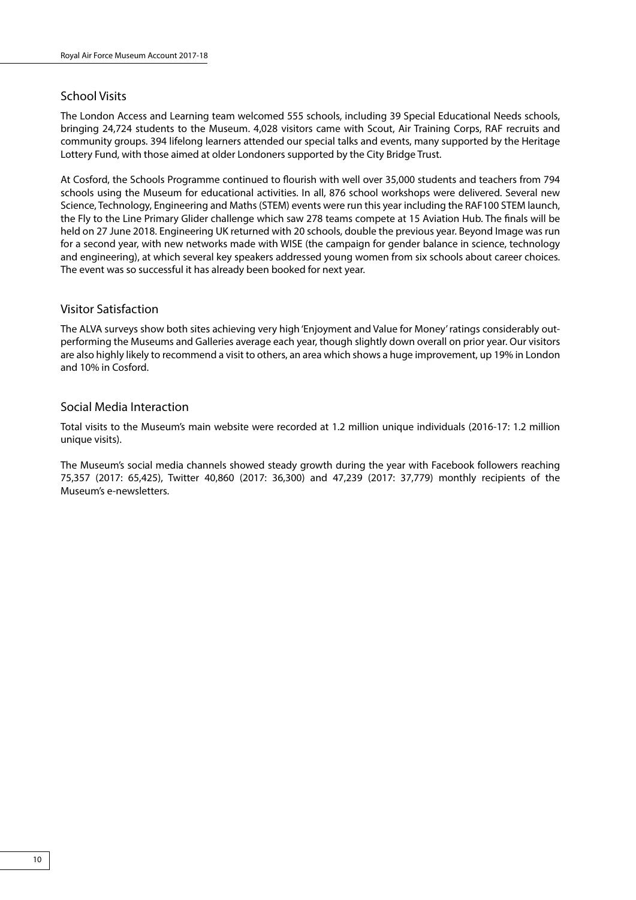## School Visits

The London Access and Learning team welcomed 555 schools, including 39 Special Educational Needs schools, bringing 24,724 students to the Museum. 4,028 visitors came with Scout, Air Training Corps, RAF recruits and community groups. 394 lifelong learners attended our special talks and events, many supported by the Heritage Lottery Fund, with those aimed at older Londoners supported by the City Bridge Trust.

At Cosford, the Schools Programme continued to flourish with well over 35,000 students and teachers from 794 schools using the Museum for educational activities. In all, 876 school workshops were delivered. Several new Science, Technology, Engineering and Maths (STEM) events were run this year including the RAF100 STEM launch, the Fly to the Line Primary Glider challenge which saw 278 teams compete at 15 Aviation Hub. The finals will be held on 27 June 2018. Engineering UK returned with 20 schools, double the previous year. Beyond Image was run for a second year, with new networks made with WISE (the campaign for gender balance in science, technology and engineering), at which several key speakers addressed young women from six schools about career choices. The event was so successful it has already been booked for next year.

#### Visitor Satisfaction

The ALVA surveys show both sites achieving very high 'Enjoyment and Value for Money' ratings considerably outperforming the Museums and Galleries average each year, though slightly down overall on prior year. Our visitors are also highly likely to recommend a visit to others, an area which shows a huge improvement, up 19% in London and 10% in Cosford.

## Social Media Interaction

Total visits to the Museum's main website were recorded at 1.2 million unique individuals (2016-17: 1.2 million unique visits).

The Museum's social media channels showed steady growth during the year with Facebook followers reaching 75,357 (2017: 65,425), Twitter 40,860 (2017: 36,300) and 47,239 (2017: 37,779) monthly recipients of the Museum's e-newsletters.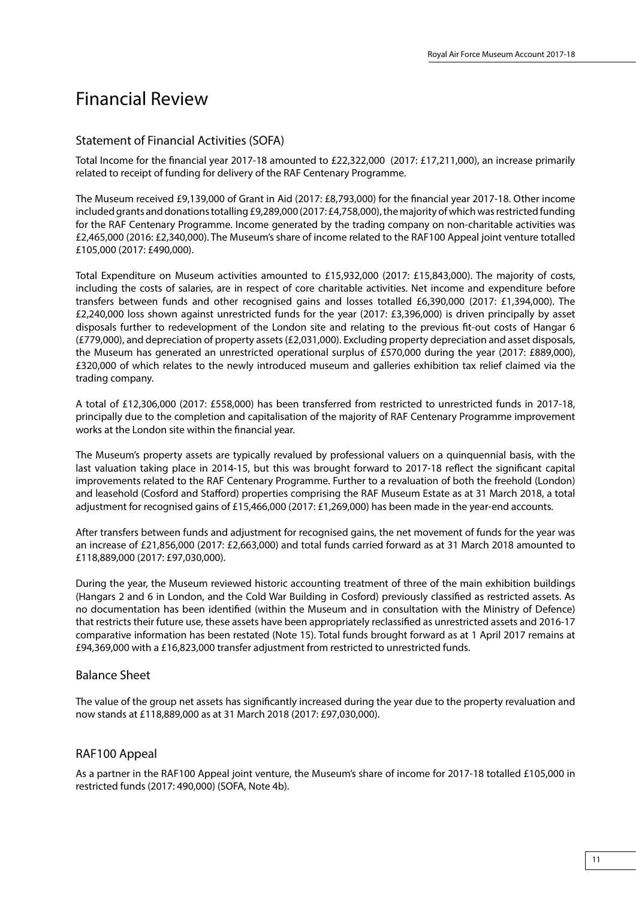## Financial Review

## Statement of Financial Activities (SOFA)

Total Income for the financial year 2017-18 amounted to £22,322,000 (2017: £17,211,000), an increase primarily related to receipt of funding for delivery of the RAF Centenary Programme.

The Museum received £9,139,000 of Grant in Aid (2017: £8,793,000) for the financial year 2017-18. Other income included grants and donations totalling £9,289,000 (2017: £4,758,000), the majority of which was restricted funding for the RAF Centenary Programme. Income generated by the trading company on non-charitable activities was £2,465,000 (2016: £2,340,000). The Museum's share of income related to the RAF100 Appeal joint venture totalled £105,000 (2017: £490,000).

Total Expenditure on Museum activities amounted to £15,932,000 (2017: £15,843,000). The majority of costs, including the costs of salaries, are in respect of core charitable activities. Net income and expenditure before transfers between funds and other recognised gains and losses totalled £6,390,000 (2017: £1,394,000). The £2,240,000 loss shown against unrestricted funds for the year (2017: £3,396,000) is driven principally by asset disposals further to redevelopment of the London site and relating to the previous fit-out costs of Hangar 6 (£779,000), and depreciation of property assets (£2,031,000). Excluding property depreciation and asset disposals, the Museum has generated an unrestricted operational surplus of £570,000 during the year (2017: £889,000), £320,000 of which relates to the newly introduced museum and galleries exhibition tax relief claimed via the trading company.

A total of £12,306,000 (2017: £558,000) has been transferred from restricted to unrestricted funds in 2017-18, principally due to the completion and capitalisation of the majority of RAF Centenary Programme improvement works at the London site within the financial year.

The Museum's property assets are typically revalued by professional valuers on a quinquennial basis, with the last valuation taking place in 2014-15, but this was brought forward to 2017-18 reflect the significant capital improvements related to the RAF Centenary Programme. Further to a revaluation of both the freehold (London) and leasehold (Cosford and Stafford) properties comprising the RAF Museum Estate as at 31 March 2018, a total adjustment for recognised gains of £15,466,000 (2017: £1,269,000) has been made in the year-end accounts.

After transfers between funds and adjustment for recognised gains, the net movement of funds for the year was an increase of £21,856,000 (2017: £2,663,000) and total funds carried forward as at 31 March 2018 amounted to £118,889,000 (2017: £97,030,000).

During the year, the Museum reviewed historic accounting treatment of three of the main exhibition buildings (Hangars 2 and 6 in London, and the Cold War Building in Cosford) previously classified as restricted assets. As no documentation has been identified (within the Museum and in consultation with the Ministry of Defence) that restricts their future use, these assets have been appropriately reclassified as unrestricted assets and 2016-17 comparative information has been restated (Note 15). Total funds brought forward as at 1 April 2017 remains at £94,369,000 with a £16,823,000 transfer adjustment from restricted to unrestricted funds.

## Balance Sheet

The value of the group net assets has significantly increased during the year due to the property revaluation and now stands at £118,889,000 as at 31 March 2018 (2017: £97,030,000).

## RAF100 Appeal

As a partner in the RAF100 Appeal joint venture, the Museum's share of income for 2017-18 totalled £105,000 in restricted funds (2017: 490,000) (SOFA, Note 4b).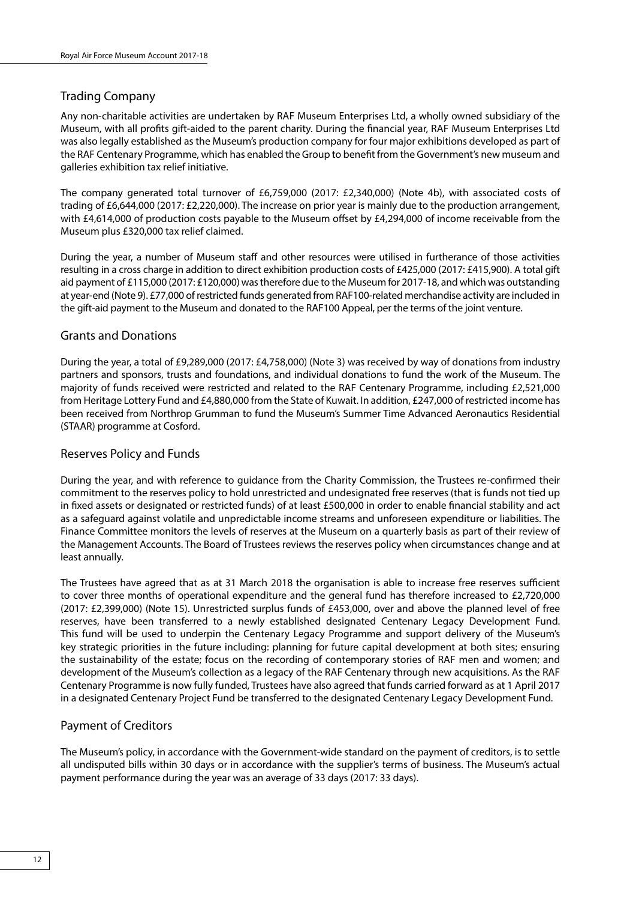## Trading Company

Any non-charitable activities are undertaken by RAF Museum Enterprises Ltd, a wholly owned subsidiary of the Museum, with all profits gift-aided to the parent charity. During the financial year, RAF Museum Enterprises Ltd was also legally established as the Museum's production company for four major exhibitions developed as part of the RAF Centenary Programme, which has enabled the Group to benefit from the Government's new museum and galleries exhibition tax relief initiative.

The company generated total turnover of £6,759,000 (2017: £2,340,000) (Note 4b), with associated costs of trading of £6,644,000 (2017: £2,220,000). The increase on prior year is mainly due to the production arrangement, with £4,614,000 of production costs payable to the Museum offset by £4,294,000 of income receivable from the Museum plus £320,000 tax relief claimed.

During the year, a number of Museum staff and other resources were utilised in furtherance of those activities resulting in a cross charge in addition to direct exhibition production costs of £425,000 (2017: £415,900). A total gift aid payment of £115,000 (2017: £120,000) was therefore due to the Museum for 2017-18, and which was outstanding at year-end (Note 9). £77,000 of restricted funds generated from RAF100-related merchandise activity are included in the gift-aid payment to the Museum and donated to the RAF100 Appeal, per the terms of the joint venture.

## Grants and Donations

During the year, a total of £9,289,000 (2017: £4,758,000) (Note 3) was received by way of donations from industry partners and sponsors, trusts and foundations, and individual donations to fund the work of the Museum. The majority of funds received were restricted and related to the RAF Centenary Programme, including £2,521,000 from Heritage Lottery Fund and £4,880,000 from the State of Kuwait. In addition, £247,000 of restricted income has been received from Northrop Grumman to fund the Museum's Summer Time Advanced Aeronautics Residential (STAAR) programme at Cosford.

## Reserves Policy and Funds

During the year, and with reference to guidance from the Charity Commission, the Trustees re-confirmed their commitment to the reserves policy to hold unrestricted and undesignated free reserves (that is funds not tied up in fixed assets or designated or restricted funds) of at least £500,000 in order to enable financial stability and act as a safeguard against volatile and unpredictable income streams and unforeseen expenditure or liabilities. The Finance Committee monitors the levels of reserves at the Museum on a quarterly basis as part of their review of the Management Accounts. The Board of Trustees reviews the reserves policy when circumstances change and at least annually.

The Trustees have agreed that as at 31 March 2018 the organisation is able to increase free reserves sufficient to cover three months of operational expenditure and the general fund has therefore increased to £2,720,000 (2017: £2,399,000) (Note 15). Unrestricted surplus funds of £453,000, over and above the planned level of free reserves, have been transferred to a newly established designated Centenary Legacy Development Fund. This fund will be used to underpin the Centenary Legacy Programme and support delivery of the Museum's key strategic priorities in the future including: planning for future capital development at both sites; ensuring the sustainability of the estate; focus on the recording of contemporary stories of RAF men and women; and development of the Museum's collection as a legacy of the RAF Centenary through new acquisitions. As the RAF Centenary Programme is now fully funded, Trustees have also agreed that funds carried forward as at 1 April 2017 in a designated Centenary Project Fund be transferred to the designated Centenary Legacy Development Fund.

## Payment of Creditors

The Museum's policy, in accordance with the Government-wide standard on the payment of creditors, is to settle all undisputed bills within 30 days or in accordance with the supplier's terms of business. The Museum's actual payment performance during the year was an average of 33 days (2017: 33 days).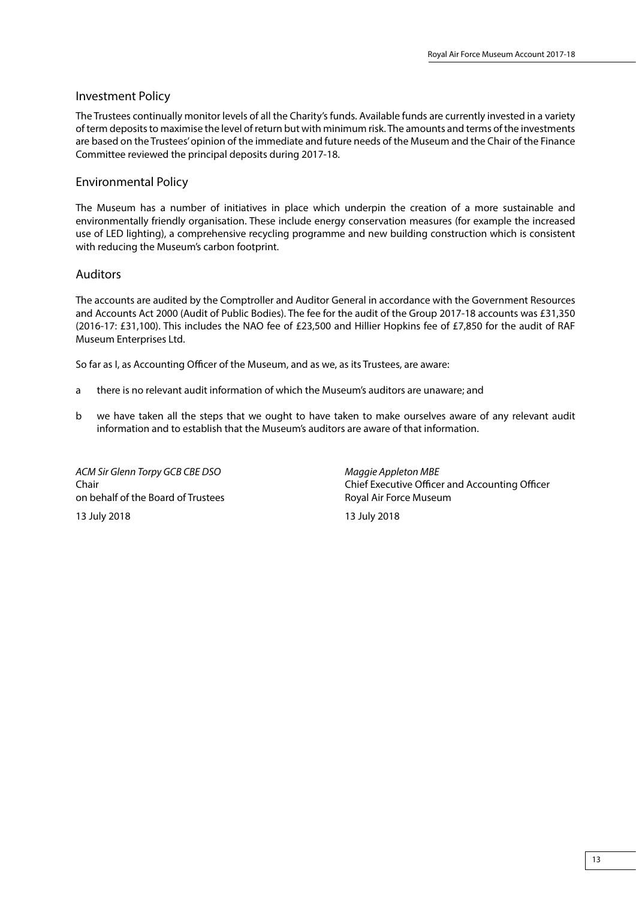### Investment Policy

The Trustees continually monitor levels of all the Charity's funds. Available funds are currently invested in a variety of term deposits to maximise the level of return but with minimum risk. The amounts and terms of the investments are based on the Trustees' opinion of the immediate and future needs of the Museum and the Chair of the Finance Committee reviewed the principal deposits during 2017-18.

## Environmental Policy

The Museum has a number of initiatives in place which underpin the creation of a more sustainable and environmentally friendly organisation. These include energy conservation measures (for example the increased use of LED lighting), a comprehensive recycling programme and new building construction which is consistent with reducing the Museum's carbon footprint.

#### Auditors

The accounts are audited by the Comptroller and Auditor General in accordance with the Government Resources and Accounts Act 2000 (Audit of Public Bodies). The fee for the audit of the Group 2017-18 accounts was £31,350 (2016-17: £31,100). This includes the NAO fee of £23,500 and Hillier Hopkins fee of £7,850 for the audit of RAF Museum Enterprises Ltd.

So far as I, as Accounting Officer of the Museum, and as we, as its Trustees, are aware:

- a there is no relevant audit information of which the Museum's auditors are unaware; and
- b we have taken all the steps that we ought to have taken to make ourselves aware of any relevant audit information and to establish that the Museum's auditors are aware of that information.

*ACM Sir Glenn Torpy GCB CBE DSO Maggie Appleton MBE* on behalf of the Board of Trustees **Royal Air Force Museum** 13 July 2018 13 July 2018

Chair Chief Executive Officer and Accounting Officer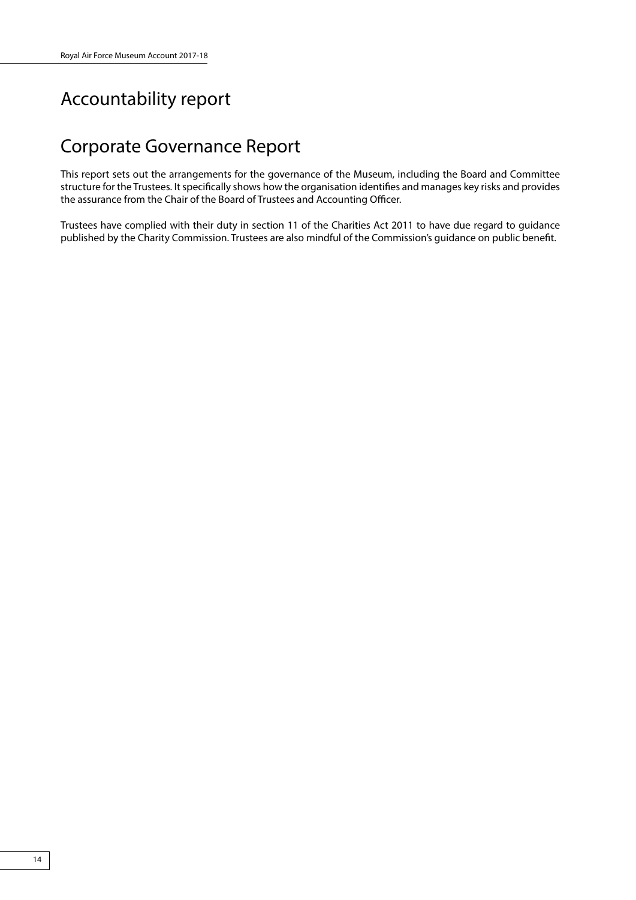## Accountability report

## Corporate Governance Report

This report sets out the arrangements for the governance of the Museum, including the Board and Committee structure for the Trustees. It specifically shows how the organisation identifies and manages key risks and provides the assurance from the Chair of the Board of Trustees and Accounting Officer.

Trustees have complied with their duty in section 11 of the Charities Act 2011 to have due regard to guidance published by the Charity Commission. Trustees are also mindful of the Commission's guidance on public benefit.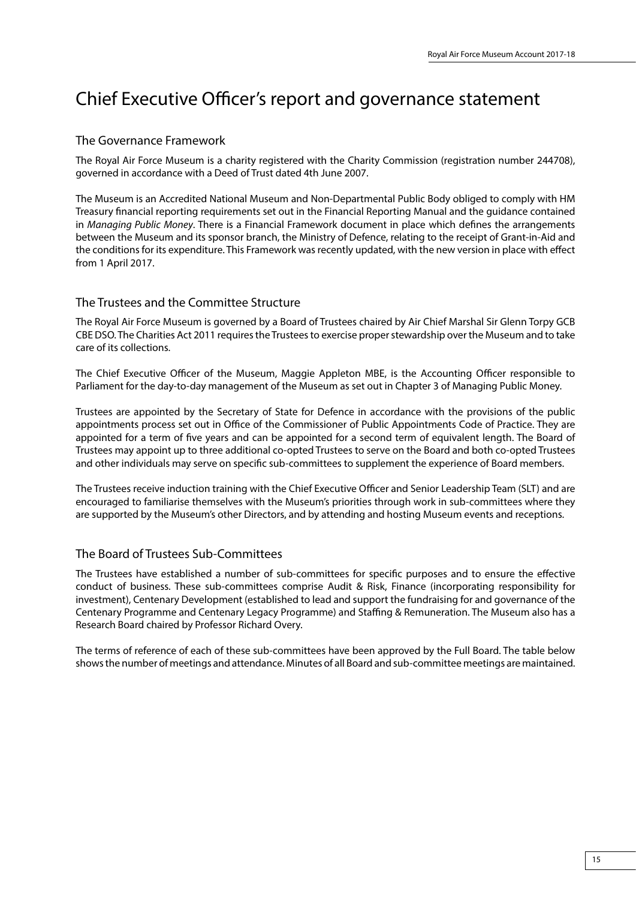## Chief Executive Officer's report and governance statement

## The Governance Framework

The Royal Air Force Museum is a charity registered with the Charity Commission (registration number 244708), governed in accordance with a Deed of Trust dated 4th June 2007.

The Museum is an Accredited National Museum and Non-Departmental Public Body obliged to comply with HM Treasury financial reporting requirements set out in the Financial Reporting Manual and the guidance contained in *Managing Public Money*. There is a Financial Framework document in place which defines the arrangements between the Museum and its sponsor branch, the Ministry of Defence, relating to the receipt of Grant-in-Aid and the conditions for its expenditure. This Framework was recently updated, with the new version in place with effect from 1 April 2017.

## The Trustees and the Committee Structure

The Royal Air Force Museum is governed by a Board of Trustees chaired by Air Chief Marshal Sir Glenn Torpy GCB CBE DSO. The Charities Act 2011 requires the Trustees to exercise proper stewardship over the Museum and to take care of its collections.

The Chief Executive Officer of the Museum, Maggie Appleton MBE, is the Accounting Officer responsible to Parliament for the day-to-day management of the Museum as set out in Chapter 3 of Managing Public Money.

Trustees are appointed by the Secretary of State for Defence in accordance with the provisions of the public appointments process set out in Office of the Commissioner of Public Appointments Code of Practice. They are appointed for a term of five years and can be appointed for a second term of equivalent length. The Board of Trustees may appoint up to three additional co-opted Trustees to serve on the Board and both co-opted Trustees and other individuals may serve on specific sub-committees to supplement the experience of Board members.

The Trustees receive induction training with the Chief Executive Officer and Senior Leadership Team (SLT) and are encouraged to familiarise themselves with the Museum's priorities through work in sub-committees where they are supported by the Museum's other Directors, and by attending and hosting Museum events and receptions.

## The Board of Trustees Sub-Committees

The Trustees have established a number of sub-committees for specific purposes and to ensure the effective conduct of business. These sub-committees comprise Audit & Risk, Finance (incorporating responsibility for investment), Centenary Development (established to lead and support the fundraising for and governance of the Centenary Programme and Centenary Legacy Programme) and Staffing & Remuneration. The Museum also has a Research Board chaired by Professor Richard Overy.

The terms of reference of each of these sub-committees have been approved by the Full Board. The table below shows the number of meetings and attendance. Minutes of all Board and sub-committee meetings are maintained.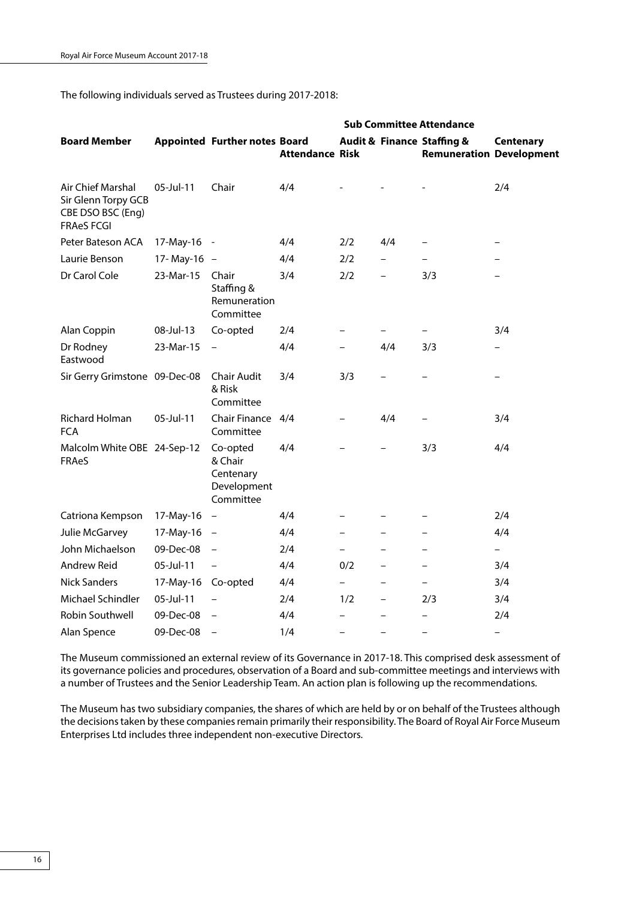The following individuals served as Trustees during 2017-2018:

|                                                                                    | <b>Sub Committee Attendance</b> |                                                              |                        |                          |                          |                                                                              |                          |  |  |
|------------------------------------------------------------------------------------|---------------------------------|--------------------------------------------------------------|------------------------|--------------------------|--------------------------|------------------------------------------------------------------------------|--------------------------|--|--|
| <b>Board Member</b>                                                                |                                 | <b>Appointed Further notes Board</b>                         | <b>Attendance Risk</b> |                          |                          | <b>Audit &amp; Finance Staffing &amp;</b><br><b>Remuneration Development</b> | <b>Centenary</b>         |  |  |
| Air Chief Marshal<br>Sir Glenn Torpy GCB<br>CBE DSO BSC (Eng)<br><b>FRAeS FCGI</b> | 05-Jul-11                       | Chair                                                        | 4/4                    |                          |                          |                                                                              | 2/4                      |  |  |
| Peter Bateson ACA                                                                  | 17-May-16                       | $\sim$                                                       | 4/4                    | 2/2                      | 4/4                      |                                                                              | -                        |  |  |
| Laurie Benson                                                                      | 17-May-16 $-$                   |                                                              | 4/4                    | 2/2                      | -                        |                                                                              |                          |  |  |
| Dr Carol Cole                                                                      | 23-Mar-15                       | Chair<br>Staffing &<br>Remuneration<br>Committee             | 3/4                    | 2/2                      | $\overline{\phantom{m}}$ | 3/3                                                                          |                          |  |  |
| Alan Coppin                                                                        | 08-Jul-13                       | Co-opted                                                     | 2/4                    | $\overline{\phantom{0}}$ | -                        | -                                                                            | 3/4                      |  |  |
| Dr Rodney<br>Eastwood                                                              | 23-Mar-15                       | $\qquad \qquad -$                                            | 4/4                    | $\equiv$                 | 4/4                      | 3/3                                                                          | $\overline{\phantom{0}}$ |  |  |
| Sir Gerry Grimstone 09-Dec-08                                                      |                                 | Chair Audit<br>& Risk<br>Committee                           | 3/4                    | 3/3                      | $\overline{a}$           |                                                                              | $\equiv$                 |  |  |
| Richard Holman<br><b>FCA</b>                                                       | 05-Jul-11                       | Chair Finance 4/4<br>Committee                               |                        | -                        | 4/4                      |                                                                              | 3/4                      |  |  |
| Malcolm White OBE 24-Sep-12<br><b>FRAeS</b>                                        |                                 | Co-opted<br>& Chair<br>Centenary<br>Development<br>Committee | 4/4                    | $\overline{\phantom{0}}$ | -                        | 3/3                                                                          | 4/4                      |  |  |
| Catriona Kempson                                                                   | 17-May-16                       | $\qquad \qquad -$                                            | 4/4                    |                          |                          |                                                                              | 2/4                      |  |  |
| Julie McGarvey                                                                     | 17-May-16                       | $\qquad \qquad -$                                            | 4/4                    | $-$                      |                          |                                                                              | 4/4                      |  |  |
| John Michaelson                                                                    | 09-Dec-08                       | $\qquad \qquad -$                                            | 2/4                    | $\overline{\phantom{0}}$ |                          |                                                                              | Ξ.                       |  |  |
| <b>Andrew Reid</b>                                                                 | 05-Jul-11                       | $\overline{\phantom{0}}$                                     | 4/4                    | 0/2                      |                          |                                                                              | 3/4                      |  |  |
| <b>Nick Sanders</b>                                                                | 17-May-16 Co-opted              |                                                              | 4/4                    | $\overline{\phantom{0}}$ |                          |                                                                              | 3/4                      |  |  |
| Michael Schindler                                                                  | 05-Jul-11                       |                                                              | 2/4                    | 1/2                      |                          | 2/3                                                                          | 3/4                      |  |  |
| <b>Robin Southwell</b>                                                             | 09-Dec-08                       | $\qquad \qquad -$                                            | 4/4                    | $\overline{\phantom{0}}$ |                          | $\overline{\phantom{0}}$                                                     | 2/4                      |  |  |
| Alan Spence                                                                        | 09-Dec-08                       |                                                              | 1/4                    |                          |                          |                                                                              | -                        |  |  |

The Museum commissioned an external review of its Governance in 2017-18. This comprised desk assessment of its governance policies and procedures, observation of a Board and sub-committee meetings and interviews with a number of Trustees and the Senior Leadership Team. An action plan is following up the recommendations.

The Museum has two subsidiary companies, the shares of which are held by or on behalf of the Trustees although the decisions taken by these companies remain primarily their responsibility. The Board of Royal Air Force Museum Enterprises Ltd includes three independent non-executive Directors.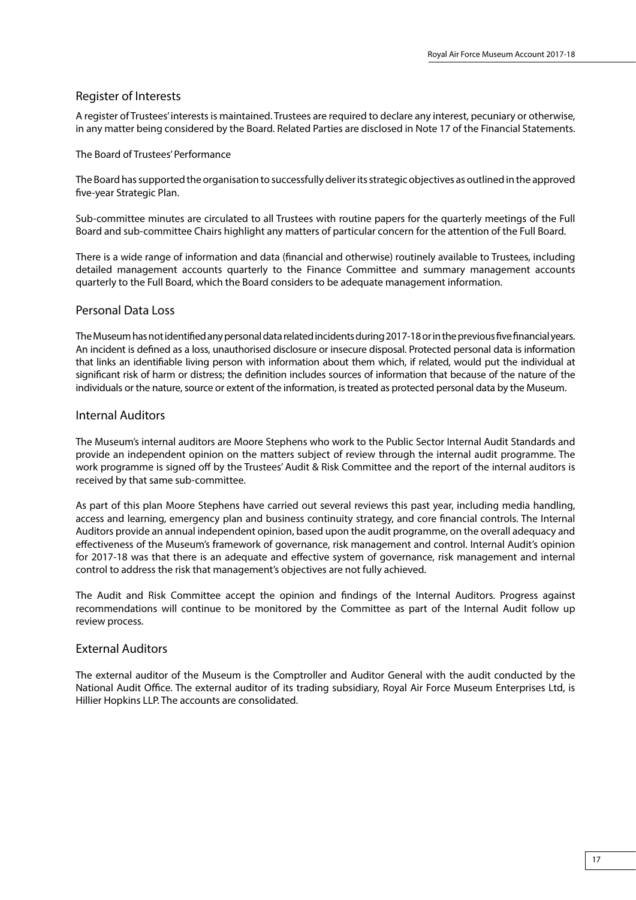### Register of Interests

A register of Trustees' interests is maintained. Trustees are required to declare any interest, pecuniary or otherwise, in any matter being considered by the Board. Related Parties are disclosed in Note 17 of the Financial Statements.

#### The Board of Trustees' Performance

The Board has supported the organisation to successfully deliver its strategic objectives as outlined in the approved five-year Strategic Plan.

Sub-committee minutes are circulated to all Trustees with routine papers for the quarterly meetings of the Full Board and sub-committee Chairs highlight any matters of particular concern for the attention of the Full Board.

There is a wide range of information and data (financial and otherwise) routinely available to Trustees, including detailed management accounts quarterly to the Finance Committee and summary management accounts quarterly to the Full Board, which the Board considers to be adequate management information.

#### Personal Data Loss

The Museum has not identified any personal data related incidents during 2017-18 or in the previous five financial years. An incident is defined as a loss, unauthorised disclosure or insecure disposal. Protected personal data is information that links an identifiable living person with information about them which, if related, would put the individual at significant risk of harm or distress; the definition includes sources of information that because of the nature of the individuals or the nature, source or extent of the information, is treated as protected personal data by the Museum.

## Internal Auditors

The Museum's internal auditors are Moore Stephens who work to the Public Sector Internal Audit Standards and provide an independent opinion on the matters subject of review through the internal audit programme. The work programme is signed off by the Trustees' Audit & Risk Committee and the report of the internal auditors is received by that same sub-committee.

As part of this plan Moore Stephens have carried out several reviews this past year, including media handling, access and learning, emergency plan and business continuity strategy, and core financial controls. The Internal Auditors provide an annual independent opinion, based upon the audit programme, on the overall adequacy and effectiveness of the Museum's framework of governance, risk management and control. Internal Audit's opinion for 2017-18 was that there is an adequate and effective system of governance, risk management and internal control to address the risk that management's objectives are not fully achieved.

The Audit and Risk Committee accept the opinion and findings of the Internal Auditors. Progress against recommendations will continue to be monitored by the Committee as part of the Internal Audit follow up review process.

## External Auditors

The external auditor of the Museum is the Comptroller and Auditor General with the audit conducted by the National Audit Office. The external auditor of its trading subsidiary, Royal Air Force Museum Enterprises Ltd, is Hillier Hopkins LLP. The accounts are consolidated.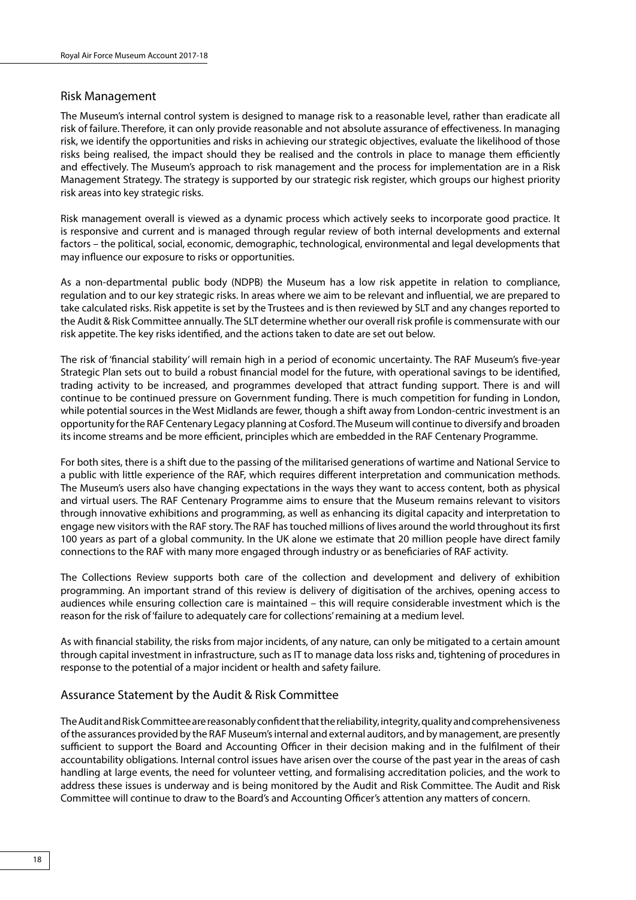## Risk Management

The Museum's internal control system is designed to manage risk to a reasonable level, rather than eradicate all risk of failure. Therefore, it can only provide reasonable and not absolute assurance of effectiveness. In managing risk, we identify the opportunities and risks in achieving our strategic objectives, evaluate the likelihood of those risks being realised, the impact should they be realised and the controls in place to manage them efficiently and effectively. The Museum's approach to risk management and the process for implementation are in a Risk Management Strategy. The strategy is supported by our strategic risk register, which groups our highest priority risk areas into key strategic risks.

Risk management overall is viewed as a dynamic process which actively seeks to incorporate good practice. It is responsive and current and is managed through regular review of both internal developments and external factors – the political, social, economic, demographic, technological, environmental and legal developments that may influence our exposure to risks or opportunities.

As a non-departmental public body (NDPB) the Museum has a low risk appetite in relation to compliance, regulation and to our key strategic risks. In areas where we aim to be relevant and influential, we are prepared to take calculated risks. Risk appetite is set by the Trustees and is then reviewed by SLT and any changes reported to the Audit & Risk Committee annually. The SLT determine whether our overall risk profile is commensurate with our risk appetite. The key risks identified, and the actions taken to date are set out below.

The risk of 'financial stability' will remain high in a period of economic uncertainty. The RAF Museum's five-year Strategic Plan sets out to build a robust financial model for the future, with operational savings to be identified, trading activity to be increased, and programmes developed that attract funding support. There is and will continue to be continued pressure on Government funding. There is much competition for funding in London, while potential sources in the West Midlands are fewer, though a shift away from London-centric investment is an opportunity for the RAF Centenary Legacy planning at Cosford. The Museum will continue to diversify and broaden its income streams and be more efficient, principles which are embedded in the RAF Centenary Programme.

For both sites, there is a shift due to the passing of the militarised generations of wartime and National Service to a public with little experience of the RAF, which requires different interpretation and communication methods. The Museum's users also have changing expectations in the ways they want to access content, both as physical and virtual users. The RAF Centenary Programme aims to ensure that the Museum remains relevant to visitors through innovative exhibitions and programming, as well as enhancing its digital capacity and interpretation to engage new visitors with the RAF story. The RAF has touched millions of lives around the world throughout its first 100 years as part of a global community. In the UK alone we estimate that 20 million people have direct family connections to the RAF with many more engaged through industry or as beneficiaries of RAF activity.

The Collections Review supports both care of the collection and development and delivery of exhibition programming. An important strand of this review is delivery of digitisation of the archives, opening access to audiences while ensuring collection care is maintained – this will require considerable investment which is the reason for the risk of 'failure to adequately care for collections' remaining at a medium level.

As with financial stability, the risks from major incidents, of any nature, can only be mitigated to a certain amount through capital investment in infrastructure, such as IT to manage data loss risks and, tightening of procedures in response to the potential of a major incident or health and safety failure.

## Assurance Statement by the Audit & Risk Committee

The Audit and Risk Committee are reasonably confident that the reliability, integrity, quality and comprehensiveness of the assurances provided by the RAF Museum's internal and external auditors, and by management, are presently sufficient to support the Board and Accounting Officer in their decision making and in the fulfilment of their accountability obligations. Internal control issues have arisen over the course of the past year in the areas of cash handling at large events, the need for volunteer vetting, and formalising accreditation policies, and the work to address these issues is underway and is being monitored by the Audit and Risk Committee. The Audit and Risk Committee will continue to draw to the Board's and Accounting Officer's attention any matters of concern.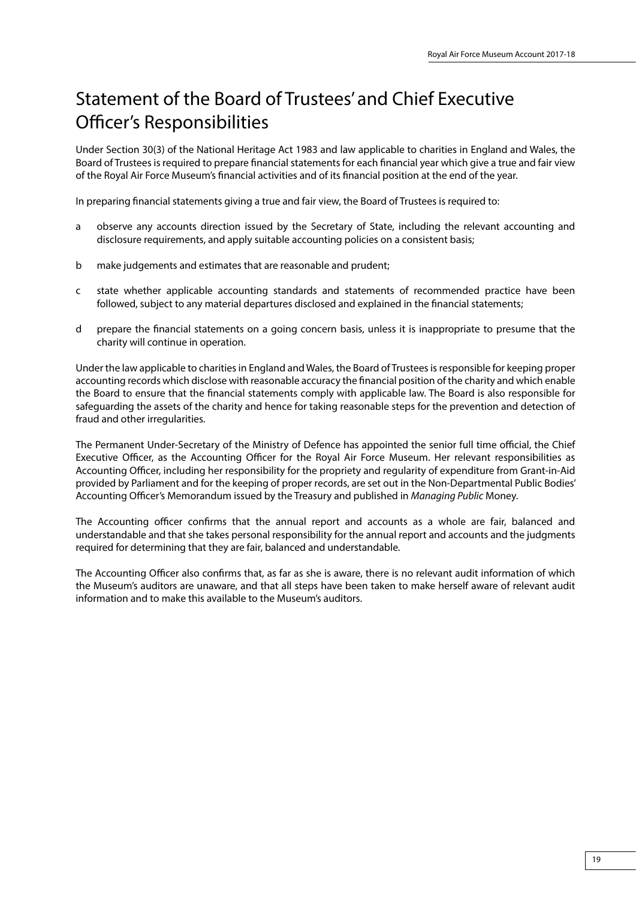## Statement of the Board of Trustees' and Chief Executive Officer's Responsibilities

Under Section 30(3) of the National Heritage Act 1983 and law applicable to charities in England and Wales, the Board of Trustees is required to prepare financial statements for each financial year which give a true and fair view of the Royal Air Force Museum's financial activities and of its financial position at the end of the year.

In preparing financial statements giving a true and fair view, the Board of Trustees is required to:

- a observe any accounts direction issued by the Secretary of State, including the relevant accounting and disclosure requirements, and apply suitable accounting policies on a consistent basis;
- b make judgements and estimates that are reasonable and prudent;
- c state whether applicable accounting standards and statements of recommended practice have been followed, subject to any material departures disclosed and explained in the financial statements;
- d prepare the financial statements on a going concern basis, unless it is inappropriate to presume that the charity will continue in operation.

Under the law applicable to charities in England and Wales, the Board of Trustees is responsible for keeping proper accounting records which disclose with reasonable accuracy the financial position of the charity and which enable the Board to ensure that the financial statements comply with applicable law. The Board is also responsible for safeguarding the assets of the charity and hence for taking reasonable steps for the prevention and detection of fraud and other irregularities.

The Permanent Under-Secretary of the Ministry of Defence has appointed the senior full time official, the Chief Executive Officer, as the Accounting Officer for the Royal Air Force Museum. Her relevant responsibilities as Accounting Officer, including her responsibility for the propriety and regularity of expenditure from Grant-in-Aid provided by Parliament and for the keeping of proper records, are set out in the Non-Departmental Public Bodies' Accounting Officer's Memorandum issued by the Treasury and published in *Managing Public* Money.

The Accounting officer confirms that the annual report and accounts as a whole are fair, balanced and understandable and that she takes personal responsibility for the annual report and accounts and the judgments required for determining that they are fair, balanced and understandable.

The Accounting Officer also confirms that, as far as she is aware, there is no relevant audit information of which the Museum's auditors are unaware, and that all steps have been taken to make herself aware of relevant audit information and to make this available to the Museum's auditors.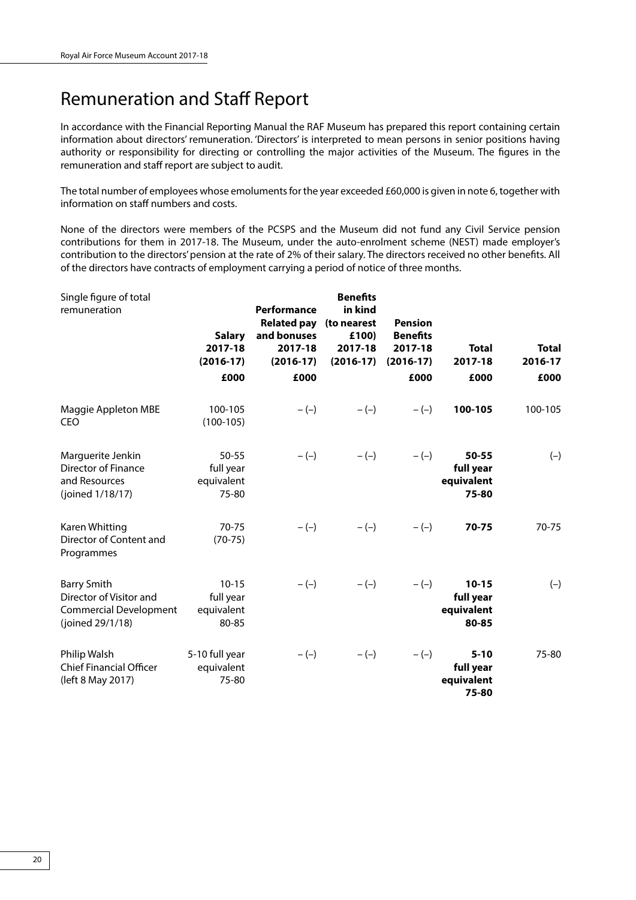## Remuneration and Staff Report

In accordance with the Financial Reporting Manual the RAF Museum has prepared this report containing certain information about directors' remuneration. 'Directors' is interpreted to mean persons in senior positions having authority or responsibility for directing or controlling the major activities of the Museum. The figures in the remuneration and staff report are subject to audit.

The total number of employees whose emoluments for the year exceeded £60,000 is given in note 6, together with information on staff numbers and costs.

None of the directors were members of the PCSPS and the Museum did not fund any Civil Service pension contributions for them in 2017-18. The Museum, under the auto-enrolment scheme (NEST) made employer's contribution to the directors' pension at the rate of 2% of their salary. The directors received no other benefits. All of the directors have contracts of employment carrying a period of notice of three months.

| Single figure of total<br>remuneration                                                             | <b>Salary</b><br>2017-18<br>$(2016-17)$<br>£000 | Performance<br><b>Related pay</b><br>and bonuses<br>2017-18<br>$(2016-17)$<br>£000 | <b>Benefits</b><br>in kind<br>(to nearest<br>£100)<br>2017-18<br>$(2016-17)$ | <b>Pension</b><br><b>Benefits</b><br>2017-18<br>$(2016-17)$<br>£000 | <b>Total</b><br>2017-18<br>£000               | <b>Total</b><br>2016-17<br>£000 |
|----------------------------------------------------------------------------------------------------|-------------------------------------------------|------------------------------------------------------------------------------------|------------------------------------------------------------------------------|---------------------------------------------------------------------|-----------------------------------------------|---------------------------------|
| Maggie Appleton MBE<br>CEO                                                                         | 100-105<br>$(100-105)$                          | $-(-)$                                                                             | $-(-)$                                                                       | $-(-)$                                                              | 100-105                                       | 100-105                         |
| Marguerite Jenkin<br><b>Director of Finance</b><br>and Resources<br>(joined 1/18/17)               | $50 - 55$<br>full year<br>equivalent<br>75-80   | $-(-)$                                                                             | $-(-)$                                                                       | $-(-)$                                                              | 50-55<br>full year<br>equivalent<br>75-80     | $(-)$                           |
| Karen Whitting<br>Director of Content and<br>Programmes                                            | $70 - 75$<br>$(70-75)$                          | $-(-)$                                                                             | $-(-)$                                                                       | $-(-)$                                                              | 70-75                                         | 70-75                           |
| <b>Barry Smith</b><br>Director of Visitor and<br><b>Commercial Development</b><br>(joined 29/1/18) | $10 - 15$<br>full year<br>equivalent<br>80-85   | $-(-)$                                                                             | $-(-)$                                                                       | $-(-)$                                                              | $10 - 15$<br>full year<br>equivalent<br>80-85 | $(-)$                           |
| Philip Walsh<br><b>Chief Financial Officer</b><br>(left 8 May 2017)                                | 5-10 full year<br>equivalent<br>75-80           | $-(-)$                                                                             | $-(-)$                                                                       | $-(-)$                                                              | $5 - 10$<br>full year<br>equivalent<br>75-80  | 75-80                           |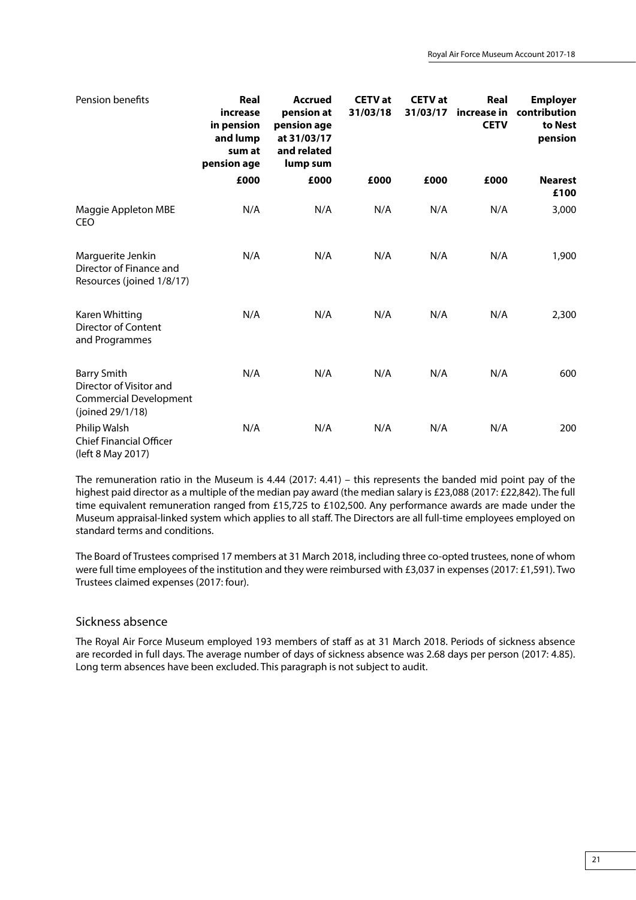| <b>Pension benefits</b>                                                                            | Real<br>increase<br>in pension<br>and lump<br>sum at<br>pension age | <b>Accrued</b><br>pension at<br>pension age<br>at 31/03/17<br>and related<br>lump sum | <b>CETV</b> at<br>31/03/18 | <b>CETV</b> at<br>31/03/17 | Real<br>increase in<br><b>CETV</b> | <b>Employer</b><br>contribution<br>to Nest<br>pension |
|----------------------------------------------------------------------------------------------------|---------------------------------------------------------------------|---------------------------------------------------------------------------------------|----------------------------|----------------------------|------------------------------------|-------------------------------------------------------|
|                                                                                                    | £000                                                                | £000                                                                                  | £000                       | £000                       | £000                               | <b>Nearest</b><br>£100                                |
| Maggie Appleton MBE<br>CEO                                                                         | N/A                                                                 | N/A                                                                                   | N/A                        | N/A                        | N/A                                | 3,000                                                 |
| Marguerite Jenkin<br>Director of Finance and<br>Resources (joined 1/8/17)                          | N/A                                                                 | N/A                                                                                   | N/A                        | N/A                        | N/A                                | 1,900                                                 |
| Karen Whitting<br><b>Director of Content</b><br>and Programmes                                     | N/A                                                                 | N/A                                                                                   | N/A                        | N/A                        | N/A                                | 2,300                                                 |
| <b>Barry Smith</b><br>Director of Visitor and<br><b>Commercial Development</b><br>(joined 29/1/18) | N/A                                                                 | N/A                                                                                   | N/A                        | N/A                        | N/A                                | 600                                                   |
| Philip Walsh<br><b>Chief Financial Officer</b><br>(left 8 May 2017)                                | N/A                                                                 | N/A                                                                                   | N/A                        | N/A                        | N/A                                | 200                                                   |

The remuneration ratio in the Museum is 4.44 (2017: 4.41) – this represents the banded mid point pay of the highest paid director as a multiple of the median pay award (the median salary is £23,088 (2017: £22,842). The full time equivalent remuneration ranged from £15,725 to £102,500. Any performance awards are made under the Museum appraisal-linked system which applies to all staff. The Directors are all full-time employees employed on standard terms and conditions.

The Board of Trustees comprised 17 members at 31 March 2018, including three co-opted trustees, none of whom were full time employees of the institution and they were reimbursed with £3,037 in expenses (2017: £1,591). Two Trustees claimed expenses (2017: four).

## Sickness absence

The Royal Air Force Museum employed 193 members of staff as at 31 March 2018. Periods of sickness absence are recorded in full days. The average number of days of sickness absence was 2.68 days per person (2017: 4.85). Long term absences have been excluded. This paragraph is not subject to audit.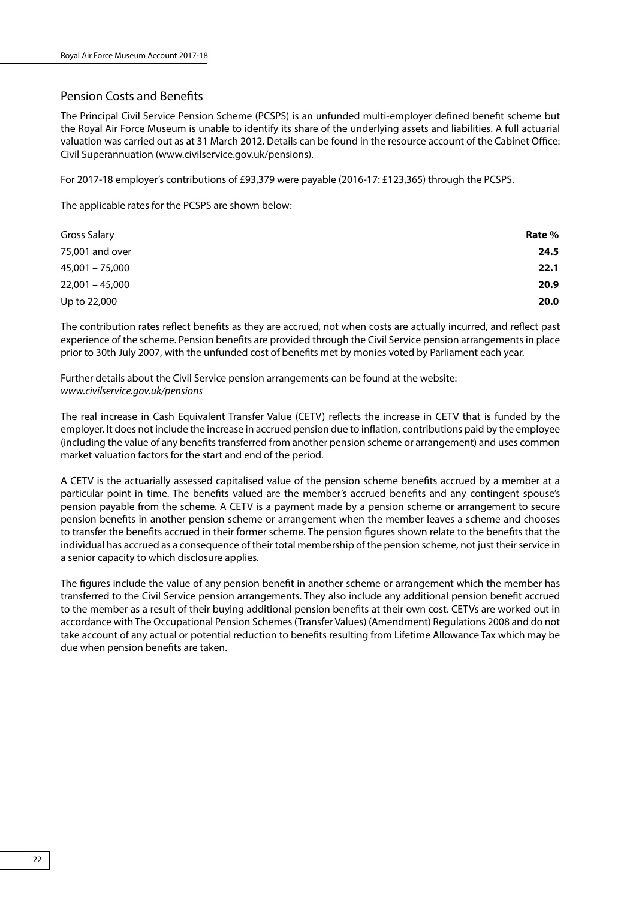## Pension Costs and Benefits

The Principal Civil Service Pension Scheme (PCSPS) is an unfunded multi-employer defined benefit scheme but the Royal Air Force Museum is unable to identify its share of the underlying assets and liabilities. A full actuarial valuation was carried out as at 31 March 2012. Details can be found in the resource account of the Cabinet Office: Civil Superannuation (www.civilservice.gov.uk/pensions).

For 2017-18 employer's contributions of £93,379 were payable (2016-17: £123,365) through the PCSPS.

The applicable rates for the PCSPS are shown below:

| Rate % |
|--------|
| 24.5   |
| 22.1   |
| 20.9   |
| 20.0   |
|        |

The contribution rates reflect benefits as they are accrued, not when costs are actually incurred, and reflect past experience of the scheme. Pension benefits are provided through the Civil Service pension arrangements in place prior to 30th July 2007, with the unfunded cost of benefits met by monies voted by Parliament each year.

Further details about the Civil Service pension arrangements can be found at the website: *www.civilservice.gov.uk/pensions*

The real increase in Cash Equivalent Transfer Value (CETV) reflects the increase in CETV that is funded by the employer. It does not include the increase in accrued pension due to inflation, contributions paid by the employee (including the value of any benefits transferred from another pension scheme or arrangement) and uses common market valuation factors for the start and end of the period.

A CETV is the actuarially assessed capitalised value of the pension scheme benefits accrued by a member at a particular point in time. The benefits valued are the member's accrued benefits and any contingent spouse's pension payable from the scheme. A CETV is a payment made by a pension scheme or arrangement to secure pension benefits in another pension scheme or arrangement when the member leaves a scheme and chooses to transfer the benefits accrued in their former scheme. The pension figures shown relate to the benefits that the individual has accrued as a consequence of their total membership of the pension scheme, not just their service in a senior capacity to which disclosure applies.

The figures include the value of any pension benefit in another scheme or arrangement which the member has transferred to the Civil Service pension arrangements. They also include any additional pension benefit accrued to the member as a result of their buying additional pension benefits at their own cost. CETVs are worked out in accordance with The Occupational Pension Schemes (Transfer Values) (Amendment) Regulations 2008 and do not take account of any actual or potential reduction to benefits resulting from Lifetime Allowance Tax which may be due when pension benefits are taken.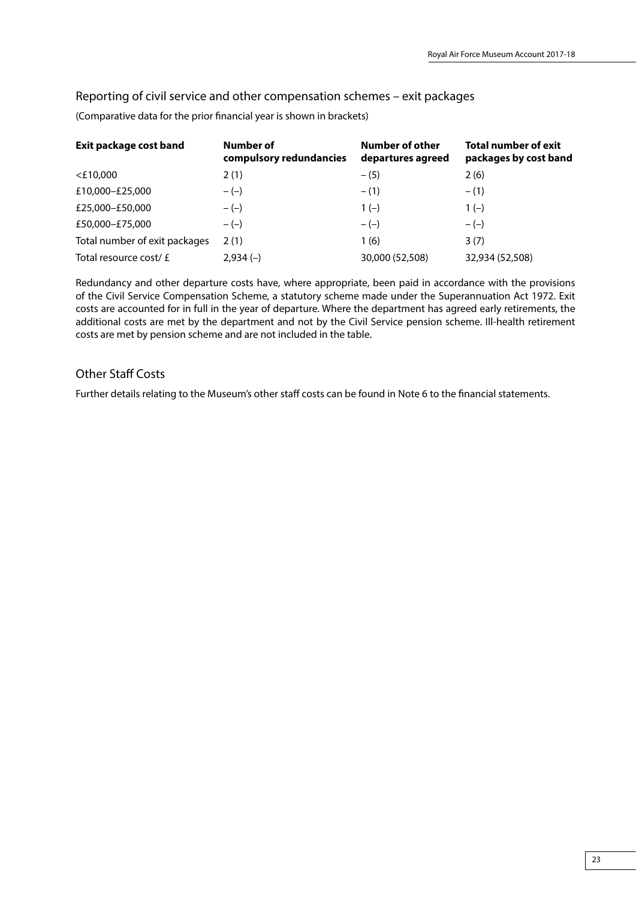## Reporting of civil service and other compensation schemes – exit packages

(Comparative data for the prior financial year is shown in brackets)

| <b>Exit package cost band</b> | Number of<br>compulsory redundancies | Number of other<br>departures agreed | <b>Total number of exit</b><br>packages by cost band |  |
|-------------------------------|--------------------------------------|--------------------------------------|------------------------------------------------------|--|
| $<$ £10,000                   | 2(1)                                 | $- (5)$                              | 2(6)                                                 |  |
| £10,000-£25,000               | $-(-)$                               | $- (1)$                              | $- (1)$                                              |  |
| £25,000-£50,000               | $-(-)$                               | $1(-)$                               | $1(-)$                                               |  |
| £50,000-£75,000               | $-(-)$                               | $-(-)$                               | $-(-)$                                               |  |
| Total number of exit packages | 2(1)                                 | 1(6)                                 | 3(7)                                                 |  |
| Total resource cost/ £        | $2,934(-)$                           | 30,000 (52,508)                      | 32,934 (52,508)                                      |  |

Redundancy and other departure costs have, where appropriate, been paid in accordance with the provisions of the Civil Service Compensation Scheme, a statutory scheme made under the Superannuation Act 1972. Exit costs are accounted for in full in the year of departure. Where the department has agreed early retirements, the additional costs are met by the department and not by the Civil Service pension scheme. Ill-health retirement costs are met by pension scheme and are not included in the table.

## Other Staff Costs

Further details relating to the Museum's other staff costs can be found in Note 6 to the financial statements.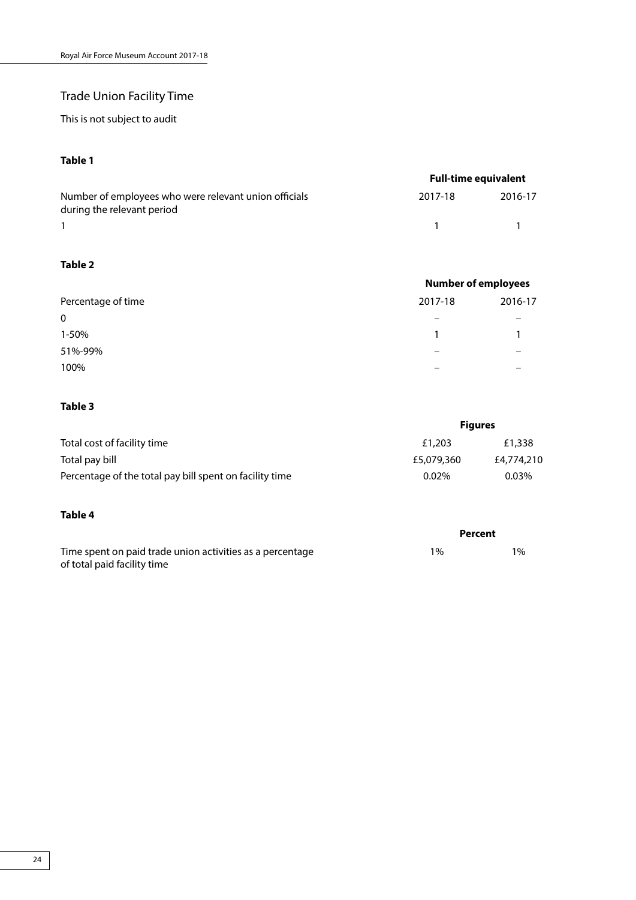## Trade Union Facility Time

## This is not subject to audit

## **Table 1**

|                                                                                     | <b>Full-time equivalent</b> |         |  |  |
|-------------------------------------------------------------------------------------|-----------------------------|---------|--|--|
| Number of employees who were relevant union officials<br>during the relevant period | 2017-18                     | 2016-17 |  |  |
|                                                                                     |                             |         |  |  |

## **Table 2**

|                    | <b>Number of employees</b> |         |  |  |
|--------------------|----------------------------|---------|--|--|
| Percentage of time | 2017-18                    | 2016-17 |  |  |
| 0                  | -                          |         |  |  |
| 1-50%              | 1.                         |         |  |  |
| 51%-99%            |                            |         |  |  |
| 100%               |                            |         |  |  |

## **Table 3**

|                                                         | <b>Figures</b> |            |  |
|---------------------------------------------------------|----------------|------------|--|
| Total cost of facility time                             | £1,203         | £1,338     |  |
| Total pay bill                                          | £5,079,360     | £4,774,210 |  |
| Percentage of the total pay bill spent on facility time | 0.02%          | 0.03%      |  |

## **Table 4**

|                                                           |    | Percent |    |
|-----------------------------------------------------------|----|---------|----|
| Time spent on paid trade union activities as a percentage | 1% |         | 1% |
| of total paid facility time                               |    |         |    |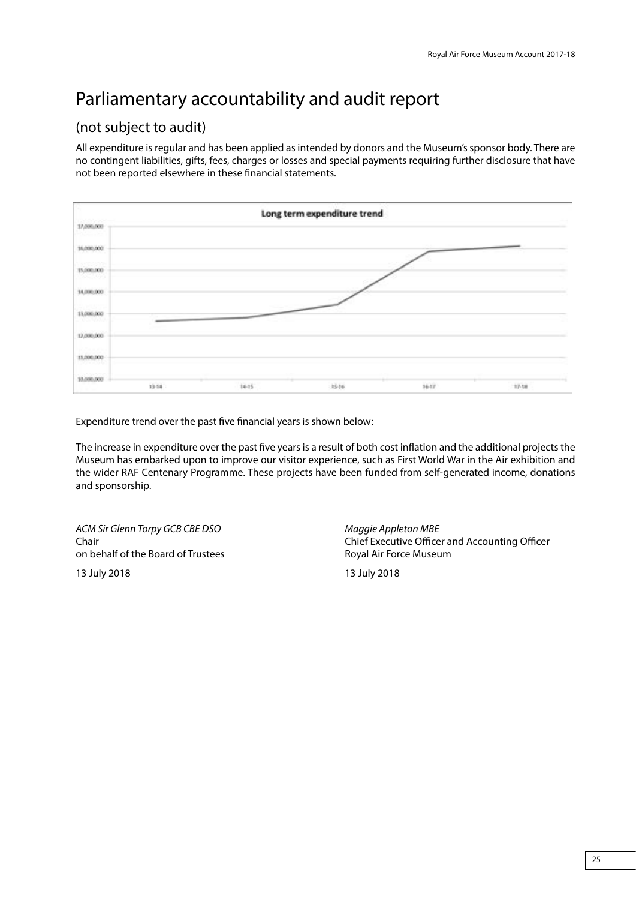## Parliamentary accountability and audit report

## (not subject to audit)

All expenditure is regular and has been applied as intended by donors and the Museum's sponsor body. There are no contingent liabilities, gifts, fees, charges or losses and special payments requiring further disclosure that have not been reported elsewhere in these financial statements.



Expenditure trend over the past five financial years is shown below:

The increase in expenditure over the past five years is a result of both cost inflation and the additional projects the Museum has embarked upon to improve our visitor experience, such as First World War in the Air exhibition and the wider RAF Centenary Programme. These projects have been funded from self-generated income, donations and sponsorship.

*ACM Sir Glenn Torpy GCB CBE DSO Maggie Appleton MBE* on behalf of the Board of Trustees **Royal Air Force Museum** 13 July 2018 13 July 2018

Chair Chief Executive Officer and Accounting Officer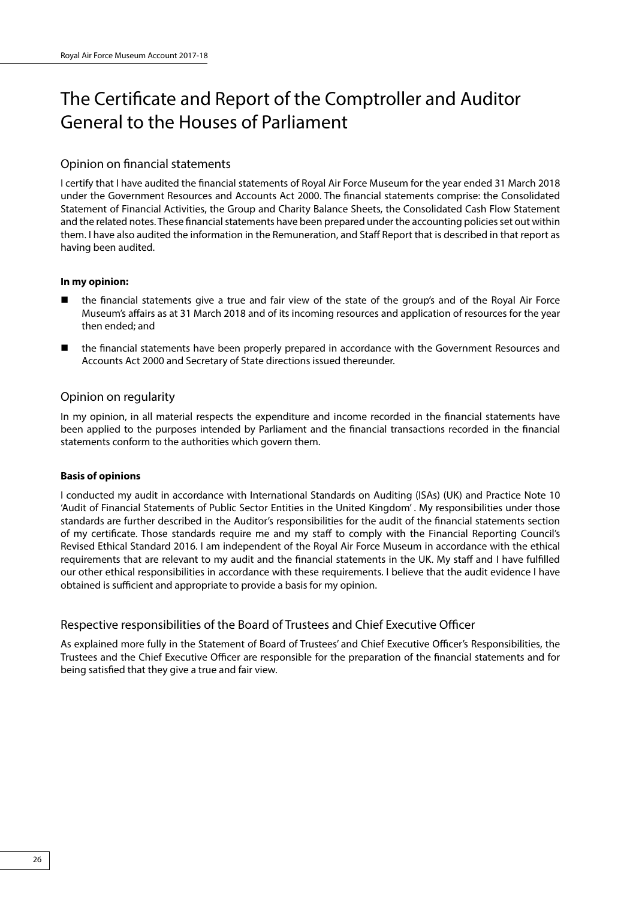## The Certificate and Report of the Comptroller and Auditor General to the Houses of Parliament

## Opinion on financial statements

I certify that I have audited the financial statements of Royal Air Force Museum for the year ended 31 March 2018 under the Government Resources and Accounts Act 2000. The financial statements comprise: the Consolidated Statement of Financial Activities, the Group and Charity Balance Sheets, the Consolidated Cash Flow Statement and the related notes. These financial statements have been prepared under the accounting policies set out within them. I have also audited the information in the Remuneration, and Staff Report that is described in that report as having been audited.

#### **In my opinion:**

- n the financial statements give a true and fair view of the state of the group's and of the Royal Air Force Museum's affairs as at 31 March 2018 and of its incoming resources and application of resources for the year then ended; and
- the financial statements have been properly prepared in accordance with the Government Resources and Accounts Act 2000 and Secretary of State directions issued thereunder.

## Opinion on regularity

In my opinion, in all material respects the expenditure and income recorded in the financial statements have been applied to the purposes intended by Parliament and the financial transactions recorded in the financial statements conform to the authorities which govern them.

#### **Basis of opinions**

I conducted my audit in accordance with International Standards on Auditing (ISAs) (UK) and Practice Note 10 'Audit of Financial Statements of Public Sector Entities in the United Kingdom' . My responsibilities under those standards are further described in the Auditor's responsibilities for the audit of the financial statements section of my certificate. Those standards require me and my staff to comply with the Financial Reporting Council's Revised Ethical Standard 2016. I am independent of the Royal Air Force Museum in accordance with the ethical requirements that are relevant to my audit and the financial statements in the UK. My staff and I have fulfilled our other ethical responsibilities in accordance with these requirements. I believe that the audit evidence I have obtained is sufficient and appropriate to provide a basis for my opinion.

## Respective responsibilities of the Board of Trustees and Chief Executive Officer

As explained more fully in the Statement of Board of Trustees' and Chief Executive Officer's Responsibilities, the Trustees and the Chief Executive Officer are responsible for the preparation of the financial statements and for being satisfied that they give a true and fair view.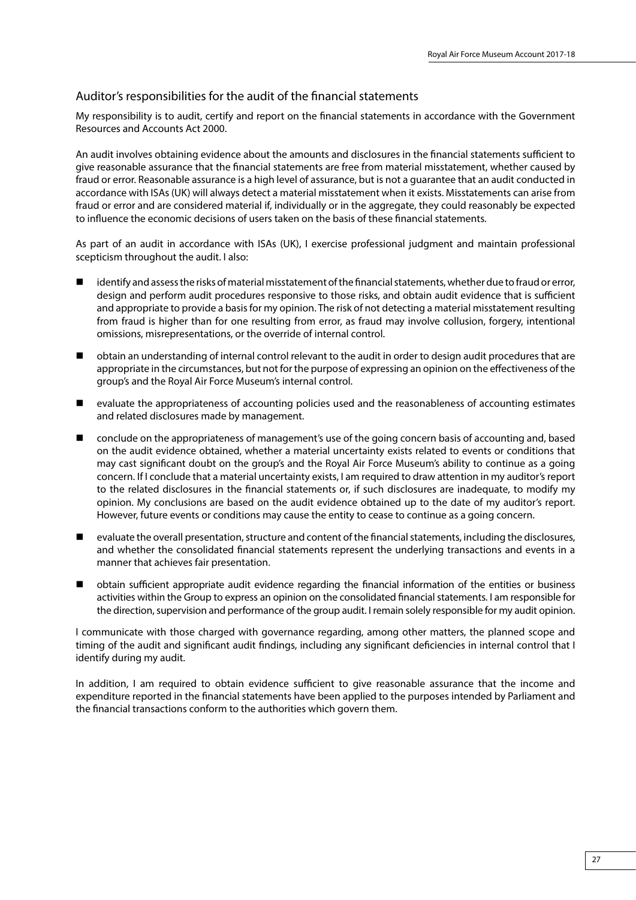## Auditor's responsibilities for the audit of the financial statements

My responsibility is to audit, certify and report on the financial statements in accordance with the Government Resources and Accounts Act 2000.

An audit involves obtaining evidence about the amounts and disclosures in the financial statements sufficient to give reasonable assurance that the financial statements are free from material misstatement, whether caused by fraud or error. Reasonable assurance is a high level of assurance, but is not a guarantee that an audit conducted in accordance with ISAs (UK) will always detect a material misstatement when it exists. Misstatements can arise from fraud or error and are considered material if, individually or in the aggregate, they could reasonably be expected to influence the economic decisions of users taken on the basis of these financial statements.

As part of an audit in accordance with ISAs (UK), I exercise professional judgment and maintain professional scepticism throughout the audit. I also:

- identify and assess the risks of material misstatement of the financial statements, whether due to fraud or error, design and perform audit procedures responsive to those risks, and obtain audit evidence that is sufficient and appropriate to provide a basis for my opinion. The risk of not detecting a material misstatement resulting from fraud is higher than for one resulting from error, as fraud may involve collusion, forgery, intentional omissions, misrepresentations, or the override of internal control.
- n obtain an understanding of internal control relevant to the audit in order to design audit procedures that are appropriate in the circumstances, but not for the purpose of expressing an opinion on the effectiveness of the group's and the Royal Air Force Museum's internal control.
- n evaluate the appropriateness of accounting policies used and the reasonableness of accounting estimates and related disclosures made by management.
- conclude on the appropriateness of management's use of the going concern basis of accounting and, based on the audit evidence obtained, whether a material uncertainty exists related to events or conditions that may cast significant doubt on the group's and the Royal Air Force Museum's ability to continue as a going concern. If I conclude that a material uncertainty exists, I am required to draw attention in my auditor's report to the related disclosures in the financial statements or, if such disclosures are inadequate, to modify my opinion. My conclusions are based on the audit evidence obtained up to the date of my auditor's report. However, future events or conditions may cause the entity to cease to continue as a going concern.
- n evaluate the overall presentation, structure and content of the financial statements, including the disclosures, and whether the consolidated financial statements represent the underlying transactions and events in a manner that achieves fair presentation.
- n obtain sufficient appropriate audit evidence regarding the financial information of the entities or business activities within the Group to express an opinion on the consolidated financial statements. I am responsible for the direction, supervision and performance of the group audit. I remain solely responsible for my audit opinion.

I communicate with those charged with governance regarding, among other matters, the planned scope and timing of the audit and significant audit findings, including any significant deficiencies in internal control that I identify during my audit.

In addition, I am required to obtain evidence sufficient to give reasonable assurance that the income and expenditure reported in the financial statements have been applied to the purposes intended by Parliament and the financial transactions conform to the authorities which govern them.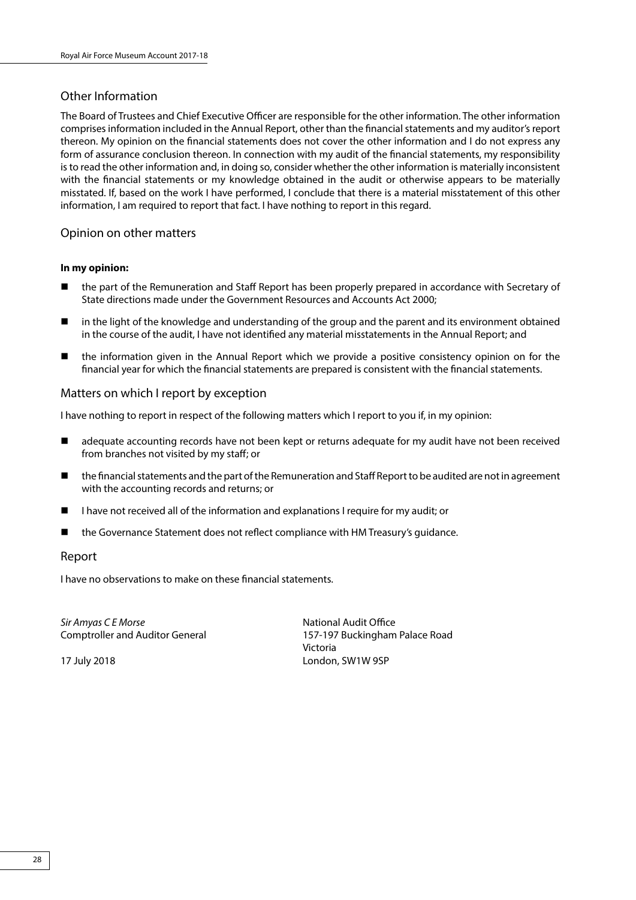## Other Information

The Board of Trustees and Chief Executive Officer are responsible for the other information. The other information comprises information included in the Annual Report, other than the financial statements and my auditor's report thereon. My opinion on the financial statements does not cover the other information and I do not express any form of assurance conclusion thereon. In connection with my audit of the financial statements, my responsibility is to read the other information and, in doing so, consider whether the other information is materially inconsistent with the financial statements or my knowledge obtained in the audit or otherwise appears to be materially misstated. If, based on the work I have performed, I conclude that there is a material misstatement of this other information, I am required to report that fact. I have nothing to report in this regard.

## Opinion on other matters

#### **In my opinion:**

- the part of the Remuneration and Staff Report has been properly prepared in accordance with Secretary of State directions made under the Government Resources and Accounts Act 2000;
- in the light of the knowledge and understanding of the group and the parent and its environment obtained in the course of the audit, I have not identified any material misstatements in the Annual Report; and
- the information given in the Annual Report which we provide a positive consistency opinion on for the financial year for which the financial statements are prepared is consistent with the financial statements.

## Matters on which I report by exception

I have nothing to report in respect of the following matters which I report to you if, in my opinion:

- n adequate accounting records have not been kept or returns adequate for my audit have not been received from branches not visited by my staff; or
- $\blacksquare$  the financial statements and the part of the Remuneration and Staff Report to be audited are not in agreement with the accounting records and returns; or
- I have not received all of the information and explanations I require for my audit; or
- the Governance Statement does not reflect compliance with HM Treasury's quidance.

## Report

I have no observations to make on these financial statements.

**Sir Amyas C E Morse** National Audit Office Comptroller and Auditor General 157-197 Buckingham Palace Road

**Victoria** and the contract of the contract of the Victoria 17 July 2018 London, SW1W 9SP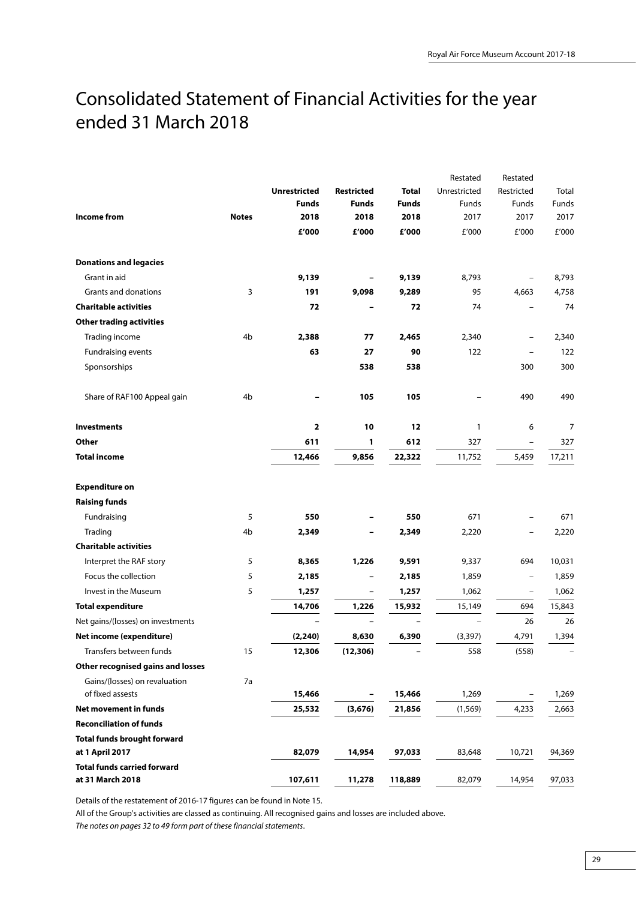## Consolidated Statement of Financial Activities for the year ended 31 March 2018

|                                    |                |                     |                   |              | Restated     | Restated                 |        |
|------------------------------------|----------------|---------------------|-------------------|--------------|--------------|--------------------------|--------|
|                                    |                | <b>Unrestricted</b> | <b>Restricted</b> | <b>Total</b> | Unrestricted | Restricted               | Total  |
|                                    |                | Funds               | Funds             | <b>Funds</b> | Funds        | Funds                    | Funds  |
| <b>Income from</b>                 | <b>Notes</b>   | 2018                | 2018              | 2018         | 2017         | 2017                     | 2017   |
|                                    |                | £'000               | £'000             | £'000        | £'000        | £'000                    | £'000  |
| <b>Donations and legacies</b>      |                |                     |                   |              |              |                          |        |
| Grant in aid                       |                | 9,139               |                   | 9,139        | 8,793        |                          | 8,793  |
| Grants and donations               | 3              | 191                 | 9,098             | 9,289        | 95           | 4,663                    | 4,758  |
| <b>Charitable activities</b>       |                | 72                  |                   | 72           | 74           | $\overline{\phantom{0}}$ | 74     |
| <b>Other trading activities</b>    |                |                     |                   |              |              |                          |        |
| Trading income                     | 4b             | 2,388               | 77                | 2,465        | 2,340        | $\overline{\phantom{0}}$ | 2,340  |
| Fundraising events                 |                | 63                  | 27                | 90           | 122          | $\overline{\phantom{0}}$ | 122    |
| Sponsorships                       |                |                     | 538               | 538          |              | 300                      | 300    |
| Share of RAF100 Appeal gain        | 4 <sub>b</sub> |                     | 105               | 105          |              | 490                      | 490    |
| <b>Investments</b>                 |                | 2                   | 10                | 12           | 1            | 6                        | 7      |
| Other                              |                | 611                 | 1                 | 612          | 327          | $\qquad \qquad -$        | 327    |
| <b>Total income</b>                |                | 12,466              | 9,856             | 22,322       | 11,752       | 5,459                    | 17,211 |
| <b>Expenditure on</b>              |                |                     |                   |              |              |                          |        |
| <b>Raising funds</b>               |                |                     |                   |              |              |                          |        |
| Fundraising                        | 5              | 550                 |                   | 550          | 671          |                          | 671    |
| Trading                            | 4b             | 2,349               |                   | 2,349        | 2,220        | $\overline{\phantom{0}}$ | 2,220  |
| <b>Charitable activities</b>       |                |                     |                   |              |              |                          |        |
| Interpret the RAF story            | 5              | 8,365               | 1,226             | 9,591        | 9,337        | 694                      | 10,031 |
| Focus the collection               | 5              | 2,185               |                   | 2,185        | 1,859        | $\qquad \qquad -$        | 1,859  |
| Invest in the Museum               | 5              | 1,257               |                   | 1,257        | 1,062        | $\qquad \qquad -$        | 1,062  |
| <b>Total expenditure</b>           |                | 14,706              | 1,226             | 15,932       | 15,149       | 694                      | 15,843 |
| Net gains/(losses) on investments  |                |                     |                   |              |              | 26                       | 26     |
| Net income (expenditure)           |                | (2, 240)            | 8,630             | 6,390        | (3, 397)     | 4,791                    | 1,394  |
| Transfers between funds            | 15             | 12,306              | (12, 306)         |              | 558          | (558)                    |        |
| Other recognised gains and losses  |                |                     |                   |              |              |                          |        |
| Gains/(losses) on revaluation      | 7a             |                     |                   |              |              |                          |        |
| of fixed assests                   |                | 15,466              |                   | 15,466       | 1,269        |                          | 1,269  |
| <b>Net movement in funds</b>       |                | 25,532              | (3,676)           | 21,856       | (1, 569)     | 4,233                    | 2,663  |
| <b>Reconciliation of funds</b>     |                |                     |                   |              |              |                          |        |
| <b>Total funds brought forward</b> |                |                     |                   |              |              |                          |        |
| at 1 April 2017                    |                | 82,079              | 14,954            | 97,033       | 83,648       | 10,721                   | 94,369 |
| <b>Total funds carried forward</b> |                |                     |                   |              |              |                          |        |
| at 31 March 2018                   |                | 107,611             | 11,278            | 118,889      | 82,079       | 14,954                   | 97,033 |

Details of the restatement of 2016-17 figures can be found in Note 15.

All of the Group's activities are classed as continuing. All recognised gains and losses are included above.

*The notes on pages 32 to 49 form part of these financial statements*.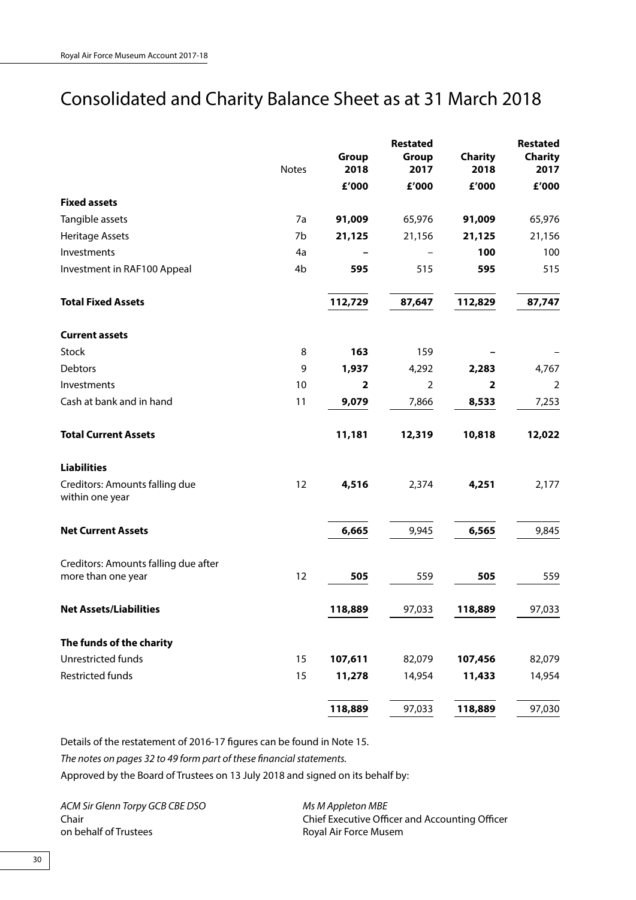## Consolidated and Charity Balance Sheet as at 31 March 2018

|                                                   | <b>Notes</b> | Group<br>2018           | <b>Restated</b><br>Group<br>2017 | <b>Charity</b><br>2018  | <b>Restated</b><br><b>Charity</b><br>2017 |
|---------------------------------------------------|--------------|-------------------------|----------------------------------|-------------------------|-------------------------------------------|
|                                                   |              | £'000                   | £'000                            | £'000                   | £'000                                     |
| <b>Fixed assets</b>                               |              |                         |                                  |                         |                                           |
| Tangible assets                                   | 7a           | 91,009                  | 65,976                           | 91,009                  | 65,976                                    |
| <b>Heritage Assets</b>                            | 7b           | 21,125                  | 21,156                           | 21,125                  | 21,156                                    |
| Investments                                       | 4a           |                         |                                  | 100                     | 100                                       |
| Investment in RAF100 Appeal                       | 4b           | 595                     | 515                              | 595                     | 515                                       |
| <b>Total Fixed Assets</b>                         |              | 112,729                 | 87,647                           | 112,829                 | 87,747                                    |
| <b>Current assets</b>                             |              |                         |                                  |                         |                                           |
| Stock                                             | 8            | 163                     | 159                              |                         |                                           |
| Debtors                                           | 9            | 1,937                   | 4,292                            | 2,283                   | 4,767                                     |
| Investments                                       | 10           | $\overline{\mathbf{2}}$ | $\overline{2}$                   | $\overline{\mathbf{2}}$ | 2                                         |
| Cash at bank and in hand                          | 11           | 9,079                   | 7,866                            | 8,533                   | 7,253                                     |
| <b>Total Current Assets</b>                       |              | 11,181                  | 12,319                           | 10,818                  | 12,022                                    |
| <b>Liabilities</b>                                |              |                         |                                  |                         |                                           |
| Creditors: Amounts falling due<br>within one year | 12           | 4,516                   | 2,374                            | 4,251                   | 2,177                                     |
| <b>Net Current Assets</b>                         |              | 6,665                   | 9,945                            | 6,565                   | 9,845                                     |
| Creditors: Amounts falling due after              |              |                         |                                  |                         |                                           |
| more than one year                                | 12           | 505                     | 559                              | 505                     | 559                                       |
| <b>Net Assets/Liabilities</b>                     |              | 118,889                 | 97,033                           | 118,889                 | 97,033                                    |
| The funds of the charity                          |              |                         |                                  |                         |                                           |
| Unrestricted funds                                | 15           | 107,611                 | 82,079                           | 107,456                 | 82,079                                    |
| <b>Restricted funds</b>                           | 15           | 11,278                  | 14,954                           | 11,433                  | 14,954                                    |
|                                                   |              | 118,889                 | 97,033                           | 118,889                 | 97,030                                    |

Details of the restatement of 2016-17 figures can be found in Note 15. *The notes on pages 32 to 49 form part of these financial statements.*

Approved by the Board of Trustees on 13 July 2018 and signed on its behalf by:

*ACM Sir Glenn Torpy GCB CBE DSO Ms M Appleton MBE* on behalf of Trustees **Royal Air Force Musem** 

Chair Chair Chair Chair Chair Chair Chair Chair Chair Chair Chair Chair Chair Chair Chair Chair Chair Chair Chair Chair Chair Chair Chair Chair Chair Chair Chair Chair Chair Chair Chair Chair Chair Chair Chair Chair Chair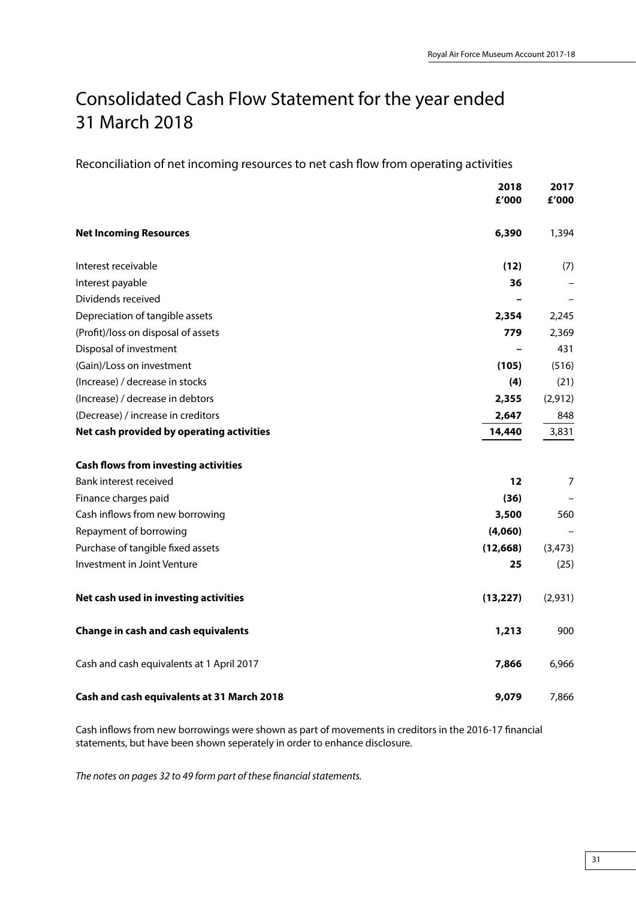## Consolidated Cash Flow Statement for the year ended 31 March 2018

Reconciliation of net incoming resources to net cash flow from operating activities

|                                             | 2018<br>£'000 | 2017<br>£'000  |
|---------------------------------------------|---------------|----------------|
| <b>Net Incoming Resources</b>               | 6,390         | 1,394          |
| Interest receivable                         | (12)          | (7)            |
| Interest payable                            | 36            |                |
| Dividends received                          |               |                |
| Depreciation of tangible assets             | 2,354         | 2,245          |
| (Profit)/loss on disposal of assets         | 779           | 2,369          |
| Disposal of investment                      |               | 431            |
| (Gain)/Loss on investment                   | (105)         | (516)          |
| (Increase) / decrease in stocks             | (4)           | (21)           |
| (Increase) / decrease in debtors            | 2,355         | (2, 912)       |
| (Decrease) / increase in creditors          | 2,647         | 848            |
| Net cash provided by operating activities   | 14,440        | 3,831          |
| <b>Cash flows from investing activities</b> |               |                |
| Bank interest received                      | 12            | $\overline{7}$ |
| Finance charges paid                        | (36)          |                |
| Cash inflows from new borrowing             | 3,500         | 560            |
| Repayment of borrowing                      | (4,060)       |                |
| Purchase of tangible fixed assets           | (12, 668)     | (3, 473)       |
| Investment in Joint Venture                 | 25            | (25)           |
| Net cash used in investing activities       | (13, 227)     | (2,931)        |
| <b>Change in cash and cash equivalents</b>  | 1,213         | 900            |
| Cash and cash equivalents at 1 April 2017   | 7,866         | 6,966          |
| Cash and cash equivalents at 31 March 2018  | 9,079         | 7,866          |

Cash inflows from new borrowings were shown as part of movements in creditors in the 2016-17 financial statements, but have been shown seperately in order to enhance disclosure.

*The notes on pages 32 to 49 form part of these financial statements.*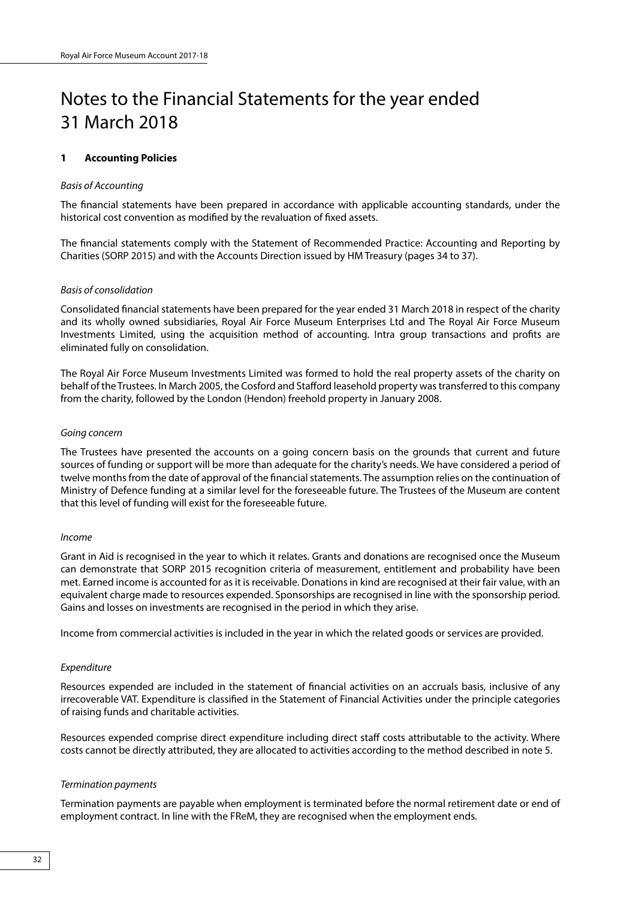## Notes to the Financial Statements for the year ended 31 March 2018

#### **1 Accounting Policies**

#### *Basis of Accounting*

The financial statements have been prepared in accordance with applicable accounting standards, under the historical cost convention as modified by the revaluation of fixed assets.

The financial statements comply with the Statement of Recommended Practice: Accounting and Reporting by Charities (SORP 2015) and with the Accounts Direction issued by HM Treasury (pages 34 to 37).

#### *Basis of consolidation*

Consolidated financial statements have been prepared for the year ended 31 March 2018 in respect of the charity and its wholly owned subsidiaries, Royal Air Force Museum Enterprises Ltd and The Royal Air Force Museum Investments Limited, using the acquisition method of accounting. Intra group transactions and profits are eliminated fully on consolidation.

The Royal Air Force Museum Investments Limited was formed to hold the real property assets of the charity on behalf of the Trustees. In March 2005, the Cosford and Stafford leasehold property was transferred to this company from the charity, followed by the London (Hendon) freehold property in January 2008.

#### *Going concern*

The Trustees have presented the accounts on a going concern basis on the grounds that current and future sources of funding or support will be more than adequate for the charity's needs. We have considered a period of twelve months from the date of approval of the financial statements. The assumption relies on the continuation of Ministry of Defence funding at a similar level for the foreseeable future. The Trustees of the Museum are content that this level of funding will exist for the foreseeable future.

#### *Income*

Grant in Aid is recognised in the year to which it relates. Grants and donations are recognised once the Museum can demonstrate that SORP 2015 recognition criteria of measurement, entitlement and probability have been met. Earned income is accounted for as it is receivable. Donations in kind are recognised at their fair value, with an equivalent charge made to resources expended. Sponsorships are recognised in line with the sponsorship period. Gains and losses on investments are recognised in the period in which they arise.

Income from commercial activities is included in the year in which the related goods or services are provided.

#### *Expenditure*

Resources expended are included in the statement of financial activities on an accruals basis, inclusive of any irrecoverable VAT. Expenditure is classified in the Statement of Financial Activities under the principle categories of raising funds and charitable activities.

Resources expended comprise direct expenditure including direct staff costs attributable to the activity. Where costs cannot be directly attributed, they are allocated to activities according to the method described in note 5.

#### *Termination payments*

Termination payments are payable when employment is terminated before the normal retirement date or end of employment contract. In line with the FReM, they are recognised when the employment ends.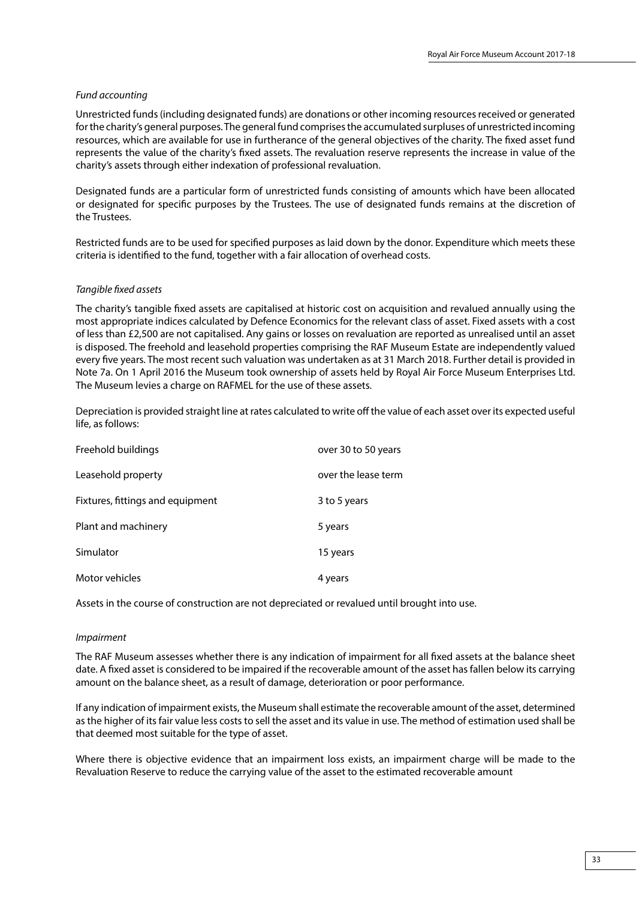#### *Fund accounting*

Unrestricted funds (including designated funds) are donations or other incoming resources received or generated for the charity's general purposes. The general fund comprises the accumulated surpluses of unrestricted incoming resources, which are available for use in furtherance of the general objectives of the charity. The fixed asset fund represents the value of the charity's fixed assets. The revaluation reserve represents the increase in value of the charity's assets through either indexation of professional revaluation.

Designated funds are a particular form of unrestricted funds consisting of amounts which have been allocated or designated for specific purposes by the Trustees. The use of designated funds remains at the discretion of the Trustees.

Restricted funds are to be used for specified purposes as laid down by the donor. Expenditure which meets these criteria is identified to the fund, together with a fair allocation of overhead costs.

#### *Tangible fixed assets*

The charity's tangible fixed assets are capitalised at historic cost on acquisition and revalued annually using the most appropriate indices calculated by Defence Economics for the relevant class of asset. Fixed assets with a cost of less than £2,500 are not capitalised. Any gains or losses on revaluation are reported as unrealised until an asset is disposed. The freehold and leasehold properties comprising the RAF Museum Estate are independently valued every five years. The most recent such valuation was undertaken as at 31 March 2018. Further detail is provided in Note 7a. On 1 April 2016 the Museum took ownership of assets held by Royal Air Force Museum Enterprises Ltd. The Museum levies a charge on RAFMEL for the use of these assets.

Depreciation is provided straight line at rates calculated to write off the value of each asset over its expected useful life, as follows:

| Freehold buildings               | over 30 to 50 years |
|----------------------------------|---------------------|
| Leasehold property               | over the lease term |
| Fixtures, fittings and equipment | 3 to 5 years        |
| Plant and machinery              | 5 years             |
| Simulator                        | 15 years            |
| Motor vehicles                   | 4 years             |

Assets in the course of construction are not depreciated or revalued until brought into use.

#### *Impairment*

The RAF Museum assesses whether there is any indication of impairment for all fixed assets at the balance sheet date. A fixed asset is considered to be impaired if the recoverable amount of the asset has fallen below its carrying amount on the balance sheet, as a result of damage, deterioration or poor performance.

If any indication of impairment exists, the Museum shall estimate the recoverable amount of the asset, determined as the higher of its fair value less costs to sell the asset and its value in use. The method of estimation used shall be that deemed most suitable for the type of asset.

Where there is objective evidence that an impairment loss exists, an impairment charge will be made to the Revaluation Reserve to reduce the carrying value of the asset to the estimated recoverable amount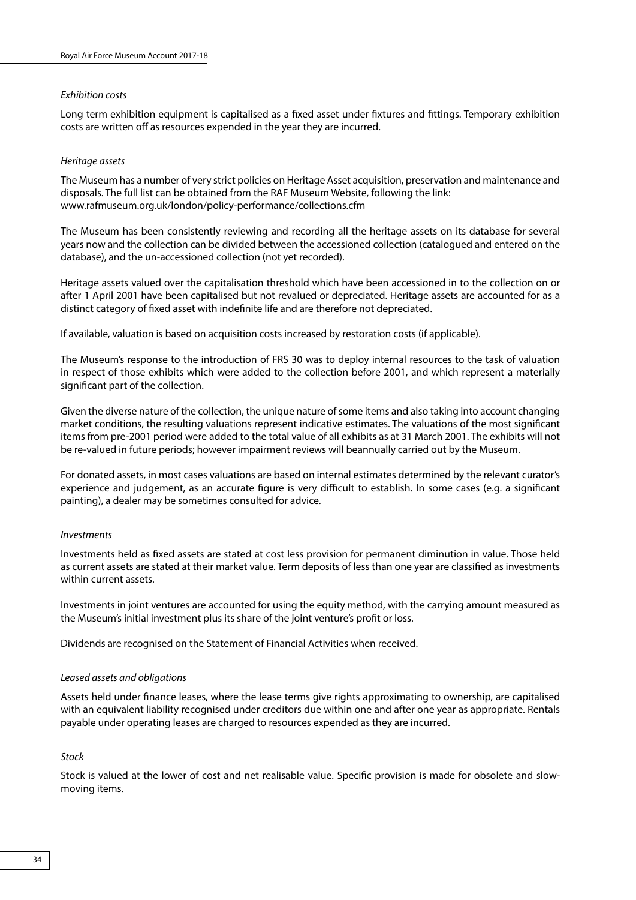#### *Exhibition costs*

Long term exhibition equipment is capitalised as a fixed asset under fixtures and fittings. Temporary exhibition costs are written off as resources expended in the year they are incurred.

#### *Heritage assets*

The Museum has a number of very strict policies on Heritage Asset acquisition, preservation and maintenance and disposals. The full list can be obtained from the RAF Museum Website, following the link: www.rafmuseum.org.uk/london/policy-performance/collections.cfm

The Museum has been consistently reviewing and recording all the heritage assets on its database for several years now and the collection can be divided between the accessioned collection (catalogued and entered on the database), and the un-accessioned collection (not yet recorded).

Heritage assets valued over the capitalisation threshold which have been accessioned in to the collection on or after 1 April 2001 have been capitalised but not revalued or depreciated. Heritage assets are accounted for as a distinct category of fixed asset with indefinite life and are therefore not depreciated.

If available, valuation is based on acquisition costs increased by restoration costs (if applicable).

The Museum's response to the introduction of FRS 30 was to deploy internal resources to the task of valuation in respect of those exhibits which were added to the collection before 2001, and which represent a materially significant part of the collection.

Given the diverse nature of the collection, the unique nature of some items and also taking into account changing market conditions, the resulting valuations represent indicative estimates. The valuations of the most significant items from pre-2001 period were added to the total value of all exhibits as at 31 March 2001. The exhibits will not be re-valued in future periods; however impairment reviews will beannually carried out by the Museum.

For donated assets, in most cases valuations are based on internal estimates determined by the relevant curator's experience and judgement, as an accurate figure is very difficult to establish. In some cases (e.g. a significant painting), a dealer may be sometimes consulted for advice.

#### *Investments*

Investments held as fixed assets are stated at cost less provision for permanent diminution in value. Those held as current assets are stated at their market value. Term deposits of less than one year are classified as investments within current assets.

Investments in joint ventures are accounted for using the equity method, with the carrying amount measured as the Museum's initial investment plus its share of the joint venture's profit or loss.

Dividends are recognised on the Statement of Financial Activities when received.

#### *Leased assets and obligations*

Assets held under finance leases, where the lease terms give rights approximating to ownership, are capitalised with an equivalent liability recognised under creditors due within one and after one year as appropriate. Rentals payable under operating leases are charged to resources expended as they are incurred.

#### *Stock*

Stock is valued at the lower of cost and net realisable value. Specific provision is made for obsolete and slowmoving items.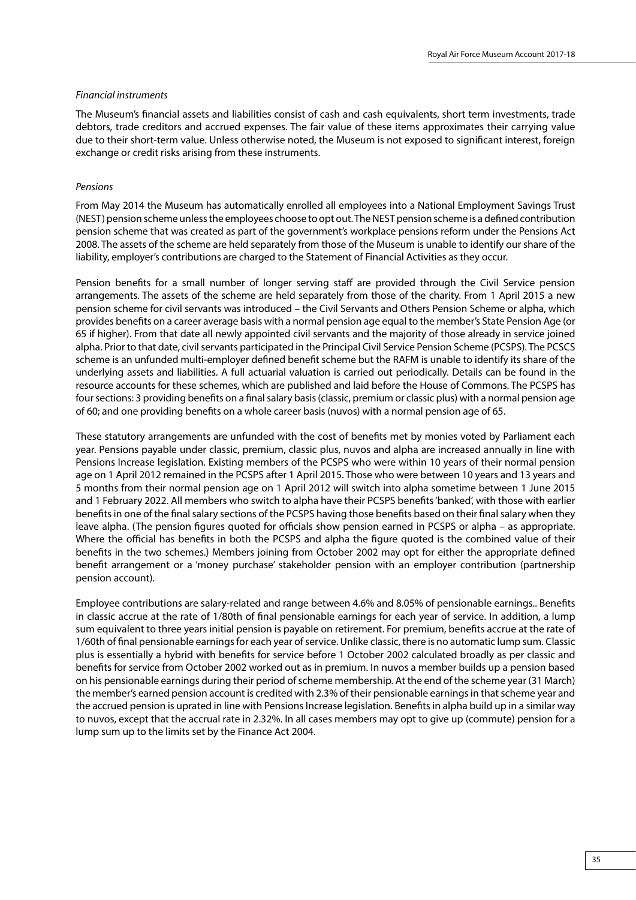#### *Financial instruments*

The Museum's financial assets and liabilities consist of cash and cash equivalents, short term investments, trade debtors, trade creditors and accrued expenses. The fair value of these items approximates their carrying value due to their short-term value. Unless otherwise noted, the Museum is not exposed to significant interest, foreign exchange or credit risks arising from these instruments.

#### *Pensions*

From May 2014 the Museum has automatically enrolled all employees into a National Employment Savings Trust (NEST) pension scheme unless the employees choose to opt out. The NEST pension scheme is a defined contribution pension scheme that was created as part of the government's workplace pensions reform under the Pensions Act 2008. The assets of the scheme are held separately from those of the Museum is unable to identify our share of the liability, employer's contributions are charged to the Statement of Financial Activities as they occur.

Pension benefits for a small number of longer serving staff are provided through the Civil Service pension arrangements. The assets of the scheme are held separately from those of the charity. From 1 April 2015 a new pension scheme for civil servants was introduced – the Civil Servants and Others Pension Scheme or alpha, which provides benefits on a career average basis with a normal pension age equal to the member's State Pension Age (or 65 if higher). From that date all newly appointed civil servants and the majority of those already in service joined alpha. Prior to that date, civil servants participated in the Principal Civil Service Pension Scheme (PCSPS). The PCSCS scheme is an unfunded multi-employer defined benefit scheme but the RAFM is unable to identify its share of the underlying assets and liabilities. A full actuarial valuation is carried out periodically. Details can be found in the resource accounts for these schemes, which are published and laid before the House of Commons. The PCSPS has four sections: 3 providing benefits on a final salary basis (classic, premium or classic plus) with a normal pension age of 60; and one providing benefits on a whole career basis (nuvos) with a normal pension age of 65.

These statutory arrangements are unfunded with the cost of benefits met by monies voted by Parliament each year. Pensions payable under classic, premium, classic plus, nuvos and alpha are increased annually in line with Pensions Increase legislation. Existing members of the PCSPS who were within 10 years of their normal pension age on 1 April 2012 remained in the PCSPS after 1 April 2015. Those who were between 10 years and 13 years and 5 months from their normal pension age on 1 April 2012 will switch into alpha sometime between 1 June 2015 and 1 February 2022. All members who switch to alpha have their PCSPS benefits 'banked', with those with earlier benefits in one of the final salary sections of the PCSPS having those benefits based on their final salary when they leave alpha. (The pension figures quoted for officials show pension earned in PCSPS or alpha – as appropriate. Where the official has benefits in both the PCSPS and alpha the figure quoted is the combined value of their benefits in the two schemes.) Members joining from October 2002 may opt for either the appropriate defined benefit arrangement or a 'money purchase' stakeholder pension with an employer contribution (partnership pension account).

Employee contributions are salary-related and range between 4.6% and 8.05% of pensionable earnings.. Benefits in classic accrue at the rate of 1/80th of final pensionable earnings for each year of service. In addition, a lump sum equivalent to three years initial pension is payable on retirement. For premium, benefits accrue at the rate of 1/60th of final pensionable earnings for each year of service. Unlike classic, there is no automatic lump sum. Classic plus is essentially a hybrid with benefits for service before 1 October 2002 calculated broadly as per classic and benefits for service from October 2002 worked out as in premium. In nuvos a member builds up a pension based on his pensionable earnings during their period of scheme membership. At the end of the scheme year (31 March) the member's earned pension account is credited with 2.3% of their pensionable earnings in that scheme year and the accrued pension is uprated in line with Pensions Increase legislation. Benefits in alpha build up in a similar way to nuvos, except that the accrual rate in 2.32%. In all cases members may opt to give up (commute) pension for a lump sum up to the limits set by the Finance Act 2004.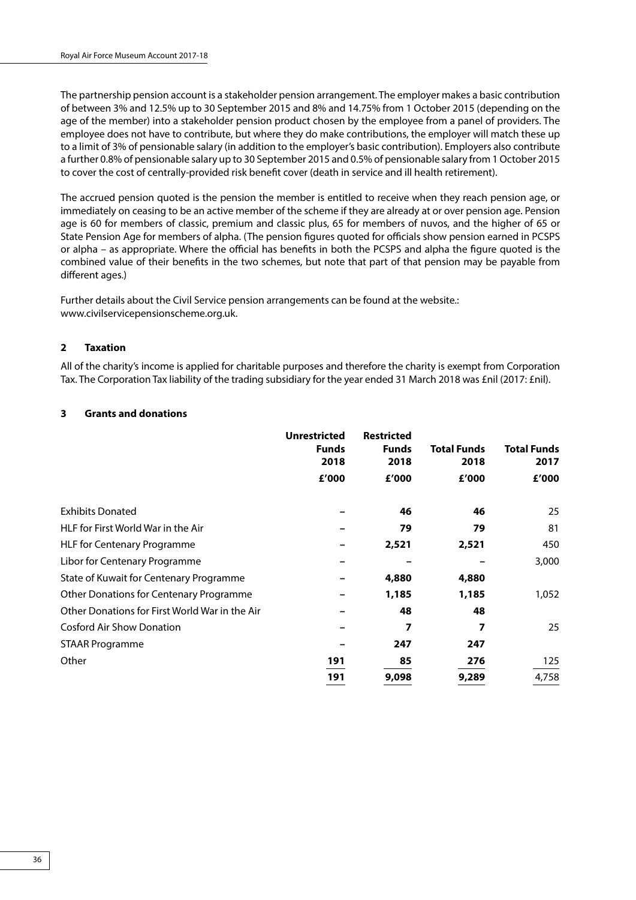The partnership pension account is a stakeholder pension arrangement. The employer makes a basic contribution of between 3% and 12.5% up to 30 September 2015 and 8% and 14.75% from 1 October 2015 (depending on the age of the member) into a stakeholder pension product chosen by the employee from a panel of providers. The employee does not have to contribute, but where they do make contributions, the employer will match these up to a limit of 3% of pensionable salary (in addition to the employer's basic contribution). Employers also contribute a further 0.8% of pensionable salary up to 30 September 2015 and 0.5% of pensionable salary from 1 October 2015 to cover the cost of centrally-provided risk benefit cover (death in service and ill health retirement).

The accrued pension quoted is the pension the member is entitled to receive when they reach pension age, or immediately on ceasing to be an active member of the scheme if they are already at or over pension age. Pension age is 60 for members of classic, premium and classic plus, 65 for members of nuvos, and the higher of 65 or State Pension Age for members of alpha. (The pension figures quoted for officials show pension earned in PCSPS or alpha – as appropriate. Where the official has benefits in both the PCSPS and alpha the figure quoted is the combined value of their benefits in the two schemes, but note that part of that pension may be payable from different ages.)

Further details about the Civil Service pension arrangements can be found at the website.: www.civilservicepensionscheme.org.uk.

## **2 Taxation**

All of the charity's income is applied for charitable purposes and therefore the charity is exempt from Corporation Tax. The Corporation Tax liability of the trading subsidiary for the year ended 31 March 2018 was £nil (2017: £nil).

#### **3 Grants and donations**

|                                                | <b>Unrestricted</b><br><b>Funds</b><br>2018 | <b>Restricted</b><br><b>Funds</b><br>2018 | <b>Total Funds</b><br>2018 | <b>Total Funds</b><br>2017 |
|------------------------------------------------|---------------------------------------------|-------------------------------------------|----------------------------|----------------------------|
|                                                | £'000                                       | £'000                                     | £'000                      | £'000                      |
| <b>Exhibits Donated</b>                        |                                             | 46                                        | 46                         | 25                         |
| HLF for First World War in the Air             |                                             | 79                                        | 79                         | 81                         |
| <b>HLF</b> for Centenary Programme             |                                             | 2,521                                     | 2,521                      | 450                        |
| Libor for Centenary Programme                  |                                             |                                           |                            | 3,000                      |
| State of Kuwait for Centenary Programme        |                                             | 4,880                                     | 4,880                      |                            |
| Other Donations for Centenary Programme        |                                             | 1,185                                     | 1,185                      | 1,052                      |
| Other Donations for First World War in the Air |                                             | 48                                        | 48                         |                            |
| <b>Cosford Air Show Donation</b>               |                                             | 7                                         | 7                          | 25                         |
| STAAR Programme                                |                                             | 247                                       | 247                        |                            |
| Other                                          | 191                                         | 85                                        | 276                        | 125                        |
|                                                | 191                                         | 9,098                                     | 9,289                      | 4,758                      |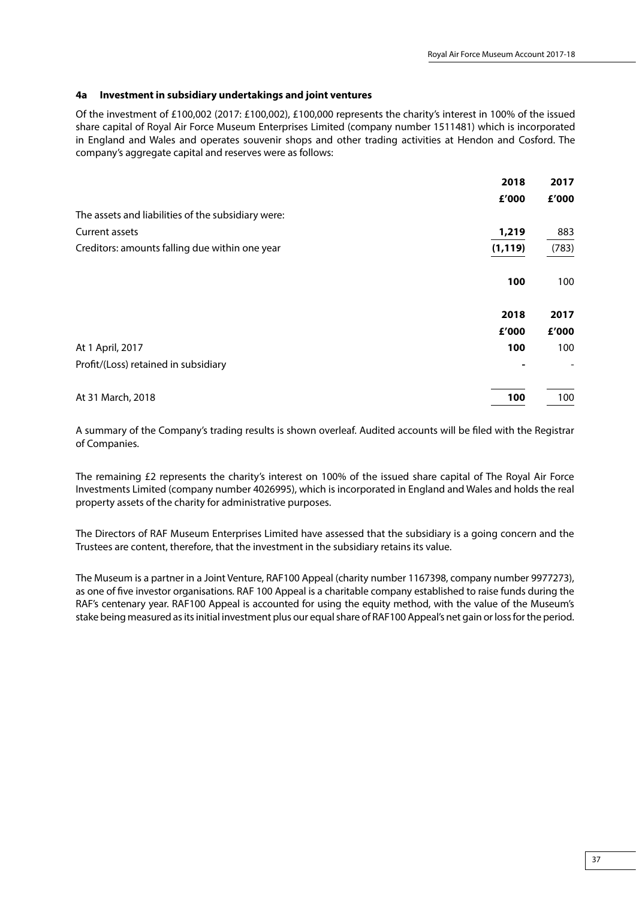#### **4a Investment in subsidiary undertakings and joint ventures**

Of the investment of £100,002 (2017: £100,002), £100,000 represents the charity's interest in 100% of the issued share capital of Royal Air Force Museum Enterprises Limited (company number 1511481) which is incorporated in England and Wales and operates souvenir shops and other trading activities at Hendon and Cosford. The company's aggregate capital and reserves were as follows:

|                                                    | 2018     | 2017  |
|----------------------------------------------------|----------|-------|
|                                                    | £'000    | £'000 |
| The assets and liabilities of the subsidiary were: |          |       |
| Current assets                                     | 1,219    | 883   |
| Creditors: amounts falling due within one year     | (1, 119) | (783) |
|                                                    | 100      | 100   |
|                                                    | 2018     | 2017  |
|                                                    | £'000    | £'000 |
| At 1 April, 2017                                   | 100      | 100   |
| Profit/(Loss) retained in subsidiary               |          |       |
| At 31 March, 2018                                  | 100      | 100   |

A summary of the Company's trading results is shown overleaf. Audited accounts will be filed with the Registrar of Companies.

The remaining £2 represents the charity's interest on 100% of the issued share capital of The Royal Air Force Investments Limited (company number 4026995), which is incorporated in England and Wales and holds the real property assets of the charity for administrative purposes.

The Directors of RAF Museum Enterprises Limited have assessed that the subsidiary is a going concern and the Trustees are content, therefore, that the investment in the subsidiary retains its value.

The Museum is a partner in a Joint Venture, RAF100 Appeal (charity number 1167398, company number 9977273), as one of five investor organisations. RAF 100 Appeal is a charitable company established to raise funds during the RAF's centenary year. RAF100 Appeal is accounted for using the equity method, with the value of the Museum's stake being measured as its initial investment plus our equal share of RAF100 Appeal's net gain or loss for the period.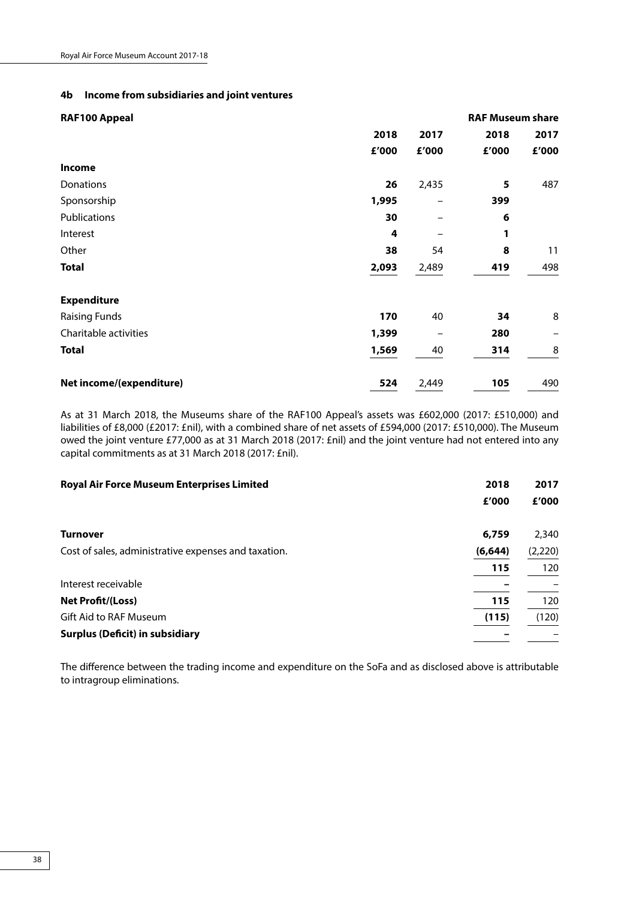#### **4b Income from subsidiaries and joint ventures**

| <b>RAF100 Appeal</b>     |       |       | <b>RAF Museum share</b> |       |
|--------------------------|-------|-------|-------------------------|-------|
|                          | 2018  | 2017  | 2018                    | 2017  |
|                          | £'000 | £'000 | £'000                   | £'000 |
| <b>Income</b>            |       |       |                         |       |
| Donations                | 26    | 2,435 | 5                       | 487   |
| Sponsorship              | 1,995 |       | 399                     |       |
| Publications             | 30    |       | 6                       |       |
| Interest                 | 4     |       | 1                       |       |
| Other                    | 38    | 54    | 8                       | 11    |
| <b>Total</b>             | 2,093 | 2,489 | 419                     | 498   |
| <b>Expenditure</b>       |       |       |                         |       |
| <b>Raising Funds</b>     | 170   | 40    | 34                      | 8     |
| Charitable activities    | 1,399 |       | 280                     | -     |
| <b>Total</b>             | 1,569 | 40    | 314                     | 8     |
| Net income/(expenditure) | 524   | 2,449 | 105                     | 490   |

As at 31 March 2018, the Museums share of the RAF100 Appeal's assets was £602,000 (2017: £510,000) and liabilities of £8,000 (£2017: £nil), with a combined share of net assets of £594,000 (2017: £510,000). The Museum owed the joint venture £77,000 as at 31 March 2018 (2017: £nil) and the joint venture had not entered into any capital commitments as at 31 March 2018 (2017: £nil).

| <b>Royal Air Force Museum Enterprises Limited</b>    | 2018<br>£'000 | 2017<br>£'000 |
|------------------------------------------------------|---------------|---------------|
| <b>Turnover</b>                                      | 6,759         | 2,340         |
| Cost of sales, administrative expenses and taxation. | (6, 644)      | (2,220)       |
|                                                      | 115           | 120           |
| Interest receivable                                  |               |               |
| <b>Net Profit/(Loss)</b>                             | 115           | 120           |
| Gift Aid to RAF Museum                               | (115)         | (120)         |
| <b>Surplus (Deficit) in subsidiary</b>               |               |               |

The difference between the trading income and expenditure on the SoFa and as disclosed above is attributable to intragroup eliminations.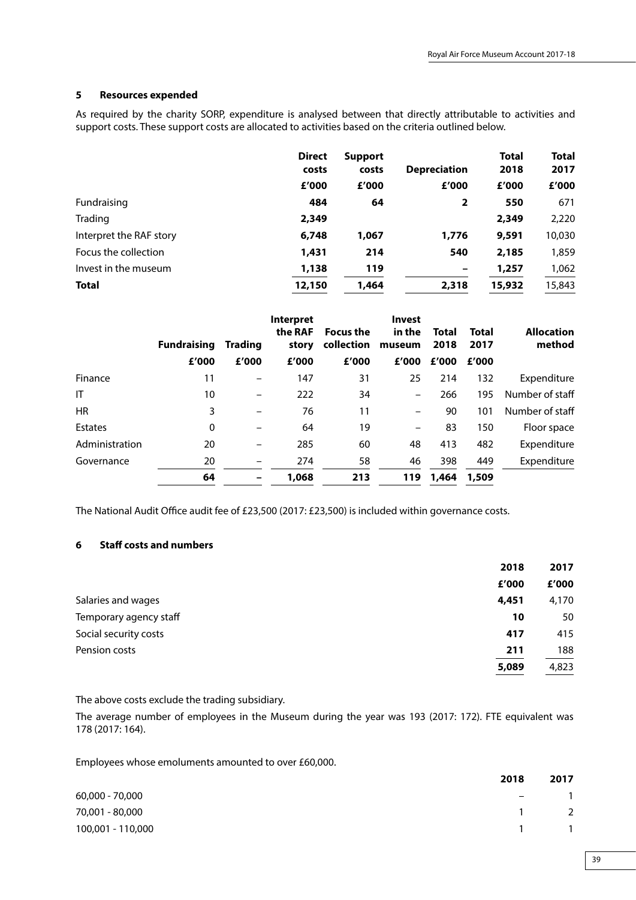#### **5 Resources expended**

As required by the charity SORP, expenditure is analysed between that directly attributable to activities and support costs. These support costs are allocated to activities based on the criteria outlined below.

|                         | <b>Direct</b> | <b>Support</b> |                     | <b>Total</b> | <b>Total</b> |
|-------------------------|---------------|----------------|---------------------|--------------|--------------|
|                         | costs         | costs          | <b>Depreciation</b> | 2018         | 2017         |
|                         | £'000         | £'000          | £'000               | £'000        | £'000        |
| Fundraising             | 484           | 64             | 2                   | 550          | 671          |
| Trading                 | 2,349         |                |                     | 2,349        | 2,220        |
| Interpret the RAF story | 6,748         | 1,067          | 1,776               | 9,591        | 10,030       |
| Focus the collection    | 1,431         | 214            | 540                 | 2,185        | 1,859        |
| Invest in the museum    | 1,138         | 119            | -                   | 1,257        | 1,062        |
| Total                   | 12,150        | 1,464          | 2,318               | 15,932       | 15,843       |

|                | <b>Fundraising</b> | <b>Trading</b>           | <b>Interpret</b><br>the RAF<br>story | <b>Focus the</b><br>collection | Invest<br>in the<br>museum | Total<br>2018 | <b>Total</b><br>2017 | <b>Allocation</b><br>method |
|----------------|--------------------|--------------------------|--------------------------------------|--------------------------------|----------------------------|---------------|----------------------|-----------------------------|
|                | £'000              | £'000                    | £'000                                | £'000                          | £'000                      | £'000         | £'000                |                             |
| Finance        | 11                 |                          | 147                                  | 31                             | 25                         | 214           | 132                  | Expenditure                 |
| IT             | 10                 | $\overline{\phantom{0}}$ | 222                                  | 34                             | -                          | 266           | 195                  | Number of staff             |
| <b>HR</b>      | 3                  | -                        | 76                                   | 11                             | -                          | 90            | 101                  | Number of staff             |
| <b>Estates</b> | 0                  | -                        | 64                                   | 19                             | -                          | 83            | 150                  | Floor space                 |
| Administration | 20                 | $\overline{\phantom{0}}$ | 285                                  | 60                             | 48                         | 413           | 482                  | Expenditure                 |
| Governance     | 20                 |                          | 274                                  | 58                             | 46                         | 398           | 449                  | Expenditure                 |
|                | 64                 |                          | 1,068                                | 213                            | 119                        | 1,464         | 1,509                |                             |

The National Audit Office audit fee of £23,500 (2017: £23,500) is included within governance costs.

## **6 Staff costs and numbers**

|                        | 2018  | 2017  |
|------------------------|-------|-------|
|                        | £'000 | £'000 |
| Salaries and wages     | 4,451 | 4,170 |
| Temporary agency staff | 10    | 50    |
| Social security costs  | 417   | 415   |
| Pension costs          | 211   | 188   |
|                        | 5,089 | 4,823 |

The above costs exclude the trading subsidiary.

The average number of employees in the Museum during the year was 193 (2017: 172). FTE equivalent was 178 (2017: 164).

Employees whose emoluments amounted to over £60,000.

|                   | 2018             | 2017           |
|-------------------|------------------|----------------|
| 60,000 - 70,000   | $\sim$ 100 $\mu$ |                |
| 70,001 - 80,000   |                  | $\overline{2}$ |
| 100,001 - 110,000 |                  |                |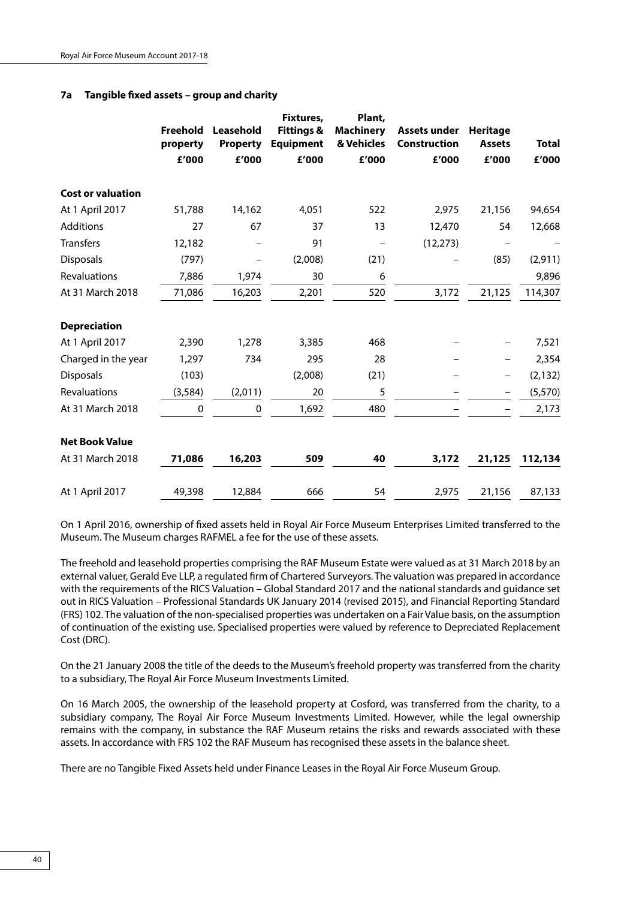#### **7a Tangible fixed assets – group and charity**

|                          | <b>Freehold</b> | Leasehold       | Fixtures,<br><b>Fittings &amp;</b> | Plant,<br><b>Machinery</b> | <b>Assets under</b> | <b>Heritage</b> |              |
|--------------------------|-----------------|-----------------|------------------------------------|----------------------------|---------------------|-----------------|--------------|
|                          | property        | <b>Property</b> | <b>Equipment</b>                   | & Vehicles                 | <b>Construction</b> | <b>Assets</b>   | <b>Total</b> |
|                          | £'000           | £'000           | £'000                              | £'000                      | £'000               | £'000           | £'000        |
| <b>Cost or valuation</b> |                 |                 |                                    |                            |                     |                 |              |
| At 1 April 2017          | 51,788          | 14,162          | 4,051                              | 522                        | 2,975               | 21,156          | 94,654       |
| <b>Additions</b>         | 27              | 67              | 37                                 | 13                         | 12,470              | 54              | 12,668       |
| <b>Transfers</b>         | 12,182          |                 | 91                                 |                            | (12, 273)           |                 |              |
| <b>Disposals</b>         | (797)           |                 | (2,008)                            | (21)                       |                     | (85)            | (2,911)      |
| Revaluations             | 7,886           | 1,974           | 30                                 | 6                          |                     |                 | 9,896        |
| At 31 March 2018         | 71,086          | 16,203          | 2,201                              | 520                        | 3,172               | 21,125          | 114,307      |
| <b>Depreciation</b>      |                 |                 |                                    |                            |                     |                 |              |
| At 1 April 2017          | 2,390           | 1,278           | 3,385                              | 468                        |                     |                 | 7,521        |
| Charged in the year      | 1,297           | 734             | 295                                | 28                         |                     |                 | 2,354        |
| <b>Disposals</b>         | (103)           |                 | (2,008)                            | (21)                       |                     | -               | (2, 132)     |
| Revaluations             | (3, 584)        | (2,011)         | 20                                 | 5                          |                     |                 | (5, 570)     |
| At 31 March 2018         | 0               | $\mathbf 0$     | 1,692                              | 480                        |                     |                 | 2,173        |
| <b>Net Book Value</b>    |                 |                 |                                    |                            |                     |                 |              |
| At 31 March 2018         | 71,086          | 16,203          | 509                                | 40                         | 3,172               | 21,125          | 112,134      |
| At 1 April 2017          | 49,398          | 12,884          | 666                                | 54                         | 2,975               | 21,156          | 87,133       |

On 1 April 2016, ownership of fixed assets held in Royal Air Force Museum Enterprises Limited transferred to the Museum. The Museum charges RAFMEL a fee for the use of these assets.

The freehold and leasehold properties comprising the RAF Museum Estate were valued as at 31 March 2018 by an external valuer, Gerald Eve LLP, a regulated firm of Chartered Surveyors. The valuation was prepared in accordance with the requirements of the RICS Valuation – Global Standard 2017 and the national standards and guidance set out in RICS Valuation – Professional Standards UK January 2014 (revised 2015), and Financial Reporting Standard (FRS) 102. The valuation of the non-specialised properties was undertaken on a Fair Value basis, on the assumption of continuation of the existing use. Specialised properties were valued by reference to Depreciated Replacement Cost (DRC).

On the 21 January 2008 the title of the deeds to the Museum's freehold property was transferred from the charity to a subsidiary, The Royal Air Force Museum Investments Limited.

On 16 March 2005, the ownership of the leasehold property at Cosford, was transferred from the charity, to a subsidiary company, The Royal Air Force Museum Investments Limited. However, while the legal ownership remains with the company, in substance the RAF Museum retains the risks and rewards associated with these assets. In accordance with FRS 102 the RAF Museum has recognised these assets in the balance sheet.

There are no Tangible Fixed Assets held under Finance Leases in the Royal Air Force Museum Group.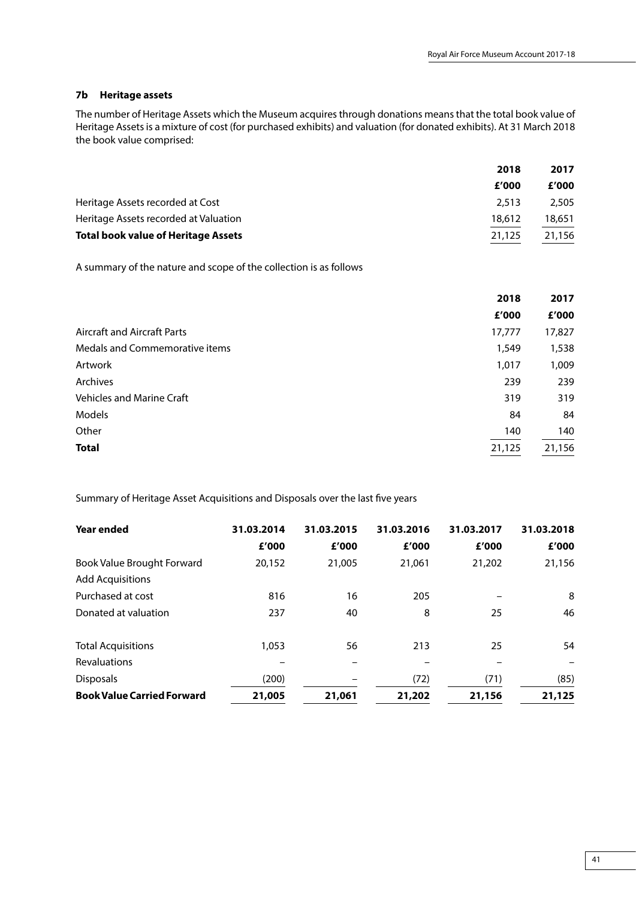#### **7b Heritage assets**

The number of Heritage Assets which the Museum acquires through donations means that the total book value of Heritage Assets is a mixture of cost (for purchased exhibits) and valuation (for donated exhibits). At 31 March 2018 the book value comprised:

|                                            | 2018   | 2017   |
|--------------------------------------------|--------|--------|
|                                            | £'000  | £'000  |
| Heritage Assets recorded at Cost           | 2.513  | 2,505  |
| Heritage Assets recorded at Valuation      | 18,612 | 18,651 |
| <b>Total book value of Heritage Assets</b> | 21,125 | 21,156 |

A summary of the nature and scope of the collection is as follows

|                                    | 2018   | 2017   |
|------------------------------------|--------|--------|
|                                    | £'000  | £'000  |
| <b>Aircraft and Aircraft Parts</b> | 17,777 | 17,827 |
| Medals and Commemorative items     | 1,549  | 1,538  |
| Artwork                            | 1,017  | 1,009  |
| Archives                           | 239    | 239    |
| <b>Vehicles and Marine Craft</b>   | 319    | 319    |
| Models                             | 84     | 84     |
| Other                              | 140    | 140    |
| <b>Total</b>                       | 21,125 | 21,156 |

Summary of Heritage Asset Acquisitions and Disposals over the last five years

| <b>Year ended</b>                 | 31.03.2014 | 31.03.2015 | 31.03.2016 | 31.03.2017 | 31.03.2018 |
|-----------------------------------|------------|------------|------------|------------|------------|
|                                   | £'000      | £'000      | £'000      | £'000      | £'000      |
| Book Value Brought Forward        | 20.152     | 21,005     | 21,061     | 21,202     | 21,156     |
| <b>Add Acquisitions</b>           |            |            |            |            |            |
| Purchased at cost                 | 816        | 16         | 205        |            | 8          |
| Donated at valuation              | 237        | 40         | 8          | 25         | 46         |
| <b>Total Acquisitions</b>         | 1,053      | 56         | 213        | 25         | 54         |
| <b>Revaluations</b>               |            |            |            |            |            |
| <b>Disposals</b>                  | (200)      |            | (72)       | (71)       | (85)       |
| <b>Book Value Carried Forward</b> | 21,005     | 21,061     | 21,202     | 21,156     | 21,125     |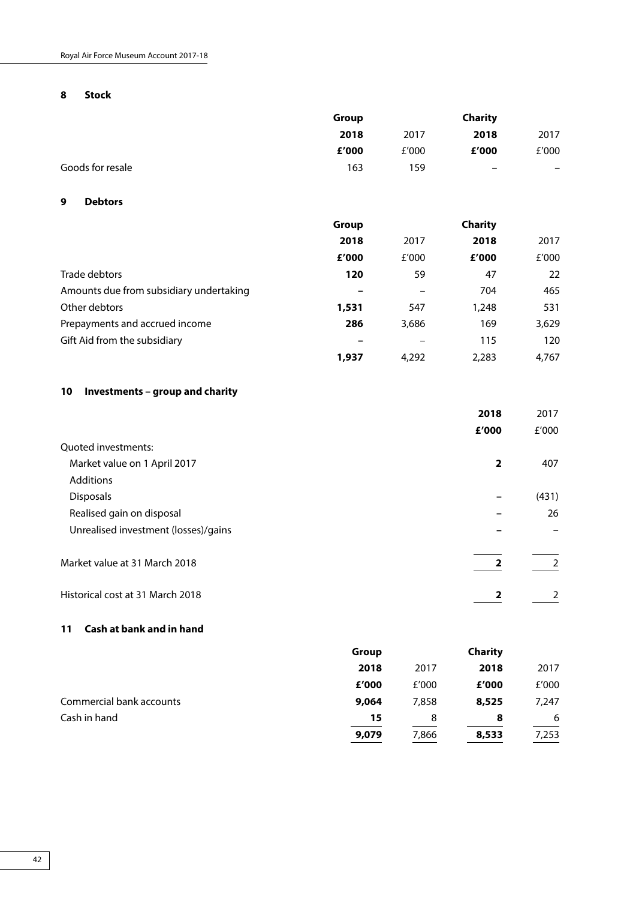## **8 Stock**

|                  | Group |       | <b>Charity</b>           |                          |
|------------------|-------|-------|--------------------------|--------------------------|
|                  | 2018  | 2017  | 2018                     | 2017                     |
|                  | £'000 | £'000 | £'000                    | £'000                    |
| Goods for resale | 163   | 159   | $\overline{\phantom{m}}$ | $\overline{\phantom{0}}$ |

#### **9 Debtors**

|                                         | Group |       | <b>Charity</b> |       |
|-----------------------------------------|-------|-------|----------------|-------|
|                                         | 2018  | 2017  | 2018           | 2017  |
|                                         | £'000 | £'000 | £'000          | £'000 |
| Trade debtors                           | 120   | 59    | 47             | 22    |
| Amounts due from subsidiary undertaking |       |       | 704            | 465   |
| Other debtors                           | 1,531 | 547   | 1,248          | 531   |
| Prepayments and accrued income          | 286   | 3,686 | 169            | 3,629 |
| Gift Aid from the subsidiary            |       |       | 115            | 120   |
|                                         | 1,937 | 4,292 | 2,283          | 4,767 |

## **10 Investments – group and charity**

|                                      | 2018  | 2017  |
|--------------------------------------|-------|-------|
|                                      | £'000 | £'000 |
| Quoted investments:                  |       |       |
| Market value on 1 April 2017         | 2     | 407   |
| Additions                            |       |       |
| <b>Disposals</b>                     |       | (431) |
| Realised gain on disposal            |       | 26    |
| Unrealised investment (losses)/gains |       |       |
| Market value at 31 March 2018        | 2     | 2     |
| Historical cost at 31 March 2018     |       |       |

## **11 Cash at bank and in hand**

| Group |       | <b>Charity</b> |       |
|-------|-------|----------------|-------|
| 2018  | 2017  | 2018           | 2017  |
| £'000 | £'000 | £'000          | £'000 |
| 9,064 | 7,858 | 8,525          | 7,247 |
| 15    | 8     | 8              | 6     |
| 9,079 | 7,866 | 8,533          | 7,253 |
|       |       |                |       |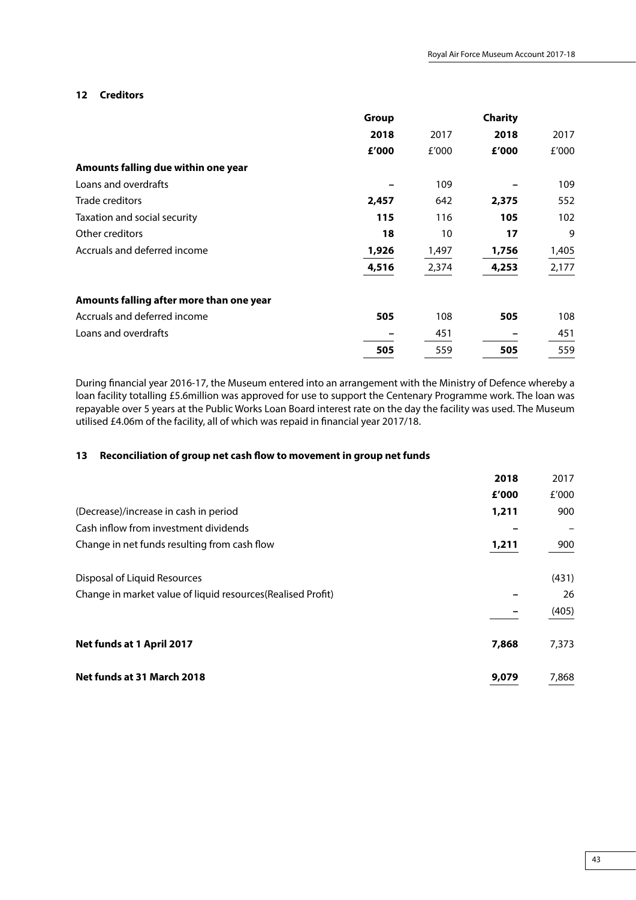#### **12 Creditors**

|                                          | Group |       | <b>Charity</b> |       |
|------------------------------------------|-------|-------|----------------|-------|
|                                          | 2018  | 2017  | 2018           | 2017  |
|                                          | £'000 | £'000 | £'000          | £'000 |
| Amounts falling due within one year      |       |       |                |       |
| Loans and overdrafts                     |       | 109   |                | 109   |
| Trade creditors                          | 2,457 | 642   | 2,375          | 552   |
| Taxation and social security             | 115   | 116   | 105            | 102   |
| Other creditors                          | 18    | 10    | 17             | 9     |
| Accruals and deferred income             | 1,926 | 1,497 | 1,756          | 1,405 |
|                                          | 4,516 | 2,374 | 4,253          | 2,177 |
| Amounts falling after more than one year |       |       |                |       |
| Accruals and deferred income             | 505   | 108   | 505            | 108   |
| Loans and overdrafts                     |       | 451   |                | 451   |
|                                          | 505   | 559   | 505            | 559   |

During financial year 2016-17, the Museum entered into an arrangement with the Ministry of Defence whereby a loan facility totalling £5.6million was approved for use to support the Centenary Programme work. The loan was repayable over 5 years at the Public Works Loan Board interest rate on the day the facility was used. The Museum utilised £4.06m of the facility, all of which was repaid in financial year 2017/18.

#### **13 Reconciliation of group net cash flow to movement in group net funds**

|                                                              | 2018  | 2017  |
|--------------------------------------------------------------|-------|-------|
|                                                              | £'000 | £'000 |
| (Decrease)/increase in cash in period                        | 1,211 | 900   |
| Cash inflow from investment dividends                        |       |       |
| Change in net funds resulting from cash flow                 | 1,211 | 900   |
| Disposal of Liquid Resources                                 |       | (431) |
| Change in market value of liquid resources (Realised Profit) |       | 26    |
|                                                              |       | (405) |
| Net funds at 1 April 2017                                    | 7,868 | 7,373 |
| Net funds at 31 March 2018                                   | 9,079 | 7,868 |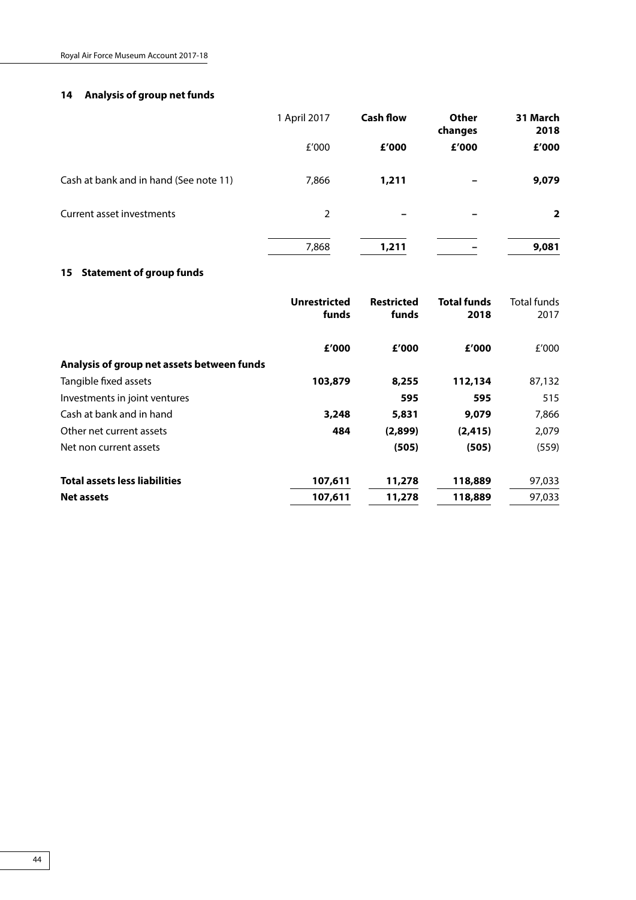## **14 Analysis of group net funds**

|                                        | 1 April 2017 | <b>Cash flow</b> | <b>Other</b><br>changes | 31 March<br>2018 |
|----------------------------------------|--------------|------------------|-------------------------|------------------|
|                                        | £'000        | £'000            | £'000                   | £'000            |
| Cash at bank and in hand (See note 11) | 7,866        | 1,211            |                         | 9,079            |
| Current asset investments              | 2            |                  |                         | $\overline{2}$   |
|                                        | 7,868        | 1,211            |                         | 9,081            |

## **15 Statement of group funds**

|                                            | <b>Unrestricted</b><br>funds | <b>Restricted</b><br>funds | <b>Total funds</b><br>2018 | <b>Total funds</b><br>2017 |
|--------------------------------------------|------------------------------|----------------------------|----------------------------|----------------------------|
|                                            | £'000                        | £'000                      | £'000                      | £'000                      |
| Analysis of group net assets between funds |                              |                            |                            |                            |
| Tangible fixed assets                      | 103,879                      | 8,255                      | 112,134                    | 87,132                     |
| Investments in joint ventures              |                              | 595                        | 595                        | 515                        |
| Cash at bank and in hand                   | 3,248                        | 5,831                      | 9,079                      | 7,866                      |
| Other net current assets                   | 484                          | (2,899)                    | (2, 415)                   | 2,079                      |
| Net non current assets                     |                              | (505)                      | (505)                      | (559)                      |
| <b>Total assets less liabilities</b>       | 107,611                      | 11,278                     | 118,889                    | 97,033                     |
| <b>Net assets</b>                          | 107,611                      | 11,278                     | 118,889                    | 97,033                     |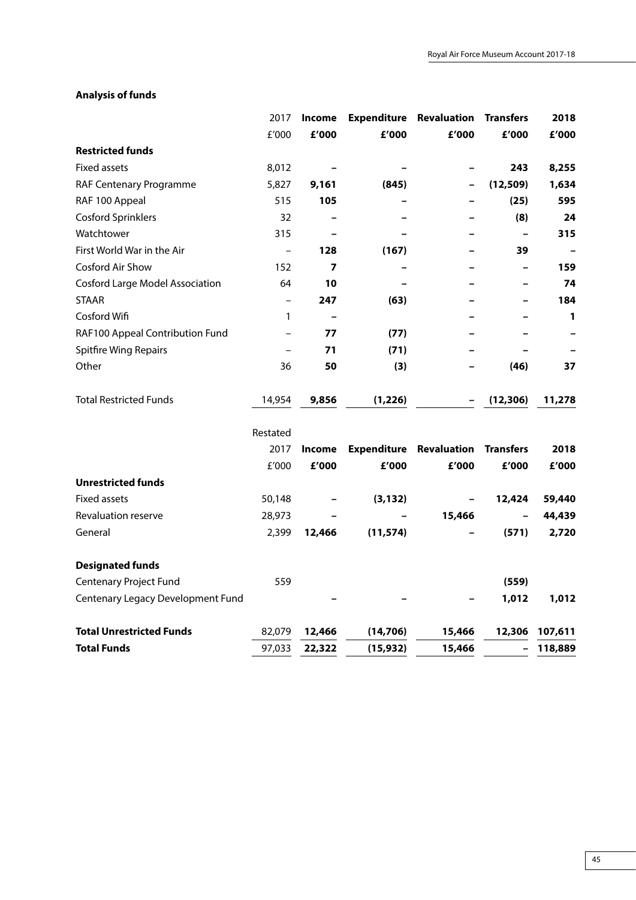## **Analysis of funds**

|                                        | 2017              | Income        |                    | <b>Expenditure Revaluation</b> | <b>Transfers</b> | 2018    |
|----------------------------------------|-------------------|---------------|--------------------|--------------------------------|------------------|---------|
|                                        | £'000             | £'000         | £'000              | £'000                          | £'000            | £'000   |
| <b>Restricted funds</b>                |                   |               |                    |                                |                  |         |
| Fixed assets                           | 8,012             |               |                    |                                | 243              | 8,255   |
| RAF Centenary Programme                | 5,827             | 9,161         | (845)              | -                              | (12, 509)        | 1,634   |
| RAF 100 Appeal                         | 515               | 105           |                    |                                | (25)             | 595     |
| <b>Cosford Sprinklers</b>              | 32                |               |                    |                                | (8)              | 24      |
| Watchtower                             | 315               |               |                    |                                |                  | 315     |
| First World War in the Air             | $\qquad \qquad -$ | 128           | (167)              |                                | 39               |         |
| <b>Cosford Air Show</b>                | 152               | 7             |                    |                                |                  | 159     |
| <b>Cosford Large Model Association</b> | 64                | 10            |                    |                                | -                | 74      |
| <b>STAAR</b>                           |                   | 247           | (63)               |                                | -                | 184     |
| Cosford Wifi                           | 1                 |               |                    |                                |                  | 1       |
| RAF100 Appeal Contribution Fund        |                   | 77            | (77)               |                                |                  |         |
| <b>Spitfire Wing Repairs</b>           |                   | 71            | (71)               |                                |                  |         |
| Other                                  | 36                | 50            | (3)                |                                | (46)             | 37      |
| <b>Total Restricted Funds</b>          | 14,954            | 9,856         | (1, 226)           |                                | (12, 306)        | 11,278  |
|                                        | Restated          |               |                    |                                |                  |         |
|                                        | 2017              | <b>Income</b> | <b>Expenditure</b> | <b>Revaluation</b>             | <b>Transfers</b> | 2018    |
|                                        | £'000             | £'000         | £'000              | £'000                          | £'000            | £'000   |
| <b>Unrestricted funds</b>              |                   |               |                    |                                |                  |         |
| <b>Fixed assets</b>                    | 50,148            |               | (3, 132)           |                                | 12,424           | 59,440  |
| Revaluation reserve                    | 28,973            |               |                    | 15,466                         |                  | 44,439  |
| General                                | 2,399             | 12,466        | (11, 574)          |                                | (571)            | 2,720   |
| <b>Designated funds</b>                |                   |               |                    |                                |                  |         |
| Centenary Project Fund                 | 559               |               |                    |                                | (559)            |         |
| Centenary Legacy Development Fund      |                   |               |                    |                                | 1,012            | 1,012   |
| <b>Total Unrestricted Funds</b>        | 82,079            | 12,466        | (14, 706)          | 15,466                         | 12,306           | 107,611 |
| <b>Total Funds</b>                     | 97,033            | 22,322        | (15, 932)          | 15,466                         |                  | 118,889 |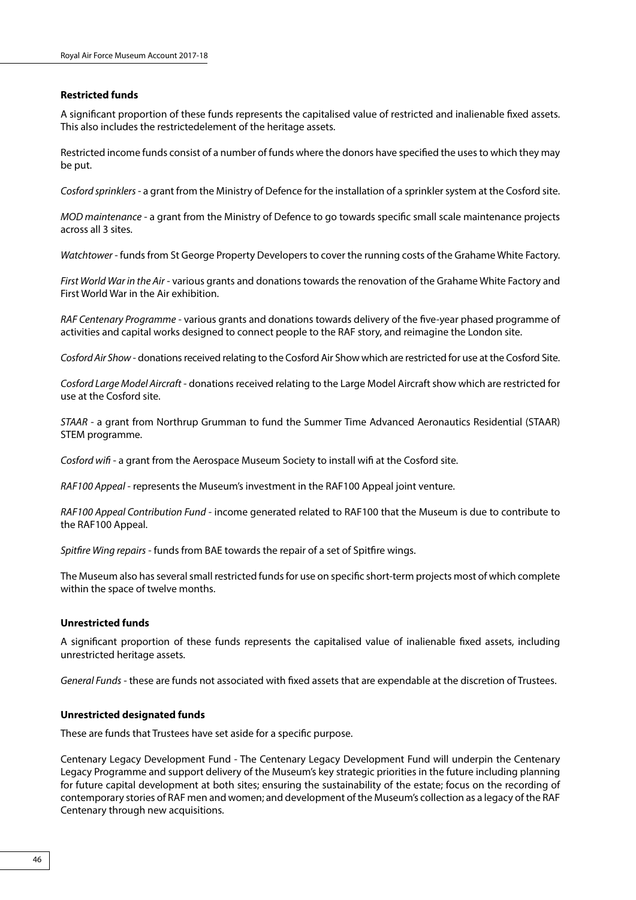#### **Restricted funds**

A significant proportion of these funds represents the capitalised value of restricted and inalienable fixed assets. This also includes the restrictedelement of the heritage assets.

Restricted income funds consist of a number of funds where the donors have specified the uses to which they may be put.

*Cosford sprinklers* - a grant from the Ministry of Defence for the installation of a sprinkler system at the Cosford site.

*MOD maintenance* - a grant from the Ministry of Defence to go towards specific small scale maintenance projects across all 3 sites.

*Watchtower* - funds from St George Property Developers to cover the running costs of the Grahame White Factory.

*First World War in the Air* - various grants and donations towards the renovation of the Grahame White Factory and First World War in the Air exhibition.

*RAF Centenary Programme* - various grants and donations towards delivery of the five-year phased programme of activities and capital works designed to connect people to the RAF story, and reimagine the London site.

*Cosford Air Show* - donations received relating to the Cosford Air Show which are restricted for use at the Cosford Site.

*Cosford Large Model Aircraft* - donations received relating to the Large Model Aircraft show which are restricted for use at the Cosford site.

*STAAR* - a grant from Northrup Grumman to fund the Summer Time Advanced Aeronautics Residential (STAAR) STEM programme.

*Cosford wifi* - a grant from the Aerospace Museum Society to install wifi at the Cosford site.

*RAF100 Appeal* - represents the Museum's investment in the RAF100 Appeal joint venture.

*RAF100 Appeal Contribution Fund* - income generated related to RAF100 that the Museum is due to contribute to the RAF100 Appeal.

*Spitfire Wing repairs* - funds from BAE towards the repair of a set of Spitfire wings.

The Museum also has several small restricted funds for use on specific short-term projects most of which complete within the space of twelve months.

#### **Unrestricted funds**

A significant proportion of these funds represents the capitalised value of inalienable fixed assets, including unrestricted heritage assets.

*General Funds* - these are funds not associated with fixed assets that are expendable at the discretion of Trustees.

#### **Unrestricted designated funds**

These are funds that Trustees have set aside for a specific purpose.

Centenary Legacy Development Fund - The Centenary Legacy Development Fund will underpin the Centenary Legacy Programme and support delivery of the Museum's key strategic priorities in the future including planning for future capital development at both sites; ensuring the sustainability of the estate; focus on the recording of contemporary stories of RAF men and women; and development of the Museum's collection as a legacy of the RAF Centenary through new acquisitions.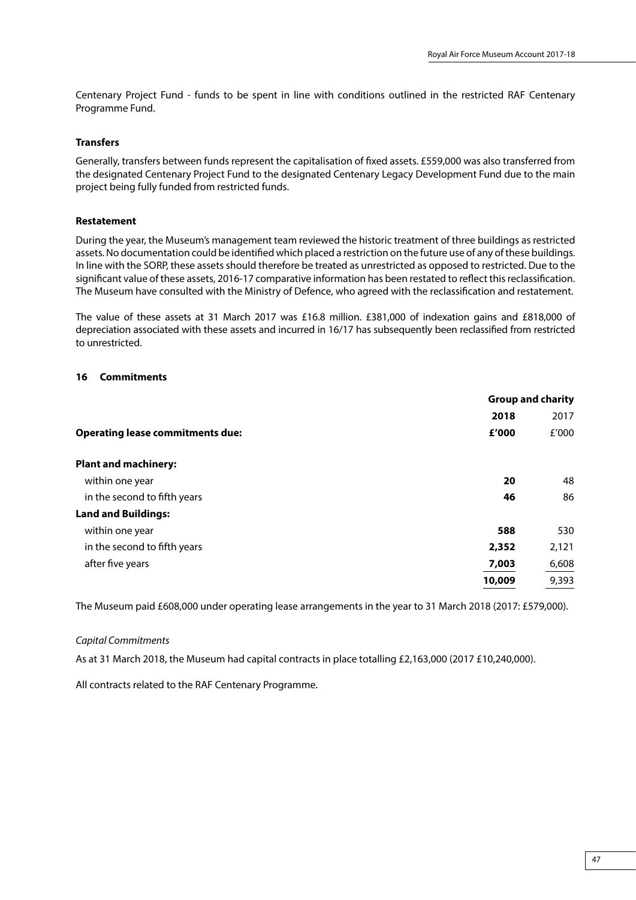Centenary Project Fund - funds to be spent in line with conditions outlined in the restricted RAF Centenary Programme Fund.

#### **Transfers**

Generally, transfers between funds represent the capitalisation of fixed assets. £559,000 was also transferred from the designated Centenary Project Fund to the designated Centenary Legacy Development Fund due to the main project being fully funded from restricted funds.

#### **Restatement**

During the year, the Museum's management team reviewed the historic treatment of three buildings as restricted assets. No documentation could be identified which placed a restriction on the future use of any of these buildings. In line with the SORP, these assets should therefore be treated as unrestricted as opposed to restricted. Due to the significant value of these assets, 2016-17 comparative information has been restated to reflect this reclassification. The Museum have consulted with the Ministry of Defence, who agreed with the reclassification and restatement.

The value of these assets at 31 March 2017 was £16.8 million. £381,000 of indexation gains and £818,000 of depreciation associated with these assets and incurred in 16/17 has subsequently been reclassified from restricted to unrestricted.

#### **16 Commitments**

| <b>Group and charity</b> |       |  |
|--------------------------|-------|--|
| 2018                     | 2017  |  |
| £'000                    | £'000 |  |
|                          |       |  |
| 20                       | 48    |  |
| 46                       | 86    |  |
|                          |       |  |
| 588                      | 530   |  |
| 2,352                    | 2,121 |  |
| 7,003                    | 6,608 |  |
| 10,009                   | 9,393 |  |
|                          |       |  |

The Museum paid £608,000 under operating lease arrangements in the year to 31 March 2018 (2017: £579,000).

#### *Capital Commitments*

As at 31 March 2018, the Museum had capital contracts in place totalling £2,163,000 (2017 £10,240,000).

All contracts related to the RAF Centenary Programme.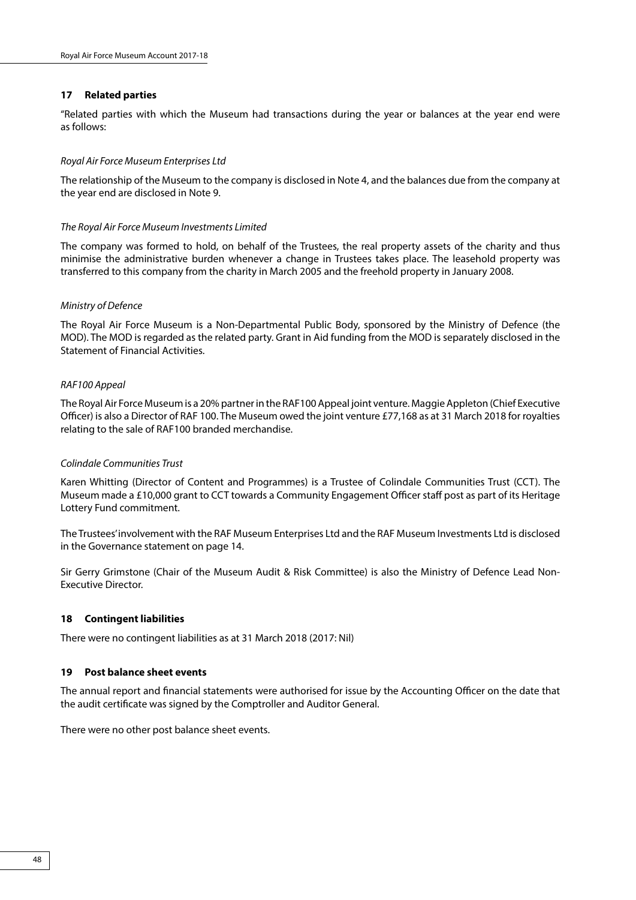#### **17 Related parties**

"Related parties with which the Museum had transactions during the year or balances at the year end were as follows:

#### *Royal Air Force Museum Enterprises Ltd*

The relationship of the Museum to the company is disclosed in Note 4, and the balances due from the company at the year end are disclosed in Note 9.

#### *The Royal Air Force Museum Investments Limited*

The company was formed to hold, on behalf of the Trustees, the real property assets of the charity and thus minimise the administrative burden whenever a change in Trustees takes place. The leasehold property was transferred to this company from the charity in March 2005 and the freehold property in January 2008.

#### *Ministry of Defence*

The Royal Air Force Museum is a Non-Departmental Public Body, sponsored by the Ministry of Defence (the MOD). The MOD is regarded as the related party. Grant in Aid funding from the MOD is separately disclosed in the Statement of Financial Activities.

#### *RAF100 Appeal*

The Royal Air Force Museum is a 20% partner in the RAF100 Appeal joint venture. Maggie Appleton (Chief Executive Officer) is also a Director of RAF 100. The Museum owed the joint venture £77,168 as at 31 March 2018 for royalties relating to the sale of RAF100 branded merchandise.

#### *Colindale Communities Trust*

Karen Whitting (Director of Content and Programmes) is a Trustee of Colindale Communities Trust (CCT). The Museum made a £10,000 grant to CCT towards a Community Engagement Officer staff post as part of its Heritage Lottery Fund commitment.

The Trustees' involvement with the RAF Museum Enterprises Ltd and the RAF Museum Investments Ltd is disclosed in the Governance statement on page 14.

Sir Gerry Grimstone (Chair of the Museum Audit & Risk Committee) is also the Ministry of Defence Lead Non-Executive Director.

#### **18 Contingent liabilities**

There were no contingent liabilities as at 31 March 2018 (2017: Nil)

#### **19 Post balance sheet events**

The annual report and financial statements were authorised for issue by the Accounting Officer on the date that the audit certificate was signed by the Comptroller and Auditor General.

There were no other post balance sheet events.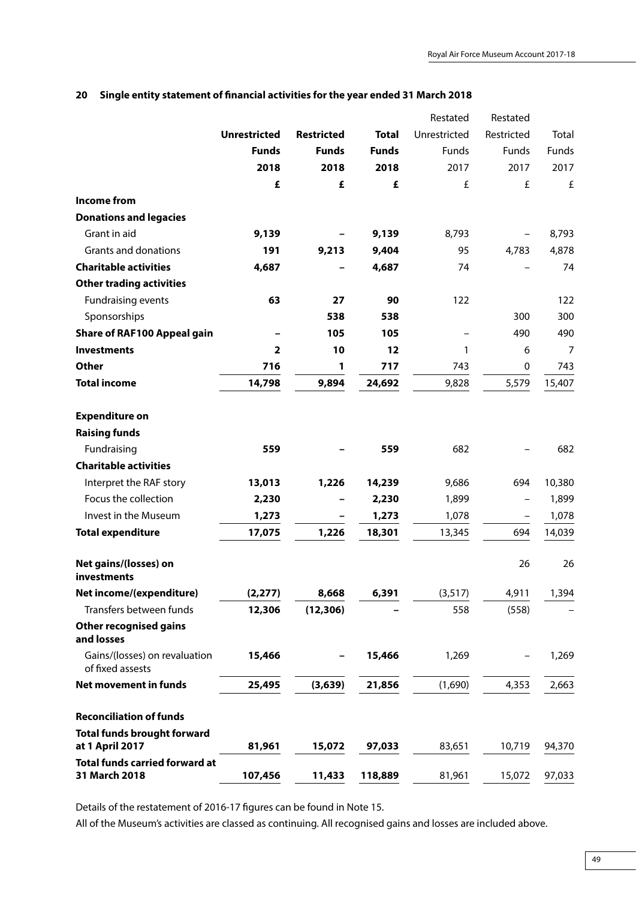|                                                        |                     |                   |              | Restated     | Restated     |                |
|--------------------------------------------------------|---------------------|-------------------|--------------|--------------|--------------|----------------|
|                                                        | <b>Unrestricted</b> | <b>Restricted</b> | <b>Total</b> | Unrestricted | Restricted   | Total          |
|                                                        | <b>Funds</b>        | <b>Funds</b>      | <b>Funds</b> | <b>Funds</b> | <b>Funds</b> | Funds          |
|                                                        | 2018                | 2018              | 2018         | 2017         | 2017         | 2017           |
|                                                        | £                   | £                 | £            | £            | £            | £              |
| <b>Income from</b>                                     |                     |                   |              |              |              |                |
| <b>Donations and legacies</b>                          |                     |                   |              |              |              |                |
| Grant in aid                                           | 9,139               |                   | 9,139        | 8,793        |              | 8,793          |
| Grants and donations                                   | 191                 | 9,213             | 9,404        | 95           | 4,783        | 4,878          |
| <b>Charitable activities</b>                           | 4,687               |                   | 4,687        | 74           |              | 74             |
| <b>Other trading activities</b>                        |                     |                   |              |              |              |                |
| Fundraising events                                     | 63                  | 27                | 90           | 122          |              | 122            |
| Sponsorships                                           |                     | 538               | 538          |              | 300          | 300            |
| <b>Share of RAF100 Appeal gain</b>                     |                     | 105               | 105          |              | 490          | 490            |
| <b>Investments</b>                                     | $\mathbf{z}$        | 10                | 12           | 1            | 6            | $\overline{7}$ |
| <b>Other</b>                                           | 716                 | 1                 | 717          | 743          | 0            | 743            |
| <b>Total income</b>                                    | 14,798              | 9,894             | 24,692       | 9,828        | 5,579        | 15,407         |
|                                                        |                     |                   |              |              |              |                |
| <b>Expenditure on</b><br><b>Raising funds</b>          |                     |                   |              |              |              |                |
|                                                        |                     |                   |              | 682          |              | 682            |
| Fundraising<br><b>Charitable activities</b>            | 559                 |                   | 559          |              |              |                |
|                                                        |                     |                   |              |              |              |                |
| Interpret the RAF story                                | 13,013              | 1,226             | 14,239       | 9,686        | 694          | 10,380         |
| Focus the collection                                   | 2,230               |                   | 2,230        | 1,899        |              | 1,899          |
| Invest in the Museum                                   | 1,273               |                   | 1,273        | 1,078        |              | 1,078          |
| <b>Total expenditure</b>                               | 17,075              | 1,226             | 18,301       | 13,345       | 694          | 14,039         |
| Net gains/(losses) on<br>investments                   |                     |                   |              |              | 26           | 26             |
| Net income/(expenditure)                               | (2, 277)            | 8,668             | 6,391        | (3, 517)     | 4,911        | 1,394          |
| Transfers between funds                                | 12,306              | (12, 306)         |              | 558          | (558)        |                |
| <b>Other recognised gains</b><br>and losses            |                     |                   |              |              |              |                |
| Gains/(losses) on revaluation<br>of fixed assests      | 15,466              |                   | 15,466       | 1,269        |              | 1,269          |
| <b>Net movement in funds</b>                           | 25,495              | (3,639)           | 21,856       | (1,690)      | 4,353        | 2,663          |
| <b>Reconciliation of funds</b>                         |                     |                   |              |              |              |                |
| <b>Total funds brought forward</b>                     |                     |                   |              |              |              |                |
| at 1 April 2017                                        | 81,961              | 15,072            | 97,033       | 83,651       | 10,719       | 94,370         |
| <b>Total funds carried forward at</b><br>31 March 2018 | 107,456             | 11,433            | 118,889      | 81,961       | 15,072       | 97,033         |

## **20 Single entity statement of financial activities for the year ended 31 March 2018**

Details of the restatement of 2016-17 figures can be found in Note 15.

All of the Museum's activities are classed as continuing. All recognised gains and losses are included above.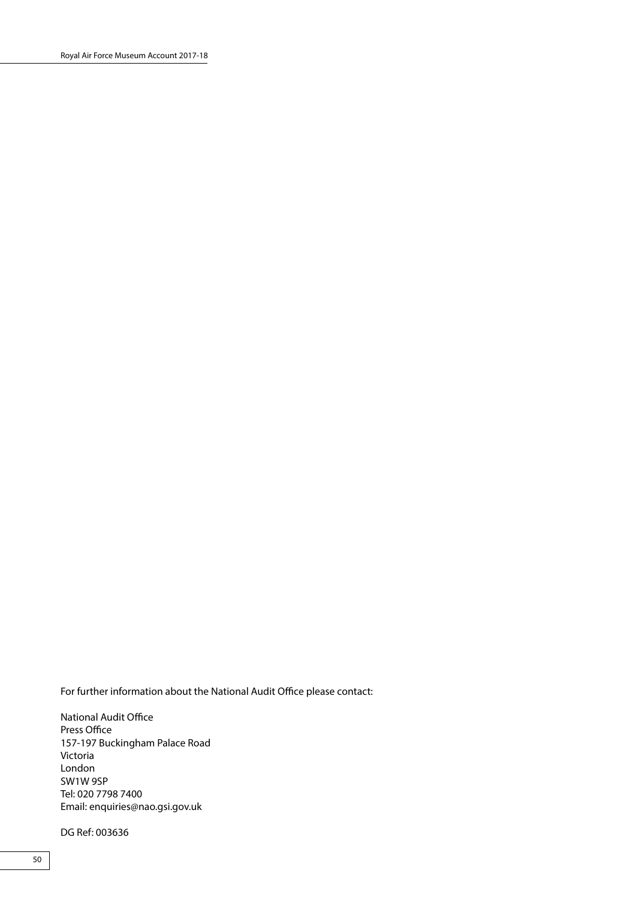For further information about the National Audit Office please contact:

National Audit Office Press Office 157-197 Buckingham Palace Road Victoria London SW1W 9SP Tel: 020 7798 7400 Email: enquiries@nao.gsi.gov.uk

DG Ref: 003636